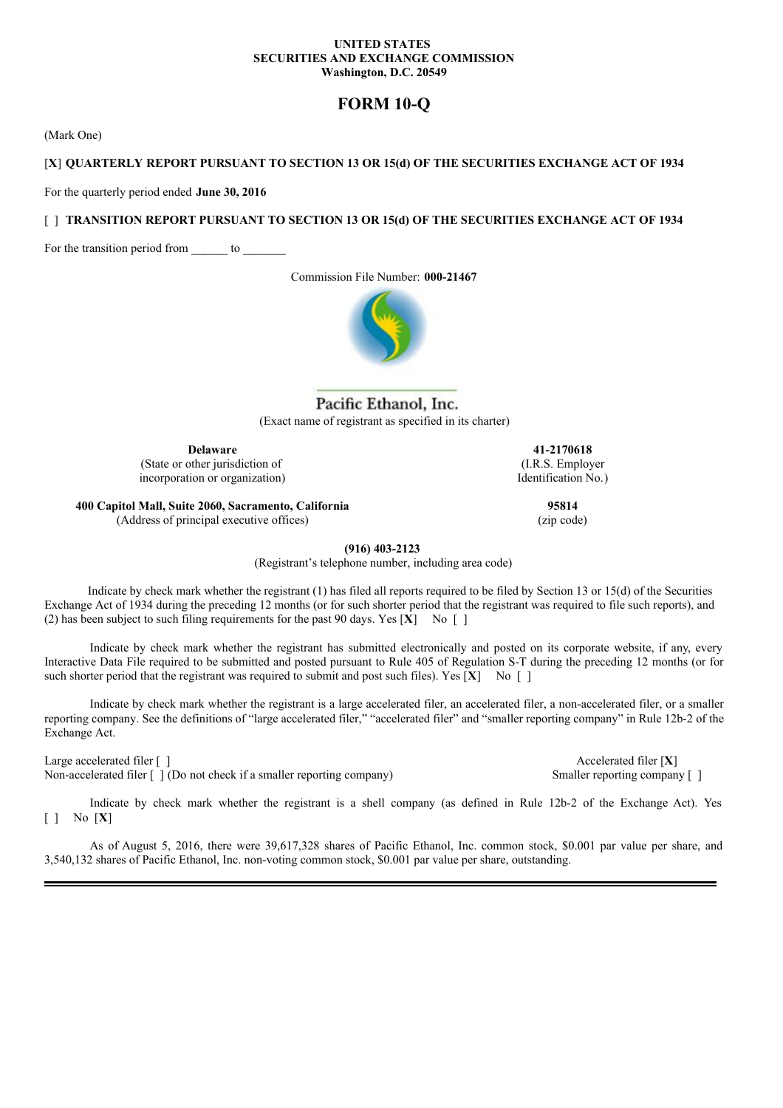### **UNITED STATES SECURITIES AND EXCHANGE COMMISSION Washington, D.C. 20549**

# **FORM 10-Q**

(Mark One)

### [**X**] **QUARTERLY REPORT PURSUANT TO SECTION 13 OR 15(d) OF THE SECURITIES EXCHANGE ACT OF 1934**

For the quarterly period ended **June 30, 2016**

### [ ] **TRANSITION REPORT PURSUANT TO SECTION 13 OR 15(d) OF THE SECURITIES EXCHANGE ACT OF 1934**

For the transition period from \_\_\_\_\_\_\_ to \_\_\_\_\_\_\_

Commission File Number: **000-21467**



# Pacific Ethanol, Inc. (Exact name of registrant as specified in its charter)

**Delaware 41-2170618**

(State or other jurisdiction of incorporation or organization)

(I.R.S. Employer Identification No.)

**400 Capitol Mall, Suite 2060, Sacramento, California 95814** (Address of principal executive offices) (zip code)

**(916) 403-2123**

(Registrant's telephone number, including area code)

Indicate by check mark whether the registrant (1) has filed all reports required to be filed by Section 13 or 15(d) of the Securities Exchange Act of 1934 during the preceding 12 months (or for such shorter period that the registrant was required to file such reports), and (2) has been subject to such filing requirements for the past 90 days. Yes  $[X]$  No  $[ ]$ 

Indicate by check mark whether the registrant has submitted electronically and posted on its corporate website, if any, every Interactive Data File required to be submitted and posted pursuant to Rule 405 of Regulation S-T during the preceding 12 months (or for such shorter period that the registrant was required to submit and post such files). Yes  $[X]$  No [ ]

Indicate by check mark whether the registrant is a large accelerated filer, an accelerated filer, a non-accelerated filer, or a smaller reporting company. See the definitions of "large accelerated filer," "accelerated filer" and "smaller reporting company" in Rule 12b-2 of the Exchange Act.

Large accelerated filer [ ] Accelerated filer [ **X**]

Non-accelerated filer  $\lceil \cdot \rceil$  (Do not check if a smaller reporting company) Smaller reporting company  $\lceil \cdot \rceil$ 

Indicate by check mark whether the registrant is a shell company (as defined in Rule 12b-2 of the Exchange Act). Yes [ ] No [**X**]

As of August 5, 2016, there were 39,617,328 shares of Pacific Ethanol, Inc. common stock, \$0.001 par value per share, and 3,540,132 shares of Pacific Ethanol, Inc. non-voting common stock, \$0.001 par value per share, outstanding.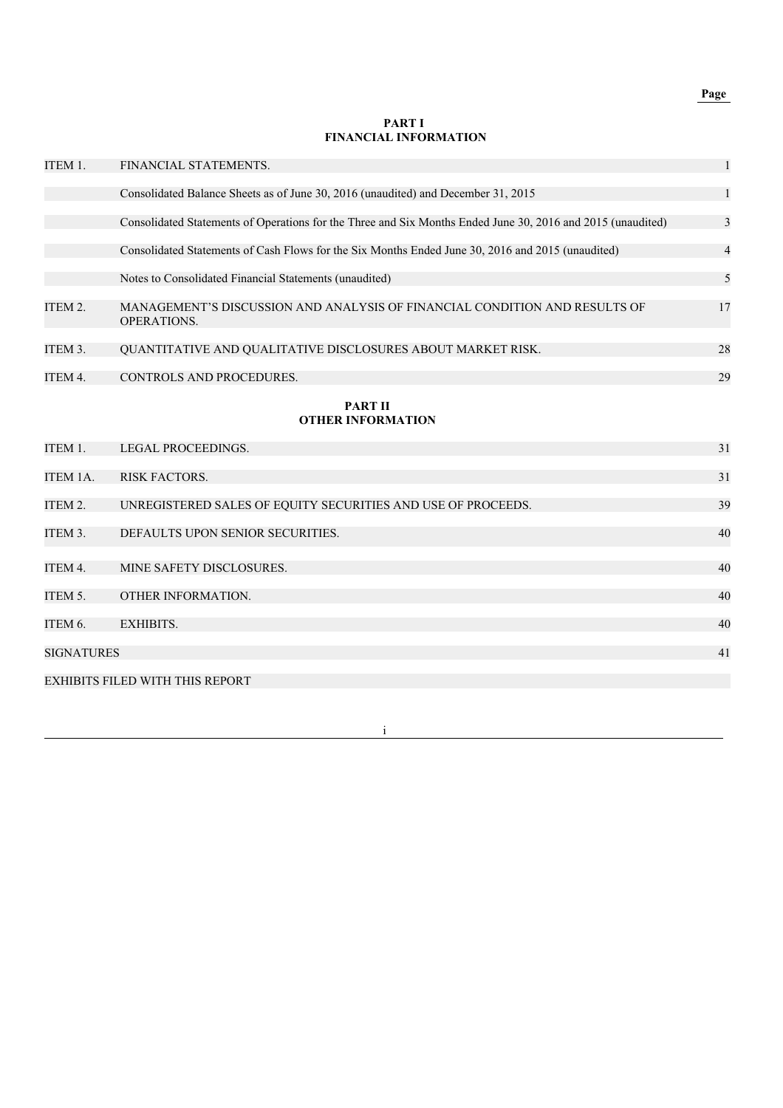# **Page**

#### **PART I FINANCIAL INFORMATION**

| ITEM 1.           | FINANCIAL STATEMENTS.                                                                                       | $\mathbf{1}$ |
|-------------------|-------------------------------------------------------------------------------------------------------------|--------------|
|                   | Consolidated Balance Sheets as of June 30, 2016 (unaudited) and December 31, 2015                           | 1            |
|                   | Consolidated Statements of Operations for the Three and Six Months Ended June 30, 2016 and 2015 (unaudited) | 3            |
|                   | Consolidated Statements of Cash Flows for the Six Months Ended June 30, 2016 and 2015 (unaudited)           | 4            |
|                   | Notes to Consolidated Financial Statements (unaudited)                                                      | 5            |
| ITEM 2.           | MANAGEMENT'S DISCUSSION AND ANALYSIS OF FINANCIAL CONDITION AND RESULTS OF<br><b>OPERATIONS.</b>            | 17           |
| ITEM 3.           | QUANTITATIVE AND QUALITATIVE DISCLOSURES ABOUT MARKET RISK.                                                 | 28           |
| ITEM 4.           | CONTROLS AND PROCEDURES.                                                                                    | 29           |
|                   | <b>PART II</b><br><b>OTHER INFORMATION</b>                                                                  |              |
| ITEM 1.           | LEGAL PROCEEDINGS.                                                                                          | 31           |
| ITEM 1A.          | <b>RISK FACTORS.</b>                                                                                        | 31           |
| ITEM 2.           | UNREGISTERED SALES OF EQUITY SECURITIES AND USE OF PROCEEDS.                                                | 39           |
| ITEM 3.           | DEFAULTS UPON SENIOR SECURITIES.                                                                            | 40           |
| ITEM 4.           | MINE SAFETY DISCLOSURES.                                                                                    | 40           |
| ITEM 5.           | OTHER INFORMATION.                                                                                          | 40           |
| ITEM 6.           | <b>EXHIBITS.</b>                                                                                            | 40           |
| <b>SIGNATURES</b> |                                                                                                             | 41           |
|                   | <b>EXHIBITS FILED WITH THIS REPORT</b>                                                                      |              |

i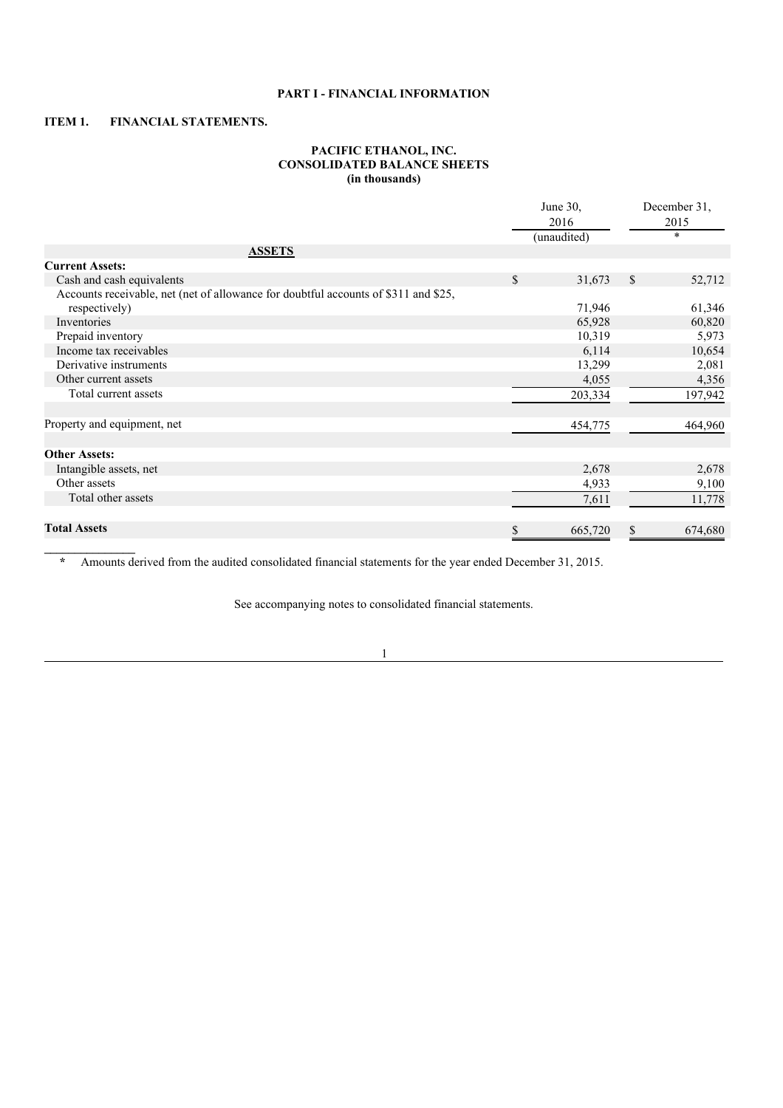## **PART I - FINANCIAL INFORMATION**

## **ITEM 1. FINANCIAL STATEMENTS.**

**\_\_\_\_\_\_\_\_\_\_\_\_\_\_\_**

### **PACIFIC ETHANOL, INC. CONSOLIDATED BALANCE SHEETS (in thousands)**

|                                                                                     | June 30,<br>2016<br>(unaudited) | December 31,<br>2015<br>$\star$ |
|-------------------------------------------------------------------------------------|---------------------------------|---------------------------------|
| <b>ASSETS</b>                                                                       |                                 |                                 |
| <b>Current Assets:</b>                                                              |                                 |                                 |
| Cash and cash equivalents                                                           | \$<br>31,673                    | \$<br>52,712                    |
| Accounts receivable, net (net of allowance for doubtful accounts of \$311 and \$25, |                                 |                                 |
| respectively)                                                                       | 71,946                          | 61,346                          |
| Inventories                                                                         | 65,928                          | 60,820                          |
| Prepaid inventory                                                                   | 10,319                          | 5,973                           |
| Income tax receivables                                                              | 6,114                           | 10,654                          |
| Derivative instruments                                                              | 13,299                          | 2,081                           |
| Other current assets                                                                | 4,055                           | 4,356                           |
| Total current assets                                                                | 203,334                         | 197,942                         |
| Property and equipment, net                                                         | 454,775                         | 464,960                         |
| <b>Other Assets:</b>                                                                |                                 |                                 |
| Intangible assets, net                                                              | 2,678                           | 2,678                           |
| Other assets                                                                        | 4,933                           | 9,100                           |
| Total other assets                                                                  | 7,611                           | 11,778                          |
| <b>Total Assets</b>                                                                 | \$<br>665,720                   | 674,680                         |

**\*** Amounts derived from the audited consolidated financial statements for the year ended December 31, 2015.

See accompanying notes to consolidated financial statements.

1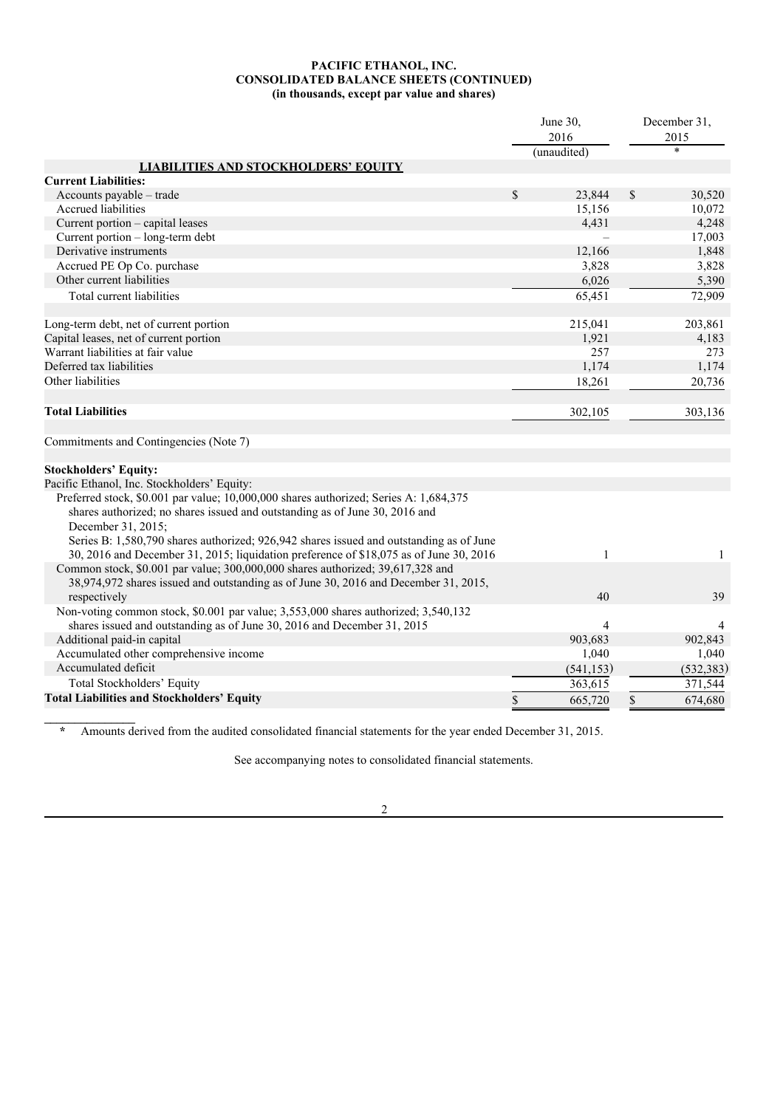### **PACIFIC ETHANOL, INC. CONSOLIDATED BALANCE SHEETS (CONTINUED) (in thousands, except par value and shares)**

|                                                                                                               | June 30,        |              | December 31,    |
|---------------------------------------------------------------------------------------------------------------|-----------------|--------------|-----------------|
|                                                                                                               | 2016            |              | 2015<br>$\star$ |
|                                                                                                               | (unaudited)     |              |                 |
| <b>LIABILITIES AND STOCKHOLDERS' EQUITY</b><br><b>Current Liabilities:</b>                                    |                 |              |                 |
| Accounts payable - trade                                                                                      | \$<br>23,844    | $\mathbb{S}$ | 30,520          |
| Accrued liabilities                                                                                           |                 |              |                 |
|                                                                                                               | 15,156<br>4.431 |              | 10,072<br>4,248 |
| Current portion – capital leases                                                                              |                 |              |                 |
| Current portion - long-term debt                                                                              |                 |              | 17,003          |
| Derivative instruments                                                                                        | 12,166          |              | 1,848           |
| Accrued PE Op Co. purchase                                                                                    | 3,828           |              | 3,828           |
| Other current liabilities                                                                                     | 6,026           |              | 5,390           |
| Total current liabilities                                                                                     | 65,451          |              | 72,909          |
| Long-term debt, net of current portion                                                                        | 215,041         |              | 203,861         |
| Capital leases, net of current portion                                                                        | 1,921           |              | 4,183           |
| Warrant liabilities at fair value                                                                             | 257             |              | 273             |
| Deferred tax liabilities                                                                                      | 1,174           |              | 1,174           |
| Other liabilities                                                                                             | 18,261          |              | 20,736          |
|                                                                                                               |                 |              |                 |
| <b>Total Liabilities</b>                                                                                      | 302,105         |              | 303,136         |
|                                                                                                               |                 |              |                 |
| Commitments and Contingencies (Note 7)                                                                        |                 |              |                 |
|                                                                                                               |                 |              |                 |
| <b>Stockholders' Equity:</b>                                                                                  |                 |              |                 |
| Pacific Ethanol, Inc. Stockholders' Equity:                                                                   |                 |              |                 |
| Preferred stock, \$0.001 par value; 10,000,000 shares authorized; Series A: 1,684,375                         |                 |              |                 |
| shares authorized; no shares issued and outstanding as of June 30, 2016 and                                   |                 |              |                 |
| December 31, 2015;<br>Series B: 1,580,790 shares authorized; 926,942 shares issued and outstanding as of June |                 |              |                 |
| 30, 2016 and December 31, 2015; liquidation preference of \$18,075 as of June 30, 2016                        | $\mathbf{1}$    |              | $\mathbf{1}$    |
| Common stock, \$0.001 par value; 300,000,000 shares authorized; 39,617,328 and                                |                 |              |                 |
| 38,974,972 shares issued and outstanding as of June 30, 2016 and December 31, 2015,                           |                 |              |                 |
| respectively                                                                                                  | 40              |              | 39              |
| Non-voting common stock, \$0.001 par value; 3,553,000 shares authorized; 3,540,132                            |                 |              |                 |
| shares issued and outstanding as of June 30, 2016 and December 31, 2015                                       | 4               |              |                 |
| Additional paid-in capital                                                                                    | 903,683         |              | 902,843         |
| Accumulated other comprehensive income                                                                        | 1,040           |              | 1,040           |
| Accumulated deficit                                                                                           | (541, 153)      |              | (532, 383)      |
| Total Stockholders' Equity                                                                                    | 363,615         |              | 371,544         |
|                                                                                                               |                 |              |                 |
| <b>Total Liabilities and Stockholders' Equity</b>                                                             | \$<br>665,720   | \$           | 674,680         |

**\*** Amounts derived from the audited consolidated financial statements for the year ended December 31, 2015.

**\_\_\_\_\_\_\_\_\_\_\_\_\_\_\_**

See accompanying notes to consolidated financial statements.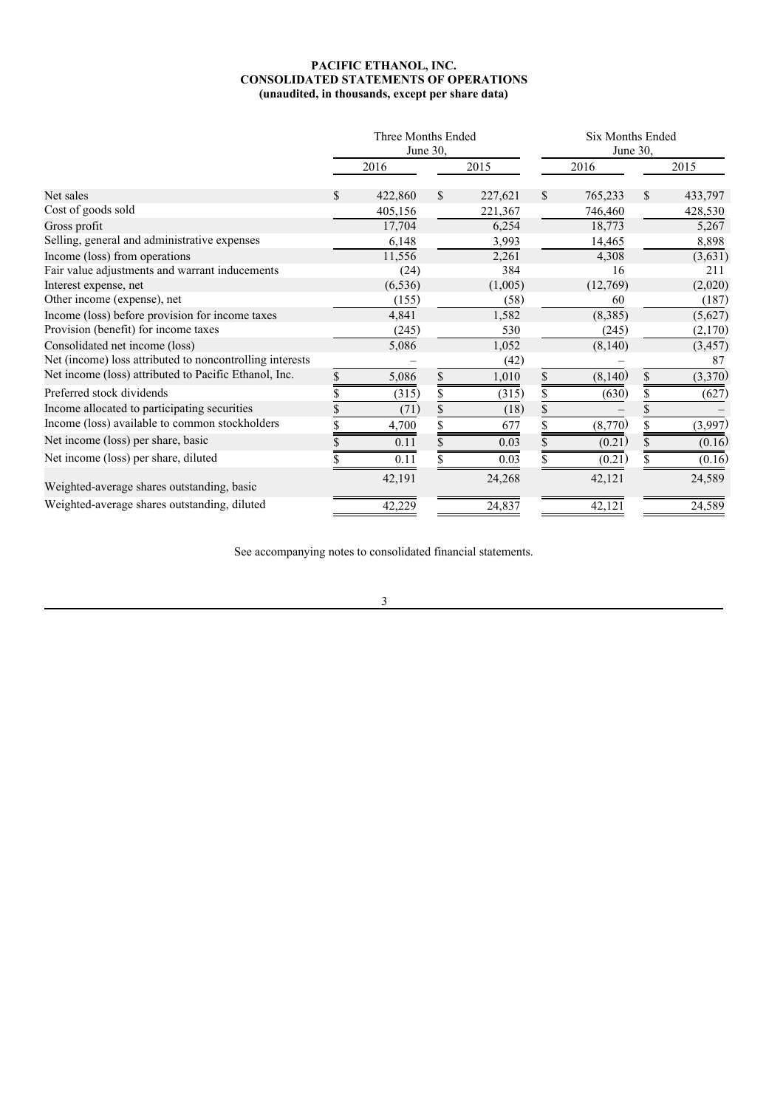### **PACIFIC ETHANOL, INC. CONSOLIDATED STATEMENTS OF OPERATIONS (unaudited, in thousands, except per share data)**

|                                                          |    | Three Months Ended<br>June 30, |              |         |               | Six Months Ended<br>June 30, |               |
|----------------------------------------------------------|----|--------------------------------|--------------|---------|---------------|------------------------------|---------------|
|                                                          |    | 2016                           |              | 2015    |               | 2016                         | 2015          |
| Net sales                                                | S. | 422,860                        | $\mathbb{S}$ | 227,621 | <sup>\$</sup> | 765,233                      | \$<br>433,797 |
| Cost of goods sold                                       |    | 405,156                        |              | 221,367 |               | 746,460                      | 428,530       |
| Gross profit                                             |    | 17,704                         |              | 6,254   |               | 18,773                       | 5,267         |
| Selling, general and administrative expenses             |    | 6,148                          |              | 3,993   |               | 14,465                       | 8,898         |
| Income (loss) from operations                            |    | 11,556                         |              | 2,261   |               | 4,308                        | (3,631)       |
| Fair value adjustments and warrant inducements           |    | (24)                           |              | 384     |               | 16                           | 211           |
| Interest expense, net                                    |    | (6, 536)                       |              | (1,005) |               | (12,769)                     | (2,020)       |
| Other income (expense), net                              |    | (155)                          |              | (58)    |               | 60                           | (187)         |
| Income (loss) before provision for income taxes          |    | 4,841                          |              | 1,582   |               | (8,385)                      | (5,627)       |
| Provision (benefit) for income taxes                     |    | (245)                          |              | 530     |               | (245)                        | (2,170)       |
| Consolidated net income (loss)                           |    | 5,086                          |              | 1,052   |               | (8, 140)                     | (3, 457)      |
| Net (income) loss attributed to noncontrolling interests |    |                                |              | (42)    |               |                              | 87            |
| Net income (loss) attributed to Pacific Ethanol, Inc.    | \$ | 5,086                          | \$           | 1,010   |               | (8,140)                      | \$<br>(3,370) |
| Preferred stock dividends                                |    | (315)                          | \$           | (315)   |               | (630)                        | \$<br>(627)   |
| Income allocated to participating securities             |    | (71)                           | \$           | (18)    |               |                              |               |
| Income (loss) available to common stockholders           |    | 4,700                          |              | 677     |               | (8,770)                      | (3,997)       |
| Net income (loss) per share, basic                       |    | 0.11                           |              | 0.03    |               | (0.21)                       | (0.16)        |
| Net income (loss) per share, diluted                     |    | 0.11                           |              | 0.03    |               | (0.21)                       | (0.16)        |
| Weighted-average shares outstanding, basic               |    | 42,191                         |              | 24,268  |               | 42,121                       | 24,589        |
| Weighted-average shares outstanding, diluted             |    | 42,229                         |              | 24,837  |               | 42,121                       | 24,589        |

See accompanying notes to consolidated financial statements.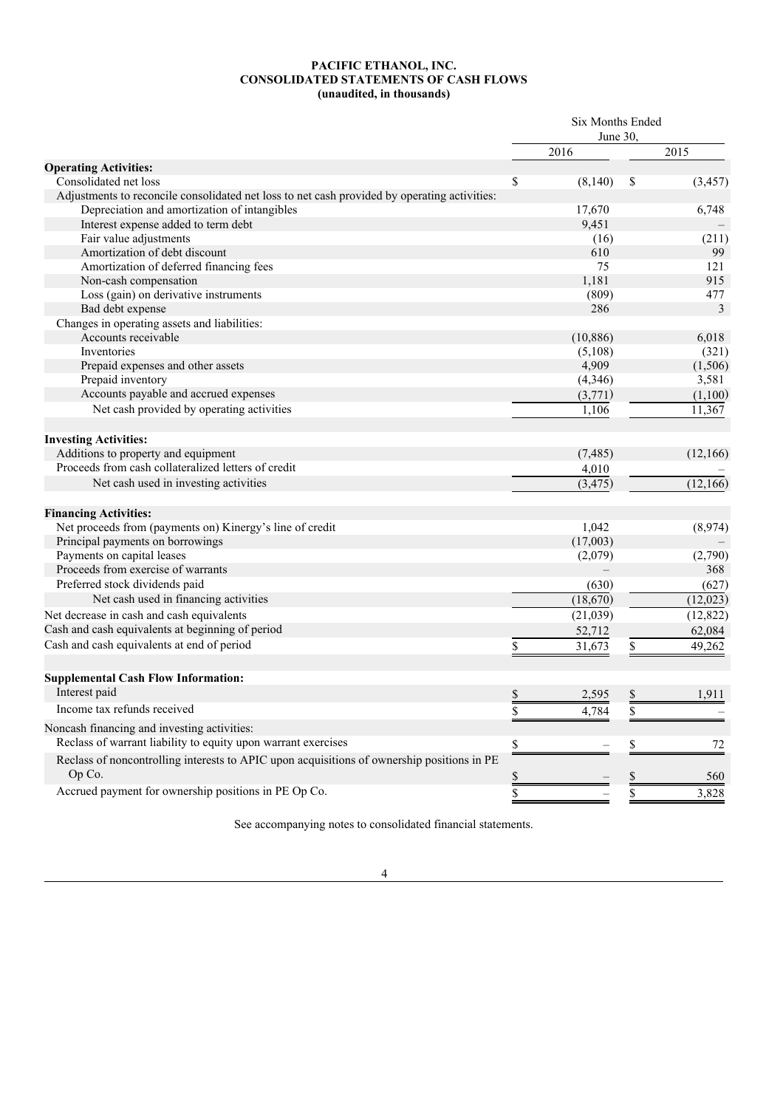#### **PACIFIC ETHANOL, INC. CONSOLIDATED STATEMENTS OF CASH FLOWS (unaudited, in thousands)**

|                                                                                                      | Six Months Ended<br>June 30. |           |               |                |
|------------------------------------------------------------------------------------------------------|------------------------------|-----------|---------------|----------------|
|                                                                                                      |                              | 2016      |               | 2015           |
| <b>Operating Activities:</b>                                                                         |                              |           |               |                |
| Consolidated net loss                                                                                | \$                           | (8, 140)  | \$            | (3, 457)       |
| Adjustments to reconcile consolidated net loss to net cash provided by operating activities:         |                              |           |               |                |
| Depreciation and amortization of intangibles                                                         |                              | 17,670    |               | 6,748          |
| Interest expense added to term debt                                                                  |                              | 9,451     |               |                |
| Fair value adjustments                                                                               |                              | (16)      |               | (211)          |
| Amortization of debt discount                                                                        |                              | 610       |               | 99             |
| Amortization of deferred financing fees                                                              |                              | 75        |               | 121            |
| Non-cash compensation                                                                                |                              | 1.181     |               | 915            |
| Loss (gain) on derivative instruments                                                                |                              | (809)     |               | 477            |
| Bad debt expense                                                                                     |                              | 286       |               | 3              |
| Changes in operating assets and liabilities:                                                         |                              |           |               |                |
| Accounts receivable                                                                                  |                              | (10, 886) |               | 6,018          |
| Inventories                                                                                          |                              | (5,108)   |               | (321)          |
| Prepaid expenses and other assets                                                                    |                              | 4,909     |               | (1,506)        |
| Prepaid inventory                                                                                    |                              | (4, 346)  |               | 3,581          |
| Accounts payable and accrued expenses                                                                |                              | (3,771)   |               | (1,100)        |
| Net cash provided by operating activities                                                            |                              | 1,106     |               | 11,367         |
|                                                                                                      |                              |           |               |                |
| <b>Investing Activities:</b>                                                                         |                              |           |               |                |
| Additions to property and equipment                                                                  |                              | (7, 485)  |               | (12, 166)      |
| Proceeds from cash collateralized letters of credit                                                  |                              | 4,010     |               |                |
| Net cash used in investing activities                                                                |                              | (3, 475)  |               | (12,166)       |
| <b>Financing Activities:</b>                                                                         |                              |           |               |                |
| Net proceeds from (payments on) Kinergy's line of credit                                             |                              | 1,042     |               | (8,974)        |
| Principal payments on borrowings                                                                     |                              |           |               |                |
| Payments on capital leases                                                                           |                              | (17,003)  |               |                |
| Proceeds from exercise of warrants                                                                   |                              | (2,079)   |               | (2,790)<br>368 |
|                                                                                                      |                              |           |               |                |
| Preferred stock dividends paid                                                                       |                              | (630)     |               | (627)          |
| Net cash used in financing activities                                                                |                              | (18,670)  |               | (12,023)       |
| Net decrease in cash and cash equivalents                                                            |                              | (21,039)  |               | (12, 822)      |
| Cash and cash equivalents at beginning of period                                                     |                              | 52,712    |               | 62,084         |
| Cash and cash equivalents at end of period                                                           | \$                           | 31,673    | \$            | 49,262         |
|                                                                                                      |                              |           |               |                |
| <b>Supplemental Cash Flow Information:</b><br>Interest paid                                          |                              |           |               |                |
| Income tax refunds received                                                                          | $\frac{1}{2}$                | 2,595     | $\frac{1}{2}$ | 1,911          |
|                                                                                                      | \$                           | 4,784     | \$            |                |
| Noncash financing and investing activities:                                                          |                              |           |               |                |
| Reclass of warrant liability to equity upon warrant exercises                                        | $\overline{\mathcal{L}}$     |           | \$            | 72             |
| Reclass of noncontrolling interests to APIC upon acquisitions of ownership positions in PE<br>Op Co. | \$                           |           | \$            | 560            |
|                                                                                                      |                              |           |               |                |
| Accrued payment for ownership positions in PE Op Co.                                                 | $\overline{\$}$              |           | \$            | 3,828          |

See accompanying notes to consolidated financial statements.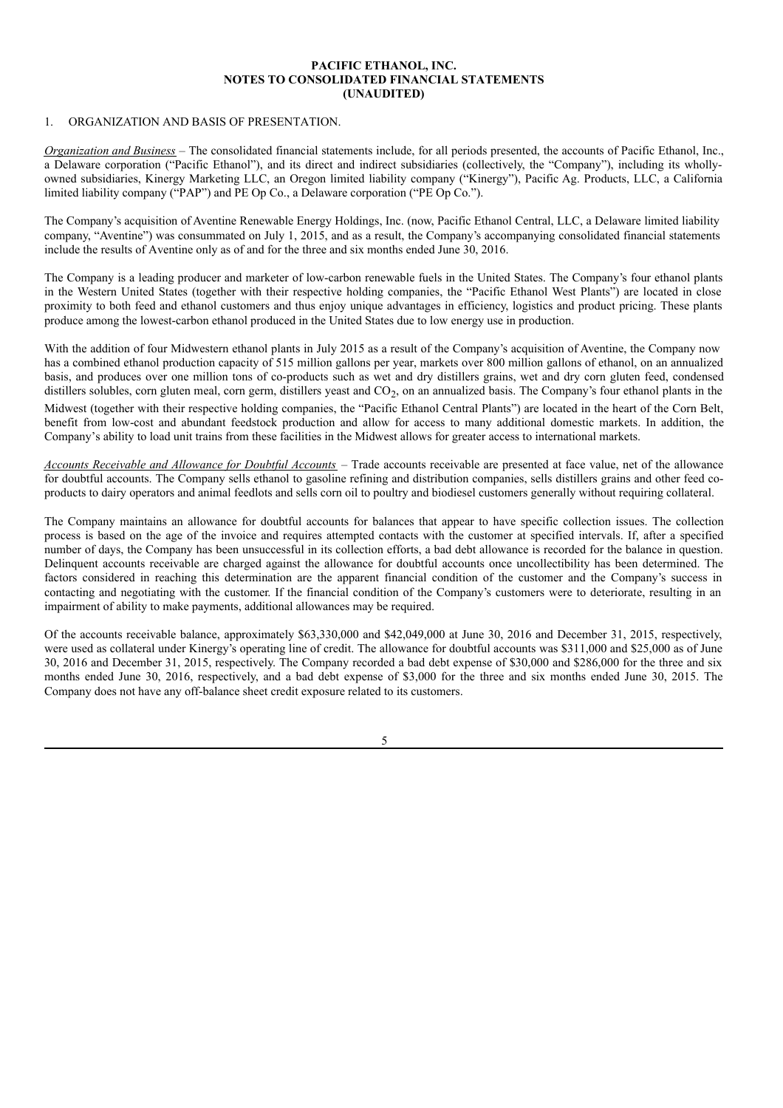### **PACIFIC ETHANOL, INC. NOTES TO CONSOLIDATED FINANCIAL STATEMENTS (UNAUDITED)**

### 1. ORGANIZATION AND BASIS OF PRESENTATION.

*Organization and Business* – The consolidated financial statements include, for all periods presented, the accounts of Pacific Ethanol, Inc., a Delaware corporation ("Pacific Ethanol"), and its direct and indirect subsidiaries (collectively, the "Company"), including its whollyowned subsidiaries, Kinergy Marketing LLC, an Oregon limited liability company ("Kinergy"), Pacific Ag. Products, LLC, a California limited liability company ("PAP") and PE Op Co., a Delaware corporation ("PE Op Co.").

The Company's acquisition of Aventine Renewable Energy Holdings, Inc. (now, Pacific Ethanol Central, LLC, a Delaware limited liability company, "Aventine") was consummated on July 1, 2015, and as a result, the Company's accompanying consolidated financial statements include the results of Aventine only as of and for the three and six months ended June 30, 2016.

The Company is a leading producer and marketer of low-carbon renewable fuels in the United States. The Company's four ethanol plants in the Western United States (together with their respective holding companies, the "Pacific Ethanol West Plants") are located in close proximity to both feed and ethanol customers and thus enjoy unique advantages in efficiency, logistics and product pricing. These plants produce among the lowest-carbon ethanol produced in the United States due to low energy use in production.

With the addition of four Midwestern ethanol plants in July 2015 as a result of the Company's acquisition of Aventine, the Company now has a combined ethanol production capacity of 515 million gallons per year, markets over 800 million gallons of ethanol, on an annualized basis, and produces over one million tons of co-products such as wet and dry distillers grains, wet and dry corn gluten feed, condensed distillers solubles, corn gluten meal, corn germ, distillers yeast and CO<sub>2</sub>, on an annualized basis. The Company's four ethanol plants in the

Midwest (together with their respective holding companies, the "Pacific Ethanol Central Plants") are located in the heart of the Corn Belt, benefit from low-cost and abundant feedstock production and allow for access to many additional domestic markets. In addition, the Company's ability to load unit trains from these facilities in the Midwest allows for greater access to international markets.

*Accounts Receivable and Allowance for Doubtful Accounts* – Trade accounts receivable are presented at face value, net of the allowance for doubtful accounts. The Company sells ethanol to gasoline refining and distribution companies, sells distillers grains and other feed coproducts to dairy operators and animal feedlots and sells corn oil to poultry and biodiesel customers generally without requiring collateral.

The Company maintains an allowance for doubtful accounts for balances that appear to have specific collection issues. The collection process is based on the age of the invoice and requires attempted contacts with the customer at specified intervals. If, after a specified number of days, the Company has been unsuccessful in its collection efforts, a bad debt allowance is recorded for the balance in question. Delinquent accounts receivable are charged against the allowance for doubtful accounts once uncollectibility has been determined. The factors considered in reaching this determination are the apparent financial condition of the customer and the Company's success in contacting and negotiating with the customer. If the financial condition of the Company's customers were to deteriorate, resulting in an impairment of ability to make payments, additional allowances may be required.

Of the accounts receivable balance, approximately \$63,330,000 and \$42,049,000 at June 30, 2016 and December 31, 2015, respectively, were used as collateral under Kinergy's operating line of credit. The allowance for doubtful accounts was \$311,000 and \$25,000 as of June 30, 2016 and December 31, 2015, respectively. The Company recorded a bad debt expense of \$30,000 and \$286,000 for the three and six months ended June 30, 2016, respectively, and a bad debt expense of \$3,000 for the three and six months ended June 30, 2015. The Company does not have any off-balance sheet credit exposure related to its customers.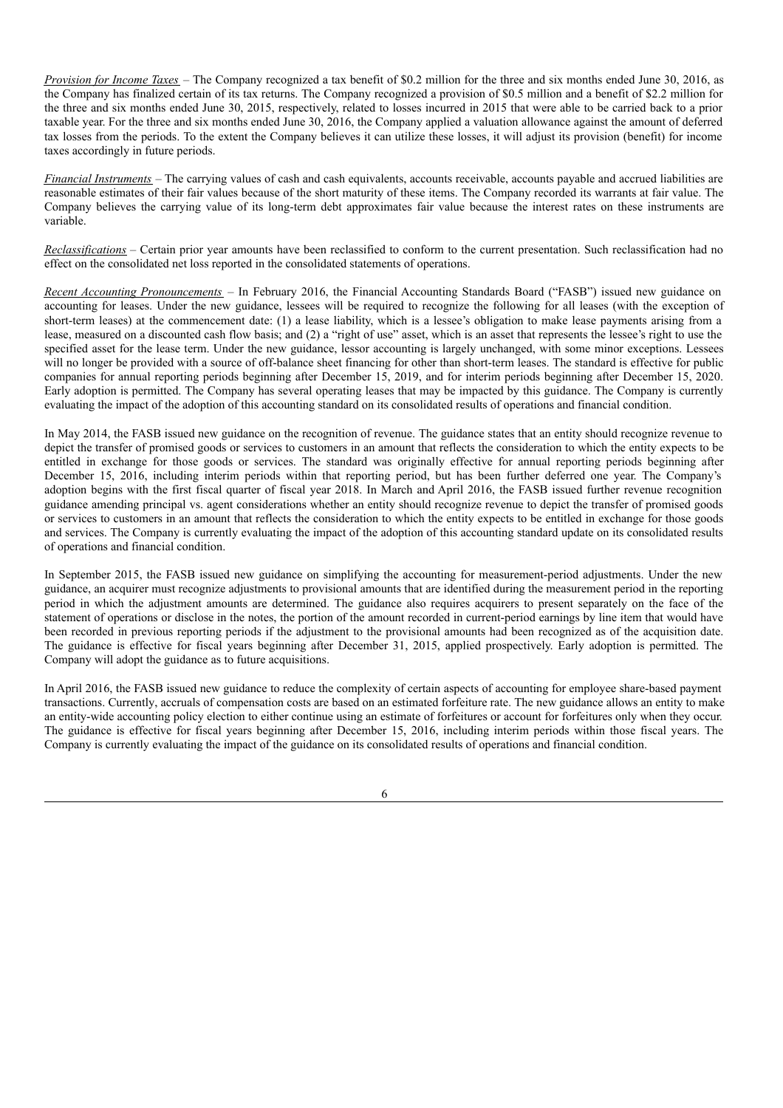*Provision for Income Taxes* – The Company recognized a tax benefit of \$0.2 million for the three and six months ended June 30, 2016, as the Company has finalized certain of its tax returns. The Company recognized a provision of \$0.5 million and a benefit of \$2.2 million for the three and six months ended June 30, 2015, respectively, related to losses incurred in 2015 that were able to be carried back to a prior taxable year. For the three and six months ended June 30, 2016, the Company applied a valuation allowance against the amount of deferred tax losses from the periods. To the extent the Company believes it can utilize these losses, it will adjust its provision (benefit) for income taxes accordingly in future periods.

*Financial Instruments –* The carrying values of cash and cash equivalents, accounts receivable, accounts payable and accrued liabilities are reasonable estimates of their fair values because of the short maturity of these items. The Company recorded its warrants at fair value. The Company believes the carrying value of its long-term debt approximates fair value because the interest rates on these instruments are variable.

*Reclassifications* – Certain prior year amounts have been reclassified to conform to the current presentation. Such reclassification had no effect on the consolidated net loss reported in the consolidated statements of operations.

*Recent Accounting Pronouncements* – In February 2016, the Financial Accounting Standards Board ("FASB") issued new guidance on accounting for leases. Under the new guidance, lessees will be required to recognize the following for all leases (with the exception of short-term leases) at the commencement date: (1) a lease liability, which is a lessee's obligation to make lease payments arising from a lease, measured on a discounted cash flow basis; and (2) a "right of use" asset, which is an asset that represents the lessee's right to use the specified asset for the lease term. Under the new guidance, lessor accounting is largely unchanged, with some minor exceptions. Lessees will no longer be provided with a source of off-balance sheet financing for other than short-term leases. The standard is effective for public companies for annual reporting periods beginning after December 15, 2019, and for interim periods beginning after December 15, 2020. Early adoption is permitted. The Company has several operating leases that may be impacted by this guidance. The Company is currently evaluating the impact of the adoption of this accounting standard on its consolidated results of operations and financial condition.

In May 2014, the FASB issued new guidance on the recognition of revenue. The guidance states that an entity should recognize revenue to depict the transfer of promised goods or services to customers in an amount that reflects the consideration to which the entity expects to be entitled in exchange for those goods or services. The standard was originally effective for annual reporting periods beginning after December 15, 2016, including interim periods within that reporting period, but has been further deferred one year. The Company's adoption begins with the first fiscal quarter of fiscal year 2018. In March and April 2016, the FASB issued further revenue recognition guidance amending principal vs. agent considerations whether an entity should recognize revenue to depict the transfer of promised goods or services to customers in an amount that reflects the consideration to which the entity expects to be entitled in exchange for those goods and services. The Company is currently evaluating the impact of the adoption of this accounting standard update on its consolidated results of operations and financial condition.

In September 2015, the FASB issued new guidance on simplifying the accounting for measurement-period adjustments. Under the new guidance, an acquirer must recognize adjustments to provisional amounts that are identified during the measurement period in the reporting period in which the adjustment amounts are determined. The guidance also requires acquirers to present separately on the face of the statement of operations or disclose in the notes, the portion of the amount recorded in current-period earnings by line item that would have been recorded in previous reporting periods if the adjustment to the provisional amounts had been recognized as of the acquisition date. The guidance is effective for fiscal years beginning after December 31, 2015, applied prospectively. Early adoption is permitted. The Company will adopt the guidance as to future acquisitions.

In April 2016, the FASB issued new guidance to reduce the complexity of certain aspects of accounting for employee share-based payment transactions. Currently, accruals of compensation costs are based on an estimated forfeiture rate. The new guidance allows an entity to make an entity-wide accounting policy election to either continue using an estimate of forfeitures or account for forfeitures only when they occur. The guidance is effective for fiscal years beginning after December 15, 2016, including interim periods within those fiscal years. The Company is currently evaluating the impact of the guidance on its consolidated results of operations and financial condition.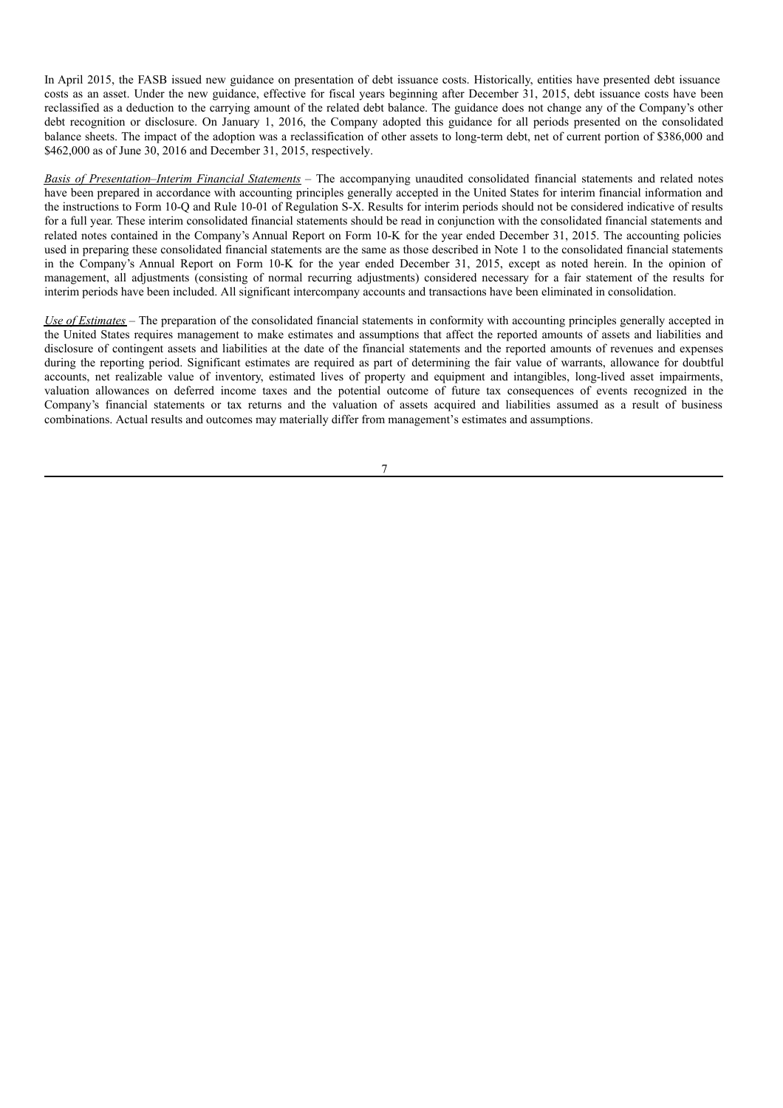In April 2015, the FASB issued new guidance on presentation of debt issuance costs. Historically, entities have presented debt issuance costs as an asset. Under the new guidance, effective for fiscal years beginning after December 31, 2015, debt issuance costs have been reclassified as a deduction to the carrying amount of the related debt balance. The guidance does not change any of the Company's other debt recognition or disclosure. On January 1, 2016, the Company adopted this guidance for all periods presented on the consolidated balance sheets. The impact of the adoption was a reclassification of other assets to long-term debt, net of current portion of \$386,000 and \$462,000 as of June 30, 2016 and December 31, 2015, respectively.

*Basis of Presentation*–*Interim Financial Statements* – The accompanying unaudited consolidated financial statements and related notes have been prepared in accordance with accounting principles generally accepted in the United States for interim financial information and the instructions to Form 10-Q and Rule 10-01 of Regulation S-X. Results for interim periods should not be considered indicative of results for a full year. These interim consolidated financial statements should be read in conjunction with the consolidated financial statements and related notes contained in the Company's Annual Report on Form 10-K for the year ended December 31, 2015. The accounting policies used in preparing these consolidated financial statements are the same as those described in Note 1 to the consolidated financial statements in the Company's Annual Report on Form 10-K for the year ended December 31, 2015, except as noted herein. In the opinion of management, all adjustments (consisting of normal recurring adjustments) considered necessary for a fair statement of the results for interim periods have been included. All significant intercompany accounts and transactions have been eliminated in consolidation.

*Use of Estimates* – The preparation of the consolidated financial statements in conformity with accounting principles generally accepted in the United States requires management to make estimates and assumptions that affect the reported amounts of assets and liabilities and disclosure of contingent assets and liabilities at the date of the financial statements and the reported amounts of revenues and expenses during the reporting period. Significant estimates are required as part of determining the fair value of warrants, allowance for doubtful accounts, net realizable value of inventory, estimated lives of property and equipment and intangibles, long-lived asset impairments, valuation allowances on deferred income taxes and the potential outcome of future tax consequences of events recognized in the Company's financial statements or tax returns and the valuation of assets acquired and liabilities assumed as a result of business combinations. Actual results and outcomes may materially differ from management's estimates and assumptions.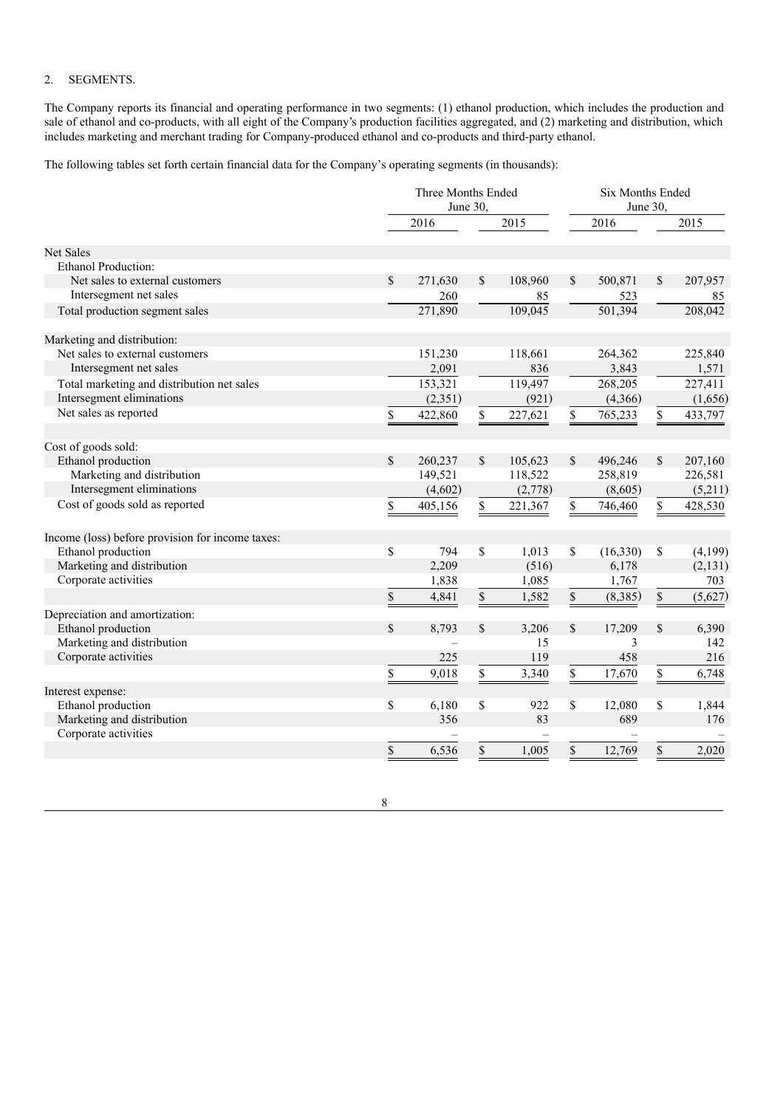## 2. SEGMENTS.

The Company reports its financial and operating performance in two segments: (1) ethanol production, which includes the production and sale of ethanol and co-products, with all eight of the Company's production facilities aggregated, and (2) marketing and distribution, which includes marketing and merchant trading for Company-produced ethanol and co-products and third-party ethanol.

The following tables set forth certain financial data for the Company's operating segments (in thousands):

|                                                  | Three Months Ended<br>June 30. |              |         | <b>Six Months Ended</b><br>June 30, |           |              |          |  |
|--------------------------------------------------|--------------------------------|--------------|---------|-------------------------------------|-----------|--------------|----------|--|
|                                                  | 2016                           |              | 2015    |                                     | 2016      |              | 2015     |  |
| <b>Net Sales</b>                                 |                                |              |         |                                     |           |              |          |  |
| Ethanol Production:                              |                                |              |         |                                     |           |              |          |  |
| Net sales to external customers                  | \$<br>271,630                  | $\mathbb{S}$ | 108,960 | $\mathcal{S}$                       | 500,871   | \$           | 207,957  |  |
| Intersegment net sales                           | 260                            |              | 85      |                                     | 523       |              | 85       |  |
| Total production segment sales                   | 271,890                        |              | 109,045 |                                     | 501,394   |              | 208,042  |  |
| Marketing and distribution:                      |                                |              |         |                                     |           |              |          |  |
| Net sales to external customers                  | 151,230                        |              | 118,661 |                                     | 264,362   |              | 225,840  |  |
| Intersegment net sales                           | 2,091                          |              | 836     |                                     | 3,843     |              | 1,571    |  |
| Total marketing and distribution net sales       | 153,321                        |              | 119,497 |                                     | 268,205   |              | 227,411  |  |
| Intersegment eliminations                        | (2,351)                        |              | (921)   |                                     | (4,366)   |              | (1,656)  |  |
| Net sales as reported                            | \$<br>422,860                  | \$           | 227,621 | \$                                  | 765,233   | \$           | 433,797  |  |
| Cost of goods sold:                              |                                |              |         |                                     |           |              |          |  |
| Ethanol production                               | \$<br>260,237                  | \$           | 105,623 | \$                                  | 496,246   | \$           | 207,160  |  |
| Marketing and distribution                       | 149,521                        |              | 118,522 |                                     | 258,819   |              | 226,581  |  |
| Intersegment eliminations                        | (4,602)                        |              | (2,778) |                                     | (8,605)   |              | (5,211)  |  |
| Cost of goods sold as reported                   | \$<br>405,156                  | \$           | 221,367 | \$                                  | 746,460   | \$           | 428,530  |  |
| Income (loss) before provision for income taxes: |                                |              |         |                                     |           |              |          |  |
| Ethanol production                               | \$<br>794                      | \$           | 1,013   | $\mathbb S$                         | (16, 330) | \$           | (4,199)  |  |
| Marketing and distribution                       | 2,209                          |              | (516)   |                                     | 6,178     |              | (2, 131) |  |
| Corporate activities                             | 1,838                          |              | 1,085   |                                     | 1,767     |              | 703      |  |
|                                                  | \$<br>4,841                    | \$           | 1,582   | \$                                  | (8,385)   | $\mathbb{S}$ | (5,627)  |  |
| Depreciation and amortization:                   |                                |              |         |                                     |           |              |          |  |
| Ethanol production                               | \$<br>8,793                    | \$           | 3,206   | \$                                  | 17,209    | $\mathbf S$  | 6,390    |  |
| Marketing and distribution                       |                                |              | 15      |                                     | 3         |              | 142      |  |
| Corporate activities                             | 225                            |              | 119     |                                     | 458       |              | 216      |  |
|                                                  | \$<br>9,018                    | \$           | 3,340   | \$                                  | 17,670    | \$           | 6,748    |  |
| Interest expense:                                |                                |              |         |                                     |           |              |          |  |
| Ethanol production                               | \$<br>6,180                    | \$           | 922     | \$                                  | 12,080    | \$           | 1,844    |  |
| Marketing and distribution                       | 356                            |              | 83      |                                     | 689       |              | 176      |  |
| Corporate activities                             |                                |              |         |                                     |           |              |          |  |
|                                                  | \$<br>6,536                    | \$           | 1,005   | $\mathcal{S}$                       | 12,769    | \$           | 2,020    |  |
|                                                  |                                |              |         |                                     |           |              |          |  |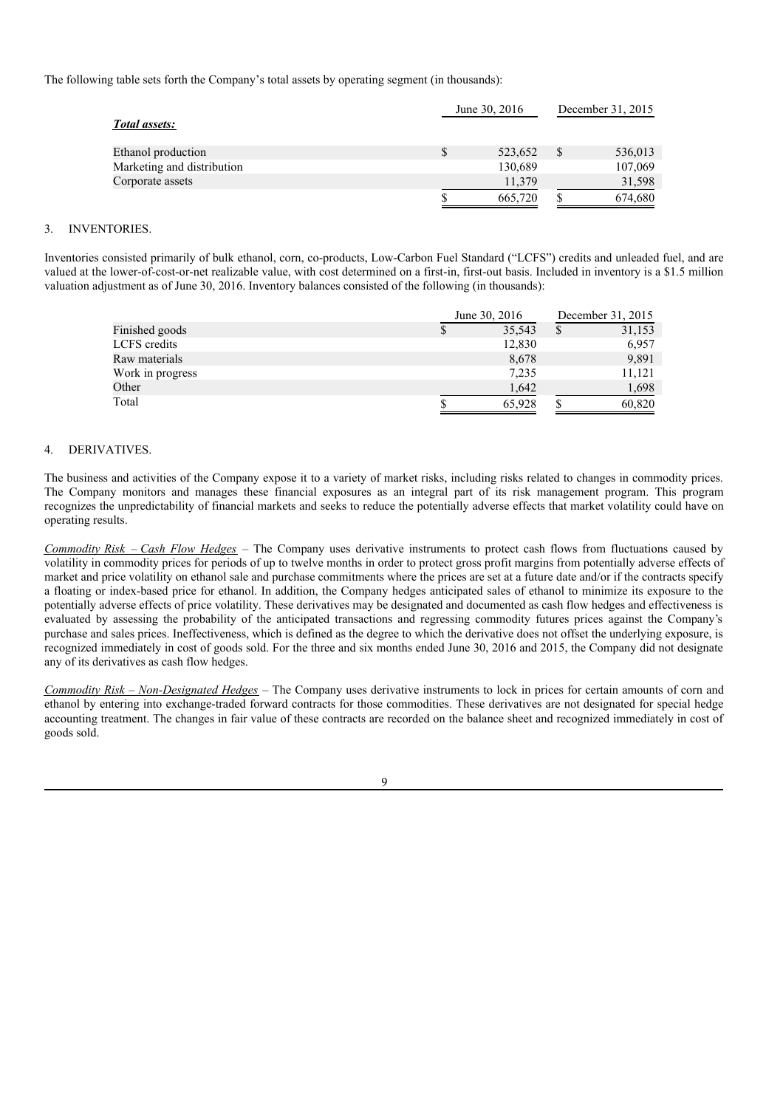The following table sets forth the Company's total assets by operating segment (in thousands):

|                            | June 30, 2016 |   | December 31, 2015 |
|----------------------------|---------------|---|-------------------|
| Total assets:              |               |   |                   |
| Ethanol production         | 523,652       | S | 536,013           |
| Marketing and distribution | 130,689       |   | 107,069           |
| Corporate assets           | 11.379        |   | 31,598            |
|                            | 665,720       |   | 674,680           |

### 3. INVENTORIES.

Inventories consisted primarily of bulk ethanol, corn, co-products, Low-Carbon Fuel Standard ("LCFS") credits and unleaded fuel, and are valued at the lower-of-cost-or-net realizable value, with cost determined on a first-in, first-out basis. Included in inventory is a \$1.5 million valuation adjustment as of June 30, 2016. Inventory balances consisted of the following (in thousands):

|                  | June 30, 2016 | December 31, 2015 |
|------------------|---------------|-------------------|
| Finished goods   | 35,543        | 31,153            |
| LCFS credits     | 12,830        | 6,957             |
| Raw materials    | 8,678         | 9,891             |
| Work in progress | 7,235         | 11,121            |
| Other            | 1,642         | 1,698             |
| Total            | 65.928        | 60,820            |

#### 4. DERIVATIVES.

The business and activities of the Company expose it to a variety of market risks, including risks related to changes in commodity prices. The Company monitors and manages these financial exposures as an integral part of its risk management program. This program recognizes the unpredictability of financial markets and seeks to reduce the potentially adverse effects that market volatility could have on operating results.

*Commodity Risk* – *Cash Flow Hedges* – The Company uses derivative instruments to protect cash flows from fluctuations caused by volatility in commodity prices for periods of up to twelve months in order to protect gross profit margins from potentially adverse effects of market and price volatility on ethanol sale and purchase commitments where the prices are set at a future date and/or if the contracts specify a floating or index-based price for ethanol. In addition, the Company hedges anticipated sales of ethanol to minimize its exposure to the potentially adverse effects of price volatility. These derivatives may be designated and documented as cash flow hedges and effectiveness is evaluated by assessing the probability of the anticipated transactions and regressing commodity futures prices against the Company's purchase and sales prices. Ineffectiveness, which is defined as the degree to which the derivative does not offset the underlying exposure, is recognized immediately in cost of goods sold. For the three and six months ended June 30, 2016 and 2015, the Company did not designate any of its derivatives as cash flow hedges.

*Commodity Risk – Non-Designated Hedges* – The Company uses derivative instruments to lock in prices for certain amounts of corn and ethanol by entering into exchange-traded forward contracts for those commodities. These derivatives are not designated for special hedge accounting treatment. The changes in fair value of these contracts are recorded on the balance sheet and recognized immediately in cost of goods sold.

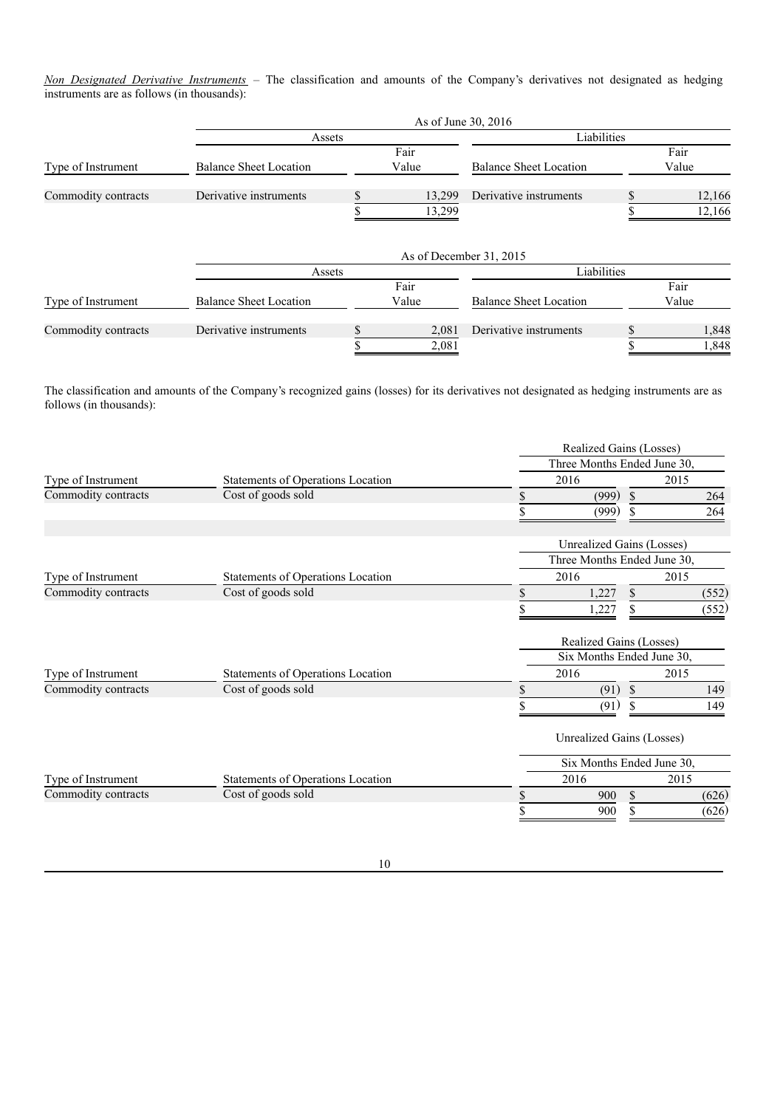*Non Designated Derivative Instruments* – The classification and amounts of the Company's derivatives not designated as hedging instruments are as follows (in thousands):

|                     | As of June 30, 2016           |        |                         |                               |  |        |  |  |
|---------------------|-------------------------------|--------|-------------------------|-------------------------------|--|--------|--|--|
|                     | Assets                        |        |                         | Liabilities                   |  |        |  |  |
|                     |                               |        | Fair                    |                               |  | Fair   |  |  |
| Type of Instrument  | <b>Balance Sheet Location</b> |        | Value                   | <b>Balance Sheet Location</b> |  | Value  |  |  |
| Commodity contracts | Derivative instruments        |        | 13,299                  | Derivative instruments        |  | 12,166 |  |  |
|                     |                               | 13,299 |                         |                               |  | 12,166 |  |  |
|                     | Assets                        |        | As of December 31, 2015 | Liabilities                   |  |        |  |  |
|                     |                               |        | Fair                    |                               |  | Fair   |  |  |
| Type of Instrument  | <b>Balance Sheet Location</b> |        | Value                   | <b>Balance Sheet Location</b> |  | Value  |  |  |
| Commodity contracts | Derivative instruments        |        | 2,081                   | Derivative instruments        |  | 1,848  |  |  |
|                     |                               |        | 2,081                   |                               |  | 1,848  |  |  |

The classification and amounts of the Company's recognized gains (losses) for its derivatives not designated as hedging instruments are as follows (in thousands):

|                     |                                   | Realized Gains (Losses)          |               |       |  |  |  |  |
|---------------------|-----------------------------------|----------------------------------|---------------|-------|--|--|--|--|
|                     |                                   | Three Months Ended June 30,      |               |       |  |  |  |  |
| Type of Instrument  | Statements of Operations Location | 2016                             |               | 2015  |  |  |  |  |
| Commodity contracts | Cost of goods sold                | \$<br>(999)                      | <sup>\$</sup> | 264   |  |  |  |  |
|                     |                                   | (999)                            |               | 264   |  |  |  |  |
|                     |                                   | <b>Unrealized Gains (Losses)</b> |               |       |  |  |  |  |
|                     |                                   | Three Months Ended June 30,      |               |       |  |  |  |  |
| Type of Instrument  | Statements of Operations Location | 2016                             |               | 2015  |  |  |  |  |
| Commodity contracts | Cost of goods sold                | \$<br>1,227                      | $\mathbb{S}$  | (552) |  |  |  |  |
|                     |                                   | 1,227                            |               | (552) |  |  |  |  |
|                     |                                   | Realized Gains (Losses)          |               |       |  |  |  |  |
|                     |                                   | Six Months Ended June 30,        |               |       |  |  |  |  |
| Type of Instrument  | Statements of Operations Location | 2016                             |               | 2015  |  |  |  |  |
| Commodity contracts | Cost of goods sold                | \$<br>(91)                       | \$            | 149   |  |  |  |  |
|                     |                                   | \$<br>(91)                       |               | 149   |  |  |  |  |
|                     |                                   | Unrealized Gains (Losses)        |               |       |  |  |  |  |
|                     |                                   | Six Months Ended June 30,        |               |       |  |  |  |  |
| Type of Instrument  | Statements of Operations Location | 2016                             |               | 2015  |  |  |  |  |
| Commodity contracts | Cost of goods sold                | \$<br>900                        | \$            | (626) |  |  |  |  |
|                     |                                   | \$<br>900                        | S             | (626) |  |  |  |  |
|                     |                                   |                                  |               |       |  |  |  |  |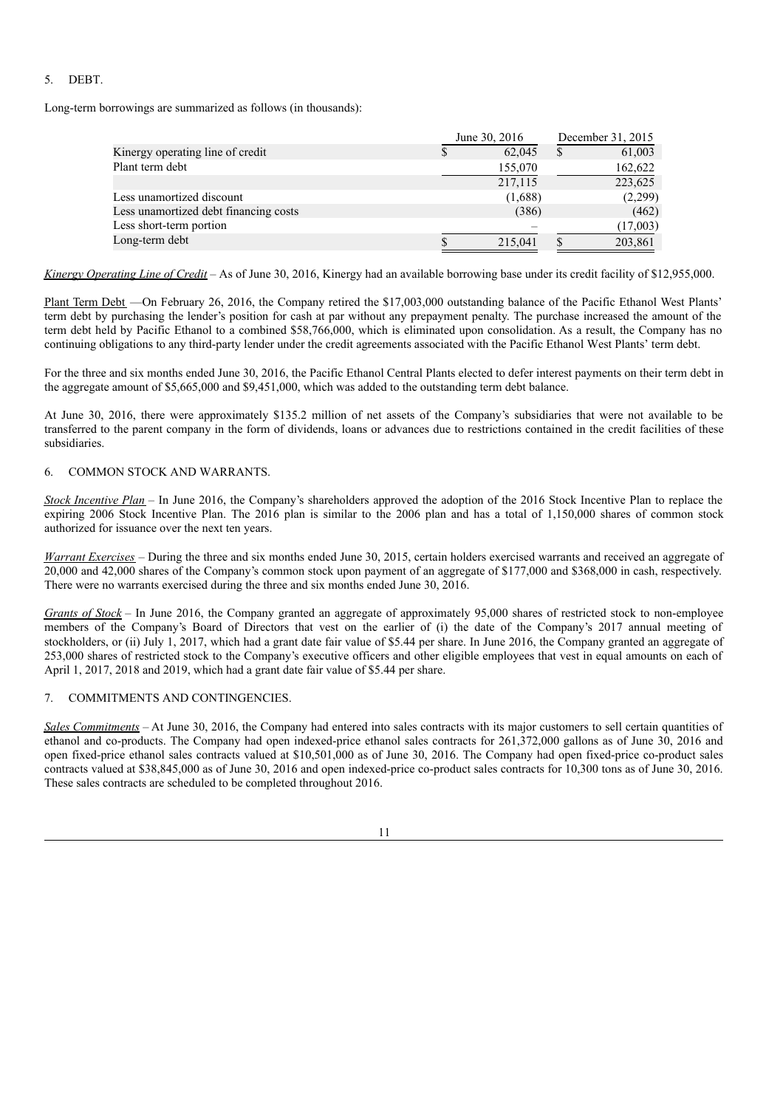### 5. DEBT.

Long-term borrowings are summarized as follows (in thousands):

|                                       | June 30, 2016 | December 31, 2015 |
|---------------------------------------|---------------|-------------------|
| Kinergy operating line of credit      | 62,045        | 61,003            |
| Plant term debt                       | 155,070       | 162,622           |
|                                       | 217,115       | 223,625           |
| Less unamortized discount             | (1,688)       | (2,299)           |
| Less unamortized debt financing costs | (386)         | (462)             |
| Less short-term portion               |               | (17,003)          |
| Long-term debt                        | 215,041       | 203,861           |

*Kinergy Operating Line of Credit* – As of June 30, 2016, Kinergy had an available borrowing base under its credit facility of \$12,955,000.

Plant Term Debt —On February 26, 2016, the Company retired the \$17,003,000 outstanding balance of the Pacific Ethanol West Plants' term debt by purchasing the lender's position for cash at par without any prepayment penalty. The purchase increased the amount of the term debt held by Pacific Ethanol to a combined \$58,766,000, which is eliminated upon consolidation. As a result, the Company has no continuing obligations to any third-party lender under the credit agreements associated with the Pacific Ethanol West Plants' term debt.

For the three and six months ended June 30, 2016, the Pacific Ethanol Central Plants elected to defer interest payments on their term debt in the aggregate amount of \$5,665,000 and \$9,451,000, which was added to the outstanding term debt balance.

At June 30, 2016, there were approximately \$135.2 million of net assets of the Company's subsidiaries that were not available to be transferred to the parent company in the form of dividends, loans or advances due to restrictions contained in the credit facilities of these subsidiaries.

### 6. COMMON STOCK AND WARRANTS.

*Stock Incentive Plan* – In June 2016, the Company's shareholders approved the adoption of the 2016 Stock Incentive Plan to replace the expiring 2006 Stock Incentive Plan. The 2016 plan is similar to the 2006 plan and has a total of 1,150,000 shares of common stock authorized for issuance over the next ten years.

*Warrant Exercises* – During the three and six months ended June 30, 2015, certain holders exercised warrants and received an aggregate of 20,000 and 42,000 shares of the Company's common stock upon payment of an aggregate of \$177,000 and \$368,000 in cash, respectively. There were no warrants exercised during the three and six months ended June 30, 2016.

*Grants of Stock* – In June 2016, the Company granted an aggregate of approximately 95,000 shares of restricted stock to non-employee members of the Company's Board of Directors that vest on the earlier of (i) the date of the Company's 2017 annual meeting of stockholders, or (ii) July 1, 2017, which had a grant date fair value of \$5.44 per share. In June 2016, the Company granted an aggregate of 253,000 shares of restricted stock to the Company's executive officers and other eligible employees that vest in equal amounts on each of April 1, 2017, 2018 and 2019, which had a grant date fair value of \$5.44 per share.

### 7. COMMITMENTS AND CONTINGENCIES.

*Sales Commitments* – At June 30, 2016, the Company had entered into sales contracts with its major customers to sell certain quantities of ethanol and co-products. The Company had open indexed-price ethanol sales contracts for 261,372,000 gallons as of June 30, 2016 and open fixed-price ethanol sales contracts valued at \$10,501,000 as of June 30, 2016. The Company had open fixed-price co-product sales contracts valued at \$38,845,000 as of June 30, 2016 and open indexed-price co-product sales contracts for 10,300 tons as of June 30, 2016. These sales contracts are scheduled to be completed throughout 2016.

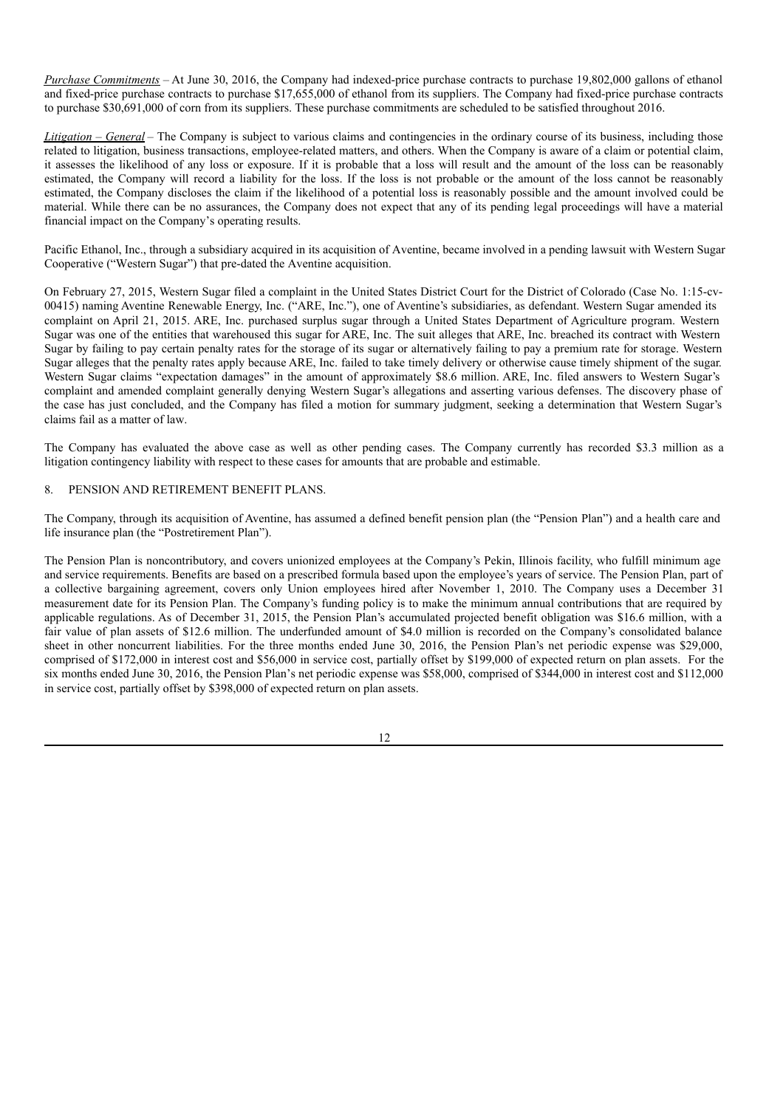*Purchase Commitments* – At June 30, 2016, the Company had indexed-price purchase contracts to purchase 19,802,000 gallons of ethanol and fixed-price purchase contracts to purchase \$17,655,000 of ethanol from its suppliers. The Company had fixed-price purchase contracts to purchase \$30,691,000 of corn from its suppliers. These purchase commitments are scheduled to be satisfied throughout 2016.

*Litigation* – *General* – The Company is subject to various claims and contingencies in the ordinary course of its business, including those related to litigation, business transactions, employee-related matters, and others. When the Company is aware of a claim or potential claim, it assesses the likelihood of any loss or exposure. If it is probable that a loss will result and the amount of the loss can be reasonably estimated, the Company will record a liability for the loss. If the loss is not probable or the amount of the loss cannot be reasonably estimated, the Company discloses the claim if the likelihood of a potential loss is reasonably possible and the amount involved could be material. While there can be no assurances, the Company does not expect that any of its pending legal proceedings will have a material financial impact on the Company's operating results.

Pacific Ethanol, Inc., through a subsidiary acquired in its acquisition of Aventine, became involved in a pending lawsuit with Western Sugar Cooperative ("Western Sugar") that pre-dated the Aventine acquisition.

On February 27, 2015, Western Sugar filed a complaint in the United States District Court for the District of Colorado (Case No. 1:15-cv-00415) naming Aventine Renewable Energy, Inc. ("ARE, Inc."), one of Aventine's subsidiaries, as defendant. Western Sugar amended its complaint on April 21, 2015. ARE, Inc. purchased surplus sugar through a United States Department of Agriculture program. Western Sugar was one of the entities that warehoused this sugar for ARE, Inc. The suit alleges that ARE, Inc. breached its contract with Western Sugar by failing to pay certain penalty rates for the storage of its sugar or alternatively failing to pay a premium rate for storage. Western Sugar alleges that the penalty rates apply because ARE, Inc. failed to take timely delivery or otherwise cause timely shipment of the sugar. Western Sugar claims "expectation damages" in the amount of approximately \$8.6 million. ARE, Inc. filed answers to Western Sugar's complaint and amended complaint generally denying Western Sugar's allegations and asserting various defenses. The discovery phase of the case has just concluded, and the Company has filed a motion for summary judgment, seeking a determination that Western Sugar's claims fail as a matter of law.

The Company has evaluated the above case as well as other pending cases. The Company currently has recorded \$3.3 million as a litigation contingency liability with respect to these cases for amounts that are probable and estimable.

### 8. PENSION AND RETIREMENT BENEFIT PLANS.

The Company, through its acquisition of Aventine, has assumed a defined benefit pension plan (the "Pension Plan") and a health care and life insurance plan (the "Postretirement Plan").

The Pension Plan is noncontributory, and covers unionized employees at the Company's Pekin, Illinois facility, who fulfill minimum age and service requirements. Benefits are based on a prescribed formula based upon the employee's years of service. The Pension Plan, part of a collective bargaining agreement, covers only Union employees hired after November 1, 2010. The Company uses a December 31 measurement date for its Pension Plan. The Company's funding policy is to make the minimum annual contributions that are required by applicable regulations. As of December 31, 2015, the Pension Plan's accumulated projected benefit obligation was \$16.6 million, with a fair value of plan assets of \$12.6 million. The underfunded amount of \$4.0 million is recorded on the Company's consolidated balance sheet in other noncurrent liabilities. For the three months ended June 30, 2016, the Pension Plan's net periodic expense was \$29,000, comprised of \$172,000 in interest cost and \$56,000 in service cost, partially offset by \$199,000 of expected return on plan assets. For the six months ended June 30, 2016, the Pension Plan's net periodic expense was \$58,000, comprised of \$344,000 in interest cost and \$112,000 in service cost, partially offset by \$398,000 of expected return on plan assets.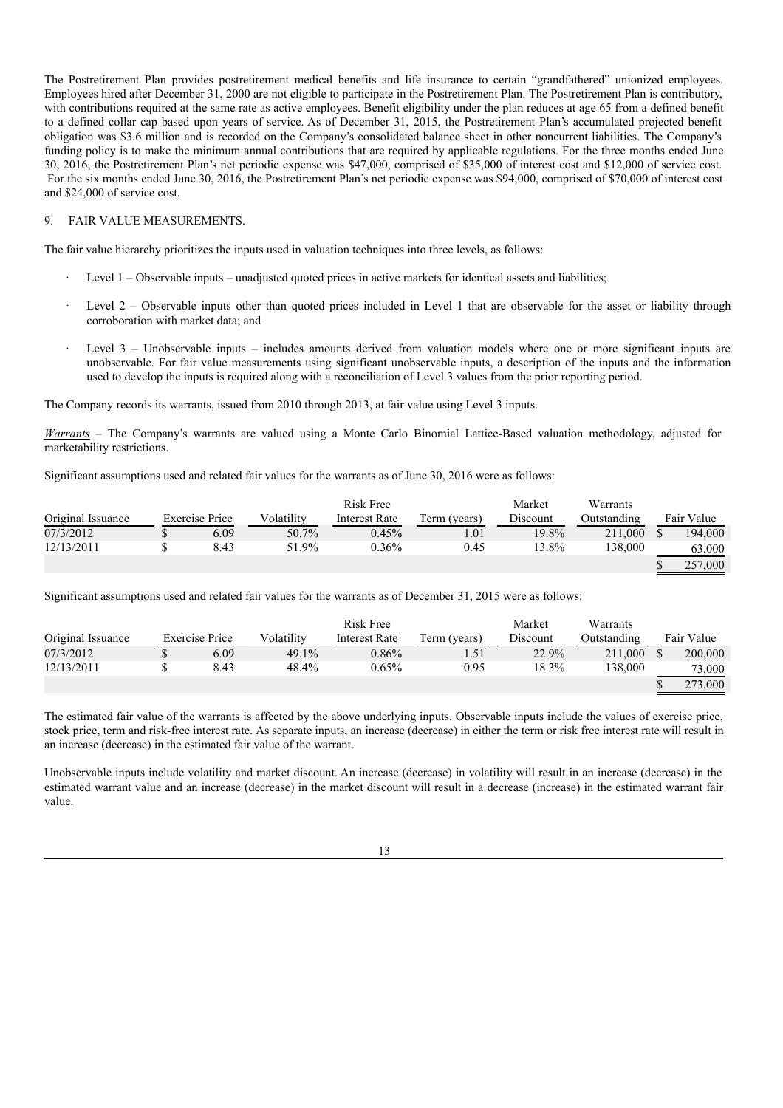The Postretirement Plan provides postretirement medical benefits and life insurance to certain "grandfathered" unionized employees. Employees hired after December 31, 2000 are not eligible to participate in the Postretirement Plan. The Postretirement Plan is contributory, with contributions required at the same rate as active employees. Benefit eligibility under the plan reduces at age 65 from a defined benefit to a defined collar cap based upon years of service. As of December 31, 2015, the Postretirement Plan's accumulated projected benefit obligation was \$3.6 million and is recorded on the Company's consolidated balance sheet in other noncurrent liabilities. The Company's funding policy is to make the minimum annual contributions that are required by applicable regulations. For the three months ended June 30, 2016, the Postretirement Plan's net periodic expense was \$47,000, comprised of \$35,000 of interest cost and \$12,000 of service cost. For the six months ended June 30, 2016, the Postretirement Plan's net periodic expense was \$94,000, comprised of \$70,000 of interest cost and \$24,000 of service cost.

### 9. FAIR VALUE MEASUREMENTS.

The fair value hierarchy prioritizes the inputs used in valuation techniques into three levels, as follows:

- Level 1 Observable inputs unadjusted quoted prices in active markets for identical assets and liabilities;
- Level  $2$  Observable inputs other than quoted prices included in Level 1 that are observable for the asset or liability through corroboration with market data; and
- Level 3 Unobservable inputs includes amounts derived from valuation models where one or more significant inputs are unobservable. For fair value measurements using significant unobservable inputs, a description of the inputs and the information used to develop the inputs is required along with a reconciliation of Level 3 values from the prior reporting period.

The Company records its warrants, issued from 2010 through 2013, at fair value using Level 3 inputs.

*Warrants* – The Company's warrants are valued using a Monte Carlo Binomial Lattice-Based valuation methodology, adjusted for marketability restrictions.

Significant assumptions used and related fair values for the warrants as of June 30, 2016 were as follows:

|                   |                       |            | Risk Free     |              | Market   | Warrants    |            |
|-------------------|-----------------------|------------|---------------|--------------|----------|-------------|------------|
| Original Issuance | <b>Exercise Price</b> | Volatility | Interest Rate | Term (years) | Discount | Outstanding | Fair Value |
| 07/3/2012         | 6.09                  | 50.7%      | 0.45%         | 1.01         | 19.8%    | 211,000     | 194,000    |
| 12/13/2011        | 8.43                  | 51.9%      | $0.36\%$      | 0.45         | 13.8%    | 138.000     | 63,000     |
|                   |                       |            |               |              |          |             | 257,000    |

Significant assumptions used and related fair values for the warrants as of December 31, 2015 were as follows:

|                   |                       |            | Risk Free     |              | Market   | Warrants    |            |
|-------------------|-----------------------|------------|---------------|--------------|----------|-------------|------------|
| Original Issuance | <b>Exercise Price</b> | Volatility | Interest Rate | Term (years) | Discount | Outstanding | Fair Value |
| 07/3/2012         | 6.09                  | 49.1%      | $0.86\%$      |              | 22.9%    | 211,000     | 200,000    |
| 12/13/2011        | 8.43                  | 48.4%      | $0.65\%$      | 0.95         | $18.3\%$ | 138,000     | 73,000     |
|                   |                       |            |               |              |          |             | 273,000    |

The estimated fair value of the warrants is affected by the above underlying inputs. Observable inputs include the values of exercise price, stock price, term and risk-free interest rate. As separate inputs, an increase (decrease) in either the term or risk free interest rate will result in an increase (decrease) in the estimated fair value of the warrant.

Unobservable inputs include volatility and market discount. An increase (decrease) in volatility will result in an increase (decrease) in the estimated warrant value and an increase (decrease) in the market discount will result in a decrease (increase) in the estimated warrant fair value.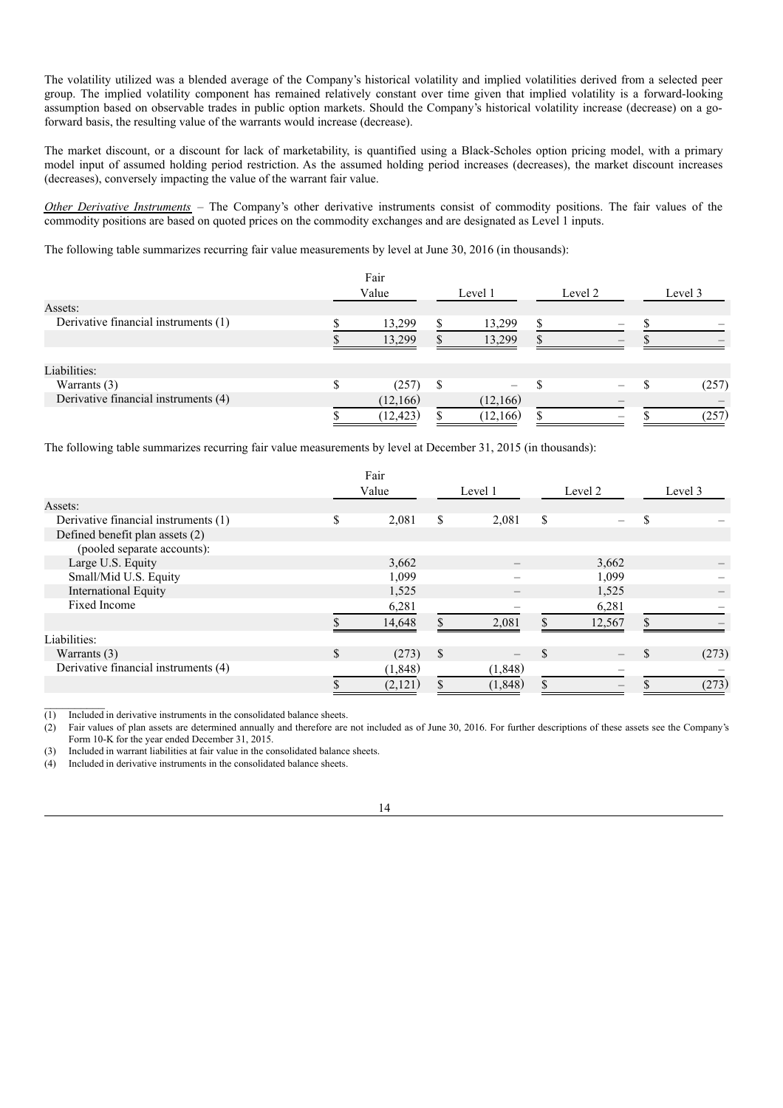The volatility utilized was a blended average of the Company's historical volatility and implied volatilities derived from a selected peer group. The implied volatility component has remained relatively constant over time given that implied volatility is a forward-looking assumption based on observable trades in public option markets. Should the Company's historical volatility increase (decrease) on a goforward basis, the resulting value of the warrants would increase (decrease).

The market discount, or a discount for lack of marketability, is quantified using a Black-Scholes option pricing model, with a primary model input of assumed holding period restriction. As the assumed holding period increases (decreases), the market discount increases (decreases), conversely impacting the value of the warrant fair value.

*Other Derivative Instruments* – The Company's other derivative instruments consist of commodity positions. The fair values of the commodity positions are based on quoted prices on the commodity exchanges and are designated as Level 1 inputs.

The following table summarizes recurring fair value measurements by level at June 30, 2016 (in thousands):

|                                      |       | Fair      |   |           |         |         |       |  |
|--------------------------------------|-------|-----------|---|-----------|---------|---------|-------|--|
|                                      | Value |           |   | Level 1   | Level 2 | Level 3 |       |  |
| Assets:                              |       |           |   |           |         |         |       |  |
| Derivative financial instruments (1) |       | 13,299    |   | 13,299    |         |         |       |  |
|                                      |       | 13,299    |   | 13,299    |         |         |       |  |
| Liabilities:                         |       |           |   |           |         |         |       |  |
| Warrants (3)                         |       | (257)     | S |           |         |         | (257) |  |
| Derivative financial instruments (4) |       | (12, 166) |   | (12,166)  |         |         |       |  |
|                                      |       | (12, 423) |   | (12, 166) |         |         | (257) |  |

The following table summarizes recurring fair value measurements by level at December 31, 2015 (in thousands):

|                                      |     | Fair     |    |          |     |         |               |       |
|--------------------------------------|-----|----------|----|----------|-----|---------|---------------|-------|
|                                      |     | Value    |    | Level 1  |     | Level 2 | Level 3       |       |
| Assets:                              |     |          |    |          |     |         |               |       |
| Derivative financial instruments (1) | \$  | 2,081    | \$ | 2,081    | \$  |         | S             |       |
| Defined benefit plan assets (2)      |     |          |    |          |     |         |               |       |
| (pooled separate accounts):          |     |          |    |          |     |         |               |       |
| Large U.S. Equity                    |     | 3,662    |    |          |     | 3,662   |               |       |
| Small/Mid U.S. Equity                |     | 1,099    |    |          |     | 1,099   |               |       |
| <b>International Equity</b>          |     | 1,525    |    |          |     | 1,525   |               |       |
| Fixed Income                         |     | 6,281    |    |          |     | 6,281   |               |       |
|                                      |     | 14,648   |    | 2.081    |     | 12,567  | $\mathcal{S}$ |       |
| Liabilities:                         |     |          |    |          |     |         |               |       |
| Warrants $(3)$                       | \$. | (273)    | S  |          | \$. |         |               | (273) |
| Derivative financial instruments (4) |     | (1, 848) |    | (1, 848) |     |         |               |       |
|                                      |     | (2,121)  |    | (1, 848) |     |         |               | (273) |

 $\overline{(1)}$  Included in derivative instruments in the consolidated balance sheets.

(2) Fair values of plan assets are determined annually and therefore are not included as of June 30, 2016. For further descriptions of these assets see the Company's Form 10-K for the year ended December 31, 2015.

(3) Included in warrant liabilities at fair value in the consolidated balance sheets.

(4) Included in derivative instruments in the consolidated balance sheets.

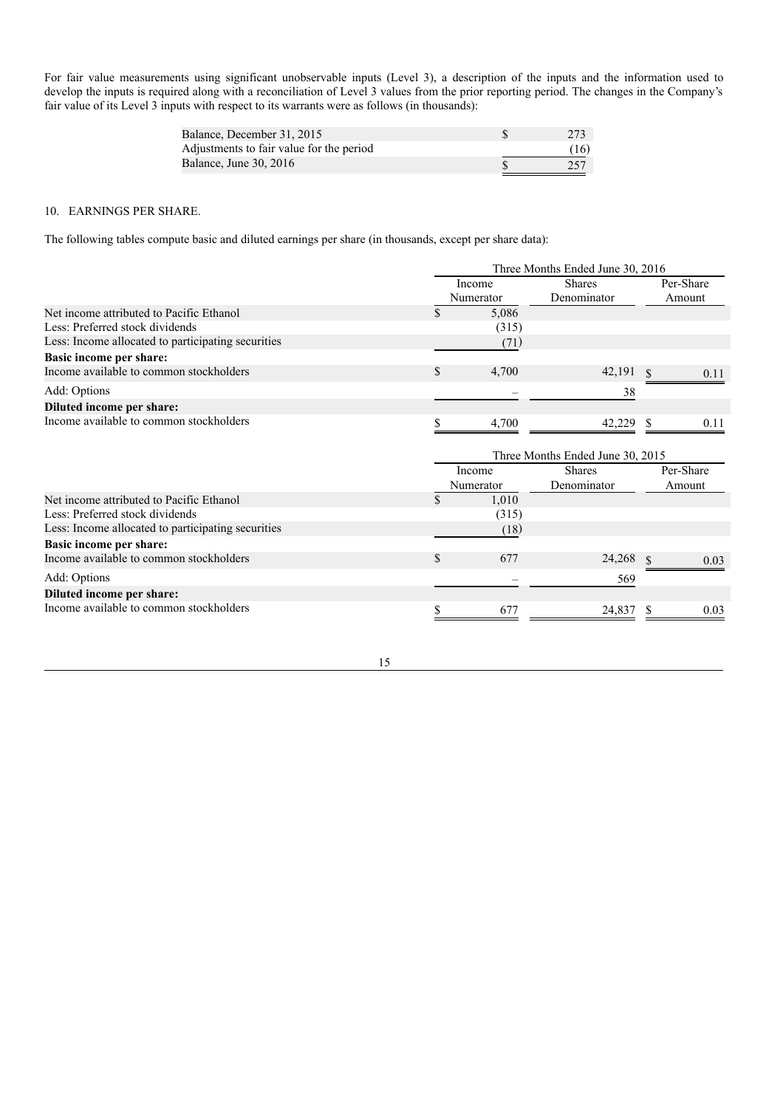For fair value measurements using significant unobservable inputs (Level 3), a description of the inputs and the information used to develop the inputs is required along with a reconciliation of Level 3 values from the prior reporting period. The changes in the Company's fair value of its Level 3 inputs with respect to its warrants were as follows (in thousands):

| Balance, December 31, 2015               | 273  |
|------------------------------------------|------|
| Adjustments to fair value for the period | (16) |
| Balance, June 30, 2016                   | 257  |

### 10. EARNINGS PER SHARE.

The following tables compute basic and diluted earnings per share (in thousands, except per share data):

|                                                                                                                                                                                                         | Three Months Ended June 30, 2016 |                     |                                  |    |                     |  |  |  |  |  |
|---------------------------------------------------------------------------------------------------------------------------------------------------------------------------------------------------------|----------------------------------|---------------------|----------------------------------|----|---------------------|--|--|--|--|--|
| Net income attributed to Pacific Ethanol<br>Less: Preferred stock dividends<br>Less: Income allocated to participating securities<br>Basic income per share:<br>Income available to common stockholders |                                  | Income<br>Numerator | <b>Shares</b><br>Denominator     |    | Per-Share<br>Amount |  |  |  |  |  |
|                                                                                                                                                                                                         |                                  | 5.086               |                                  |    |                     |  |  |  |  |  |
|                                                                                                                                                                                                         |                                  | (315)               |                                  |    |                     |  |  |  |  |  |
|                                                                                                                                                                                                         |                                  | (71)                |                                  |    |                     |  |  |  |  |  |
|                                                                                                                                                                                                         |                                  |                     |                                  |    |                     |  |  |  |  |  |
|                                                                                                                                                                                                         | S                                | 4,700               | 42,191                           |    | 0.11                |  |  |  |  |  |
| Add: Options                                                                                                                                                                                            |                                  |                     | 38                               |    |                     |  |  |  |  |  |
| Diluted income per share:                                                                                                                                                                               |                                  |                     |                                  |    |                     |  |  |  |  |  |
| Income available to common stockholders                                                                                                                                                                 |                                  | 4.700               | 42.229                           | -S | 0.11                |  |  |  |  |  |
|                                                                                                                                                                                                         |                                  |                     | Three Months Ended June 30, 2015 |    |                     |  |  |  |  |  |

|                                                    | Income<br>Numerator | <b>Shares</b><br>Denominator | Per-Share<br>Amount |
|----------------------------------------------------|---------------------|------------------------------|---------------------|
| Net income attributed to Pacific Ethanol           | 1.010               |                              |                     |
| Less: Preferred stock dividends                    | (315)               |                              |                     |
| Less: Income allocated to participating securities | (18)                |                              |                     |
| Basic income per share:                            |                     |                              |                     |
| Income available to common stockholders            | 677                 | 24,268                       | 0.03                |
| Add: Options                                       |                     | 569                          |                     |
| Diluted income per share:                          |                     |                              |                     |
| Income available to common stockholders            | 677                 | 24,837                       | 0.03                |

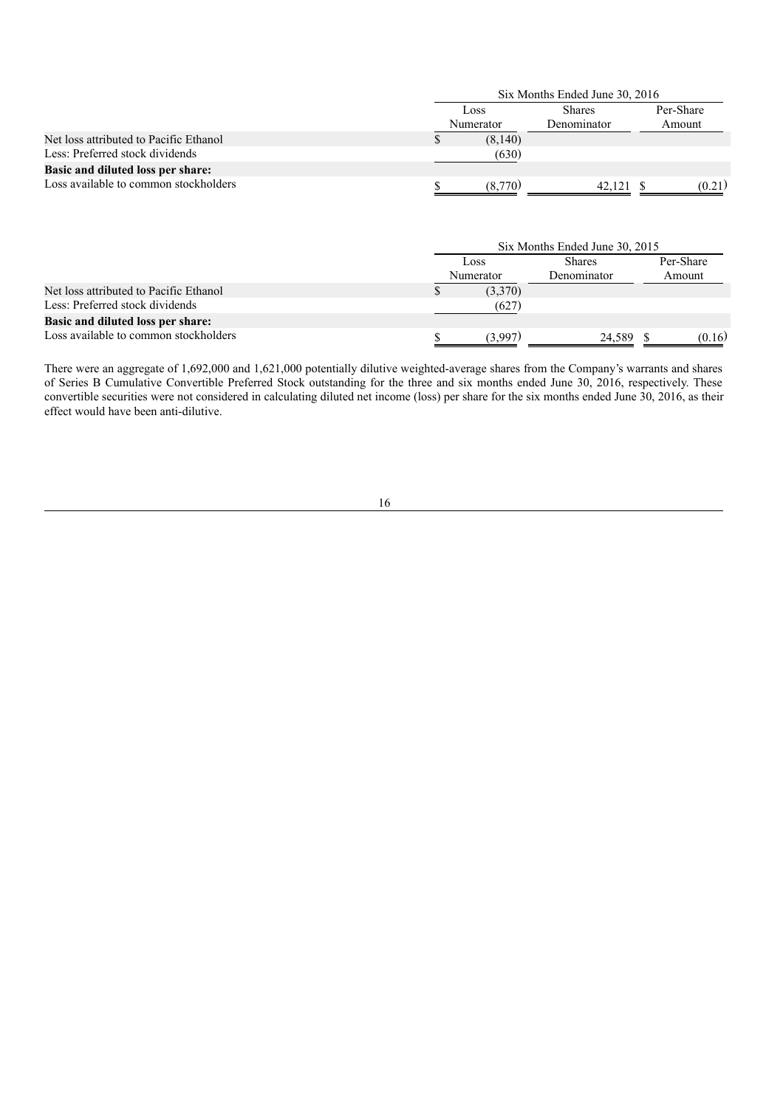|                                        |                   | Six Months Ended June 30, 2016 |                     |
|----------------------------------------|-------------------|--------------------------------|---------------------|
|                                        | Loss<br>Numerator | <b>Shares</b><br>Denominator   | Per-Share<br>Amount |
| Net loss attributed to Pacific Ethanol | (8,140)           |                                |                     |
| Less: Preferred stock dividends        | (630)             |                                |                     |
| Basic and diluted loss per share:      |                   |                                |                     |
| Loss available to common stockholders  | (8,770)           | 42.121 \$                      | (0.21)              |

|                                        |                   | Six Months Ended June 30, 2015 |                     |
|----------------------------------------|-------------------|--------------------------------|---------------------|
|                                        | Loss<br>Numerator | <b>Shares</b><br>Denominator   | Per-Share<br>Amount |
| Net loss attributed to Pacific Ethanol | (3,370)           |                                |                     |
| Less: Preferred stock dividends        | (627)             |                                |                     |
| Basic and diluted loss per share:      |                   |                                |                     |
| Loss available to common stockholders  | (3,997)           | 24,589 \$                      | (0.16)              |

There were an aggregate of 1,692,000 and 1,621,000 potentially dilutive weighted-average shares from the Company's warrants and shares of Series B Cumulative Convertible Preferred Stock outstanding for the three and six months ended June 30, 2016, respectively. These convertible securities were not considered in calculating diluted net income (loss) per share for the six months ended June 30, 2016, as their effect would have been anti-dilutive.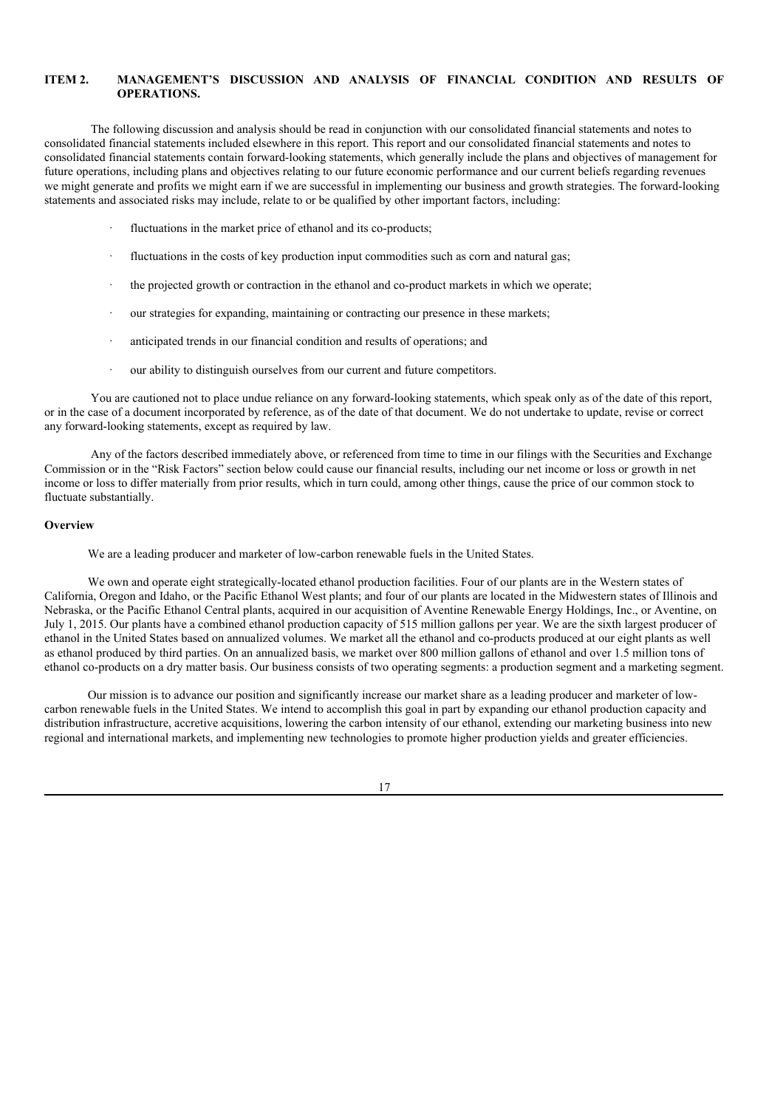## **ITEM 2. MANAGEMENT'S DISCUSSION AND ANALYSIS OF FINANCIAL CONDITION AND RESULTS OF OPERATIONS.**

The following discussion and analysis should be read in conjunction with our consolidated financial statements and notes to consolidated financial statements included elsewhere in this report. This report and our consolidated financial statements and notes to consolidated financial statements contain forward-looking statements, which generally include the plans and objectives of management for future operations, including plans and objectives relating to our future economic performance and our current beliefs regarding revenues we might generate and profits we might earn if we are successful in implementing our business and growth strategies. The forward-looking statements and associated risks may include, relate to or be qualified by other important factors, including:

- fluctuations in the market price of ethanol and its co-products:
- fluctuations in the costs of key production input commodities such as corn and natural gas;
- · the projected growth or contraction in the ethanol and co-product markets in which we operate;
- our strategies for expanding, maintaining or contracting our presence in these markets;
- anticipated trends in our financial condition and results of operations; and
- our ability to distinguish ourselves from our current and future competitors.

You are cautioned not to place undue reliance on any forward-looking statements, which speak only as of the date of this report, or in the case of a document incorporated by reference, as of the date of that document. We do not undertake to update, revise or correct any forward-looking statements, except as required by law.

Any of the factors described immediately above, or referenced from time to time in our filings with the Securities and Exchange Commission or in the "Risk Factors" section below could cause our financial results, including our net income or loss or growth in net income or loss to differ materially from prior results, which in turn could, among other things, cause the price of our common stock to fluctuate substantially.

### **Overview**

We are a leading producer and marketer of low-carbon renewable fuels in the United States.

We own and operate eight strategically-located ethanol production facilities. Four of our plants are in the Western states of California, Oregon and Idaho, or the Pacific Ethanol West plants; and four of our plants are located in the Midwestern states of Illinois and Nebraska, or the Pacific Ethanol Central plants, acquired in our acquisition of Aventine Renewable Energy Holdings, Inc., or Aventine, on July 1, 2015. Our plants have a combined ethanol production capacity of 515 million gallons per year. We are the sixth largest producer of ethanol in the United States based on annualized volumes. We market all the ethanol and co-products produced at our eight plants as well as ethanol produced by third parties. On an annualized basis, we market over 800 million gallons of ethanol and over 1.5 million tons of ethanol co-products on a dry matter basis. Our business consists of two operating segments: a production segment and a marketing segment.

Our mission is to advance our position and significantly increase our market share as a leading producer and marketer of lowcarbon renewable fuels in the United States. We intend to accomplish this goal in part by expanding our ethanol production capacity and distribution infrastructure, accretive acquisitions, lowering the carbon intensity of our ethanol, extending our marketing business into new regional and international markets, and implementing new technologies to promote higher production yields and greater efficiencies.

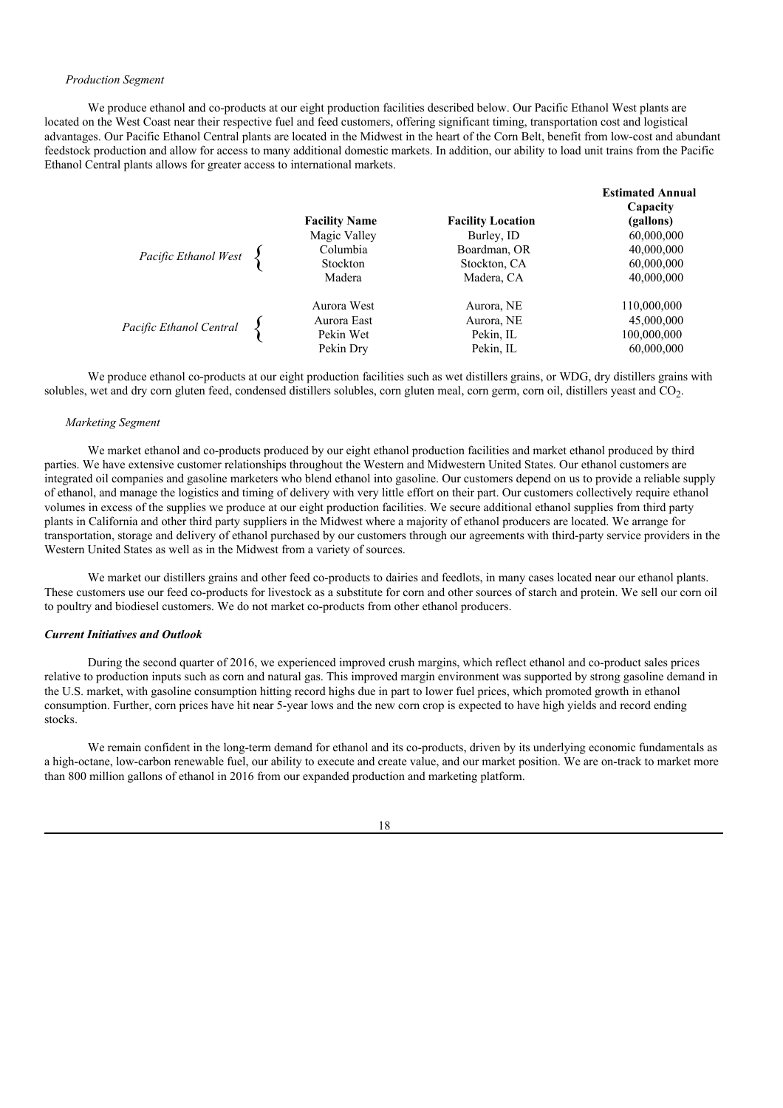#### *Production Segment*

We produce ethanol and co-products at our eight production facilities described below. Our Pacific Ethanol West plants are located on the West Coast near their respective fuel and feed customers, offering significant timing, transportation cost and logistical advantages. Our Pacific Ethanol Central plants are located in the Midwest in the heart of the Corn Belt, benefit from low-cost and abundant feedstock production and allow for access to many additional domestic markets. In addition, our ability to load unit trains from the Pacific Ethanol Central plants allows for greater access to international markets.

| Pacific Ethanol West    | <b>Facility Name</b><br>Magic Valley<br>Columbia     | <b>Facility Location</b><br>Burley, ID<br>Boardman, OR | <b>Estimated Annual</b><br>Capacity<br>(gallons)<br>60,000,000<br>40,000,000 |
|-------------------------|------------------------------------------------------|--------------------------------------------------------|------------------------------------------------------------------------------|
|                         | Stockton<br>Madera                                   | Stockton, CA<br>Madera, CA                             | 60,000,000<br>40,000,000                                                     |
| Pacific Ethanol Central | Aurora West<br>Aurora East<br>Pekin Wet<br>Pekin Dry | Aurora, NE<br>Aurora, NE<br>Pekin, IL<br>Pekin, IL     | 110,000,000<br>45,000,000<br>100,000,000<br>60,000,000                       |

**Estimated Annual**

We produce ethanol co-products at our eight production facilities such as wet distillers grains, or WDG, dry distillers grains with solubles, wet and dry corn gluten feed, condensed distillers solubles, corn gluten meal, corn germ, corn oil, distillers yeast and CO<sub>2</sub>.

#### *Marketing Segment*

We market ethanol and co-products produced by our eight ethanol production facilities and market ethanol produced by third parties. We have extensive customer relationships throughout the Western and Midwestern United States. Our ethanol customers are integrated oil companies and gasoline marketers who blend ethanol into gasoline. Our customers depend on us to provide a reliable supply of ethanol, and manage the logistics and timing of delivery with very little effort on their part. Our customers collectively require ethanol volumes in excess of the supplies we produce at our eight production facilities. We secure additional ethanol supplies from third party plants in California and other third party suppliers in the Midwest where a majority of ethanol producers are located. We arrange for transportation, storage and delivery of ethanol purchased by our customers through our agreements with third-party service providers in the Western United States as well as in the Midwest from a variety of sources.

We market our distillers grains and other feed co-products to dairies and feedlots, in many cases located near our ethanol plants. These customers use our feed co-products for livestock as a substitute for corn and other sources of starch and protein. We sell our corn oil to poultry and biodiesel customers. We do not market co-products from other ethanol producers.

#### *Current Initiatives and Outlook*

During the second quarter of 2016, we experienced improved crush margins, which reflect ethanol and co-product sales prices relative to production inputs such as corn and natural gas. This improved margin environment was supported by strong gasoline demand in the U.S. market, with gasoline consumption hitting record highs due in part to lower fuel prices, which promoted growth in ethanol consumption. Further, corn prices have hit near 5-year lows and the new corn crop is expected to have high yields and record ending stocks.

We remain confident in the long-term demand for ethanol and its co-products, driven by its underlying economic fundamentals as a high-octane, low-carbon renewable fuel, our ability to execute and create value, and our market position. We are on-track to market more than 800 million gallons of ethanol in 2016 from our expanded production and marketing platform.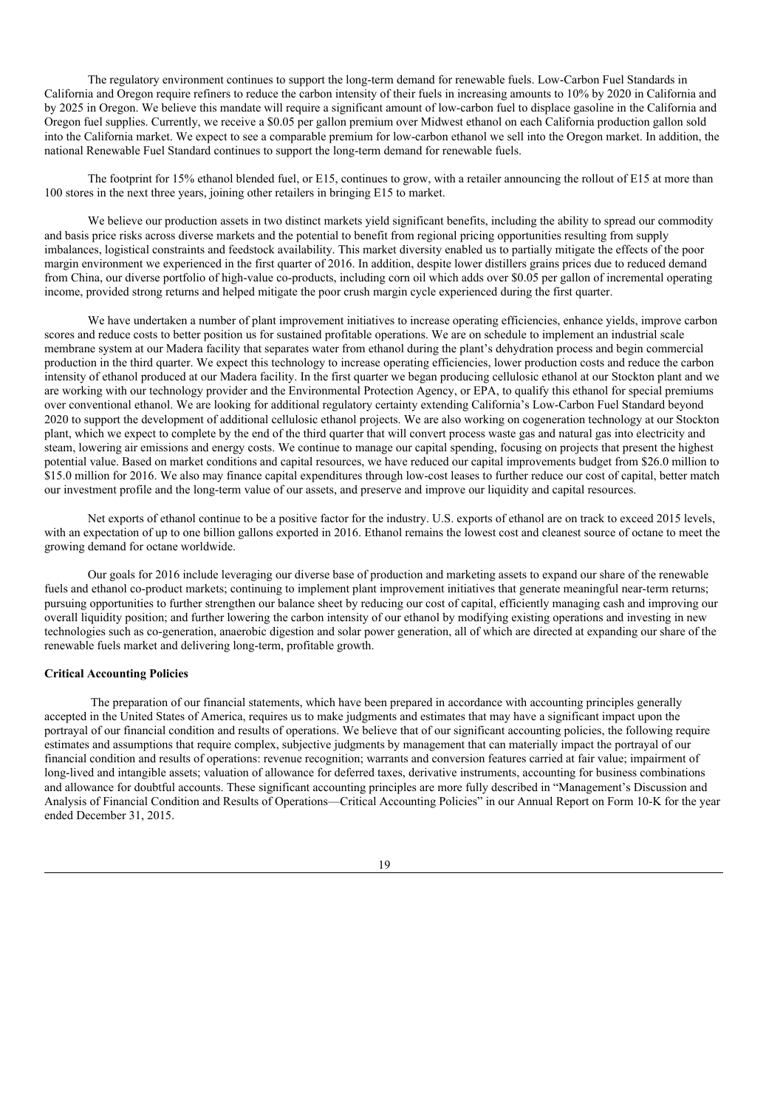The regulatory environment continues to support the long-term demand for renewable fuels. Low-Carbon Fuel Standards in California and Oregon require refiners to reduce the carbon intensity of their fuels in increasing amounts to 10% by 2020 in California and by 2025 in Oregon. We believe this mandate will require a significant amount of low-carbon fuel to displace gasoline in the California and Oregon fuel supplies. Currently, we receive a \$0.05 per gallon premium over Midwest ethanol on each California production gallon sold into the California market. We expect to see a comparable premium for low-carbon ethanol we sell into the Oregon market. In addition, the national Renewable Fuel Standard continues to support the long-term demand for renewable fuels.

The footprint for 15% ethanol blended fuel, or E15, continues to grow, with a retailer announcing the rollout of E15 at more than 100 stores in the next three years, joining other retailers in bringing E15 to market.

We believe our production assets in two distinct markets yield significant benefits, including the ability to spread our commodity and basis price risks across diverse markets and the potential to benefit from regional pricing opportunities resulting from supply imbalances, logistical constraints and feedstock availability. This market diversity enabled us to partially mitigate the effects of the poor margin environment we experienced in the first quarter of 2016. In addition, despite lower distillers grains prices due to reduced demand from China, our diverse portfolio of high-value co-products, including corn oil which adds over \$0.05 per gallon of incremental operating income, provided strong returns and helped mitigate the poor crush margin cycle experienced during the first quarter.

We have undertaken a number of plant improvement initiatives to increase operating efficiencies, enhance yields, improve carbon scores and reduce costs to better position us for sustained profitable operations. We are on schedule to implement an industrial scale membrane system at our Madera facility that separates water from ethanol during the plant's dehydration process and begin commercial production in the third quarter. We expect this technology to increase operating efficiencies, lower production costs and reduce the carbon intensity of ethanol produced at our Madera facility. In the first quarter we began producing cellulosic ethanol at our Stockton plant and we are working with our technology provider and the Environmental Protection Agency, or EPA, to qualify this ethanol for special premiums over conventional ethanol. We are looking for additional regulatory certainty extending California's Low-Carbon Fuel Standard beyond 2020 to support the development of additional cellulosic ethanol projects. We are also working on cogeneration technology at our Stockton plant, which we expect to complete by the end of the third quarter that will convert process waste gas and natural gas into electricity and steam, lowering air emissions and energy costs. We continue to manage our capital spending, focusing on projects that present the highest potential value. Based on market conditions and capital resources, we have reduced our capital improvements budget from \$26.0 million to \$15.0 million for 2016. We also may finance capital expenditures through low-cost leases to further reduce our cost of capital, better match our investment profile and the long-term value of our assets, and preserve and improve our liquidity and capital resources.

Net exports of ethanol continue to be a positive factor for the industry. U.S. exports of ethanol are on track to exceed 2015 levels, with an expectation of up to one billion gallons exported in 2016. Ethanol remains the lowest cost and cleanest source of octane to meet the growing demand for octane worldwide.

Our goals for 2016 include leveraging our diverse base of production and marketing assets to expand our share of the renewable fuels and ethanol co-product markets; continuing to implement plant improvement initiatives that generate meaningful near-term returns; pursuing opportunities to further strengthen our balance sheet by reducing our cost of capital, efficiently managing cash and improving our overall liquidity position; and further lowering the carbon intensity of our ethanol by modifying existing operations and investing in new technologies such as co-generation, anaerobic digestion and solar power generation, all of which are directed at expanding our share of the renewable fuels market and delivering long-term, profitable growth.

### **Critical Accounting Policies**

The preparation of our financial statements, which have been prepared in accordance with accounting principles generally accepted in the United States of America, requires us to make judgments and estimates that may have a significant impact upon the portrayal of our financial condition and results of operations. We believe that of our significant accounting policies, the following require estimates and assumptions that require complex, subjective judgments by management that can materially impact the portrayal of our financial condition and results of operations: revenue recognition; warrants and conversion features carried at fair value; impairment of long-lived and intangible assets; valuation of allowance for deferred taxes, derivative instruments, accounting for business combinations and allowance for doubtful accounts. These significant accounting principles are more fully described in "Management's Discussion and Analysis of Financial Condition and Results of Operations—Critical Accounting Policies" in our Annual Report on Form 10-K for the year ended December 31, 2015.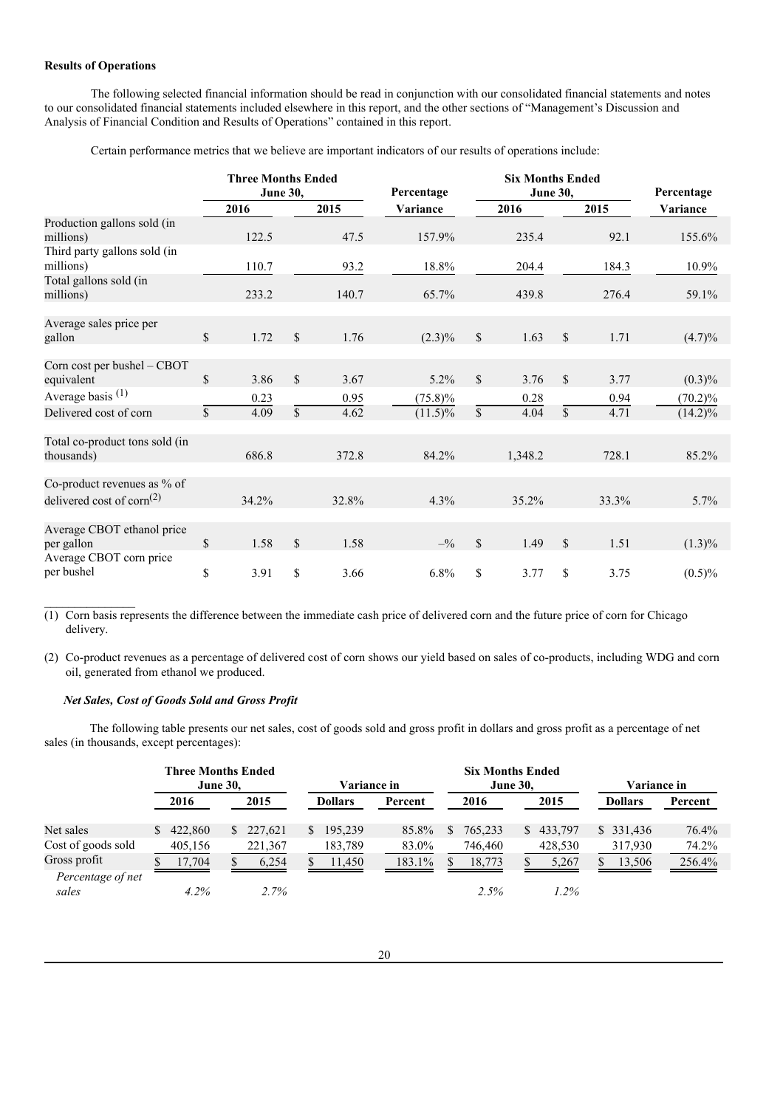### **Results of Operations**

The following selected financial information should be read in conjunction with our consolidated financial statements and notes to our consolidated financial statements included elsewhere in this report, and the other sections of "Management's Discussion and Analysis of Financial Condition and Results of Operations" contained in this report.

Certain performance metrics that we believe are important indicators of our results of operations include:

|                                                                                   | <b>Three Months Ended</b><br><b>June 30,</b> |       |               |       | Percentage   |              | <b>Six Months Ended</b><br><b>June 30,</b> |              |       | Percentage |
|-----------------------------------------------------------------------------------|----------------------------------------------|-------|---------------|-------|--------------|--------------|--------------------------------------------|--------------|-------|------------|
|                                                                                   |                                              | 2016  |               | 2015  | Variance     |              | 2016                                       |              | 2015  | Variance   |
| Production gallons sold (in<br>millions)                                          |                                              | 122.5 |               | 47.5  | 157.9%       |              | 235.4                                      |              | 92.1  | 155.6%     |
| Third party gallons sold (in<br>millions)                                         |                                              | 110.7 |               | 93.2  | 18.8%        |              | 204.4                                      |              | 184.3 | 10.9%      |
| Total gallons sold (in<br>millions)                                               |                                              | 233.2 |               | 140.7 | 65.7%        |              | 439.8                                      |              | 276.4 | 59.1%      |
| Average sales price per<br>gallon                                                 | $\mathbb{S}$                                 | 1.72  | \$            | 1.76  | $(2.3)\%$    | $\mathbb{S}$ | 1.63                                       | \$           | 1.71  | $(4.7)\%$  |
|                                                                                   |                                              |       |               |       |              |              |                                            |              |       |            |
| Corn cost per bushel - CBOT<br>equivalent                                         | $\mathcal{S}$                                | 3.86  | $\mathcal{S}$ | 3.67  | $5.2\%$      | $\mathbb{S}$ | 3.76                                       | $\mathbb{S}$ | 3.77  | $(0.3)\%$  |
| Average basis <sup>(1)</sup>                                                      |                                              | 0.23  |               | 0.95  | $(75.8)\%$   |              | 0.28                                       |              | 0.94  | $(70.2)\%$ |
| Delivered cost of corn                                                            | $\mathbb{S}$                                 | 4.09  | $\mathsf{\$}$ | 4.62  | $(11.5)\%$   | \$           | 4.04                                       | \$           | 4.71  | $(14.2)\%$ |
| Total co-product tons sold (in<br>thousands)                                      |                                              | 686.8 |               | 372.8 | 84.2%        |              | 1,348.2                                    |              | 728.1 | 85.2%      |
| Co-product revenues as % of<br>delivered cost of corn <sup><math>(2)</math></sup> |                                              | 34.2% |               | 32.8% | 4.3%         |              | 35.2%                                      |              | 33.3% | 5.7%       |
| Average CBOT ethanol price<br>per gallon                                          | \$                                           | 1.58  | $\mathcal{S}$ | 1.58  | $-^{0}/_{0}$ | $\mathbb{S}$ | 1.49                                       | $\mathbb{S}$ | 1.51  | $(1.3)\%$  |
| Average CBOT corn price<br>per bushel                                             | \$                                           | 3.91  | $\mathcal{S}$ | 3.66  | 6.8%         | $\mathbb{S}$ | 3.77                                       | \$           | 3.75  | $(0.5)\%$  |

(1) Corn basis represents the difference between the immediate cash price of delivered corn and the future price of corn for Chicago delivery.

(2) Co-product revenues as a percentage of delivered cost of corn shows our yield based on sales of co-products, including WDG and corn oil, generated from ethanol we produced.

#### *Net Sales, Cost of Goods Sold and Gross Profit*

 $\mathcal{L}_\text{max}$ 

The following table presents our net sales, cost of goods sold and gross profit in dollars and gross profit as a percentage of net sales (in thousands, except percentages):

|                            |                 | <b>Three Months Ended</b> |    |         |                           |                    |        |      |                 |      |                |             |           |          |
|----------------------------|-----------------|---------------------------|----|---------|---------------------------|--------------------|--------|------|-----------------|------|----------------|-------------|-----------|----------|
|                            | <b>June 30,</b> |                           |    |         |                           | <b>Variance in</b> |        |      | <b>June 30,</b> |      |                | Variance in |           |          |
|                            |                 | 2016<br>2015              |    |         | <b>Dollars</b><br>Percent |                    |        | 2016 |                 | 2015 | <b>Dollars</b> |             | Percent   |          |
|                            |                 |                           |    |         |                           |                    |        |      |                 |      |                |             |           |          |
| Net sales                  | S.              | 422,860                   | S. | 227,621 | S.                        | 195,239            | 85.8%  | S.   | 765,233         |      | \$433,797      |             | \$331,436 | $76.4\%$ |
| Cost of goods sold         |                 | 405,156                   |    | 221,367 |                           | 183,789            | 83.0%  |      | 746,460         |      | 428,530        |             | 317,930   | 74.2%    |
| Gross profit               |                 | 17.704                    |    | 6.254   |                           | 11,450             | 183.1% |      | 18.773          |      | 5.267          |             | 13,506    | 256.4%   |
| Percentage of net<br>sales |                 | $4.2\%$                   |    | 2.7%    |                           |                    |        |      | 2.5%            |      | $1.2\%$        |             |           |          |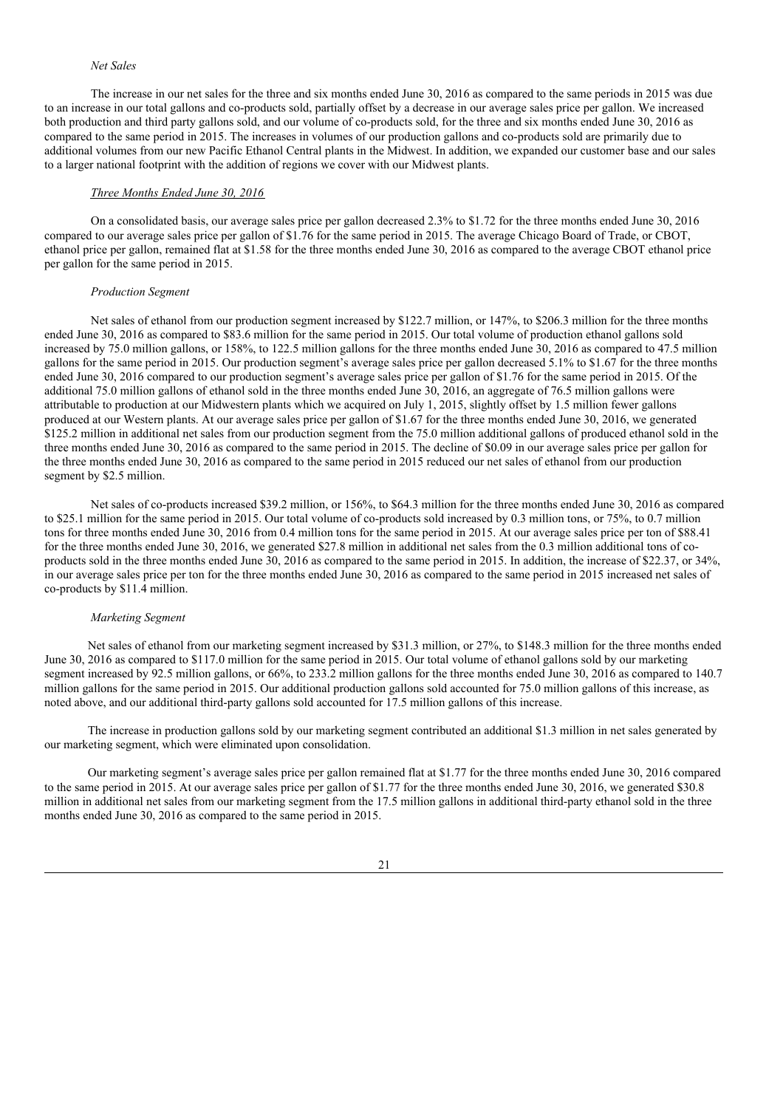### *Net Sales*

The increase in our net sales for the three and six months ended June 30, 2016 as compared to the same periods in 2015 was due to an increase in our total gallons and co-products sold, partially offset by a decrease in our average sales price per gallon. We increased both production and third party gallons sold, and our volume of co-products sold, for the three and six months ended June 30, 2016 as compared to the same period in 2015. The increases in volumes of our production gallons and co-products sold are primarily due to additional volumes from our new Pacific Ethanol Central plants in the Midwest. In addition, we expanded our customer base and our sales to a larger national footprint with the addition of regions we cover with our Midwest plants.

### *Three Months Ended June 30, 2016*

On a consolidated basis, our average sales price per gallon decreased 2.3% to \$1.72 for the three months ended June 30, 2016 compared to our average sales price per gallon of \$1.76 for the same period in 2015. The average Chicago Board of Trade, or CBOT, ethanol price per gallon, remained flat at \$1.58 for the three months ended June 30, 2016 as compared to the average CBOT ethanol price per gallon for the same period in 2015.

#### *Production Segment*

Net sales of ethanol from our production segment increased by \$122.7 million, or 147%, to \$206.3 million for the three months ended June 30, 2016 as compared to \$83.6 million for the same period in 2015. Our total volume of production ethanol gallons sold increased by 75.0 million gallons, or 158%, to 122.5 million gallons for the three months ended June 30, 2016 as compared to 47.5 million gallons for the same period in 2015. Our production segment's average sales price per gallon decreased 5.1% to \$1.67 for the three months ended June 30, 2016 compared to our production segment's average sales price per gallon of \$1.76 for the same period in 2015. Of the additional 75.0 million gallons of ethanol sold in the three months ended June 30, 2016, an aggregate of 76.5 million gallons were attributable to production at our Midwestern plants which we acquired on July 1, 2015, slightly offset by 1.5 million fewer gallons produced at our Western plants. At our average sales price per gallon of \$1.67 for the three months ended June 30, 2016, we generated \$125.2 million in additional net sales from our production segment from the 75.0 million additional gallons of produced ethanol sold in the three months ended June 30, 2016 as compared to the same period in 2015. The decline of \$0.09 in our average sales price per gallon for the three months ended June 30, 2016 as compared to the same period in 2015 reduced our net sales of ethanol from our production segment by \$2.5 million.

Net sales of co-products increased \$39.2 million, or 156%, to \$64.3 million for the three months ended June 30, 2016 as compared to \$25.1 million for the same period in 2015. Our total volume of co-products sold increased by 0.3 million tons, or 75%, to 0.7 million tons for three months ended June 30, 2016 from 0.4 million tons for the same period in 2015. At our average sales price per ton of \$88.41 for the three months ended June 30, 2016, we generated \$27.8 million in additional net sales from the 0.3 million additional tons of coproducts sold in the three months ended June 30, 2016 as compared to the same period in 2015. In addition, the increase of \$22.37, or 34%, in our average sales price per ton for the three months ended June 30, 2016 as compared to the same period in 2015 increased net sales of co-products by \$11.4 million.

#### *Marketing Segment*

Net sales of ethanol from our marketing segment increased by \$31.3 million, or 27%, to \$148.3 million for the three months ended June 30, 2016 as compared to \$117.0 million for the same period in 2015. Our total volume of ethanol gallons sold by our marketing segment increased by 92.5 million gallons, or 66%, to 233.2 million gallons for the three months ended June 30, 2016 as compared to 140.7 million gallons for the same period in 2015. Our additional production gallons sold accounted for 75.0 million gallons of this increase, as noted above, and our additional third-party gallons sold accounted for 17.5 million gallons of this increase.

The increase in production gallons sold by our marketing segment contributed an additional \$1.3 million in net sales generated by our marketing segment, which were eliminated upon consolidation.

Our marketing segment's average sales price per gallon remained flat at \$1.77 for the three months ended June 30, 2016 compared to the same period in 2015. At our average sales price per gallon of \$1.77 for the three months ended June 30, 2016, we generated \$30.8 million in additional net sales from our marketing segment from the 17.5 million gallons in additional third-party ethanol sold in the three months ended June 30, 2016 as compared to the same period in 2015.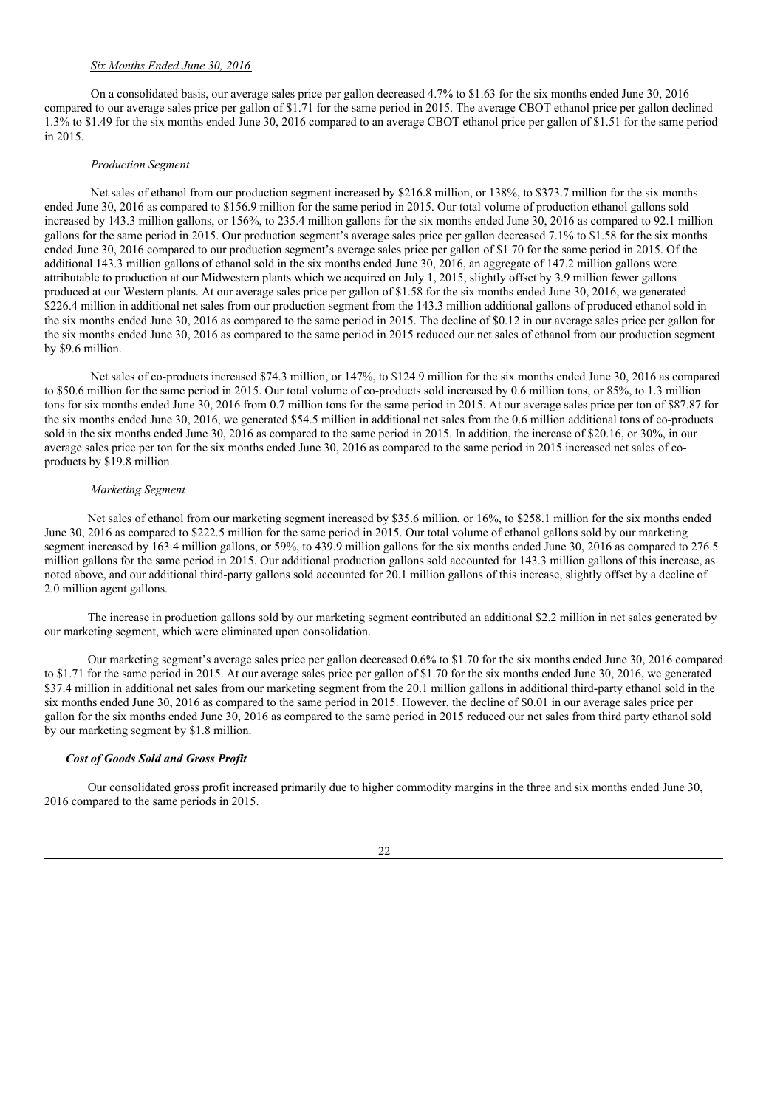### *Six Months Ended June 30, 2016*

On a consolidated basis, our average sales price per gallon decreased 4.7% to \$1.63 for the six months ended June 30, 2016 compared to our average sales price per gallon of \$1.71 for the same period in 2015. The average CBOT ethanol price per gallon declined 1.3% to \$1.49 for the six months ended June 30, 2016 compared to an average CBOT ethanol price per gallon of \$1.51 for the same period in 2015.

#### *Production Segment*

Net sales of ethanol from our production segment increased by \$216.8 million, or 138%, to \$373.7 million for the six months ended June 30, 2016 as compared to \$156.9 million for the same period in 2015. Our total volume of production ethanol gallons sold increased by 143.3 million gallons, or 156%, to 235.4 million gallons for the six months ended June 30, 2016 as compared to 92.1 million gallons for the same period in 2015. Our production segment's average sales price per gallon decreased 7.1% to \$1.58 for the six months ended June 30, 2016 compared to our production segment's average sales price per gallon of \$1.70 for the same period in 2015. Of the additional 143.3 million gallons of ethanol sold in the six months ended June 30, 2016, an aggregate of 147.2 million gallons were attributable to production at our Midwestern plants which we acquired on July 1, 2015, slightly offset by 3.9 million fewer gallons produced at our Western plants. At our average sales price per gallon of \$1.58 for the six months ended June 30, 2016, we generated \$226.4 million in additional net sales from our production segment from the 143.3 million additional gallons of produced ethanol sold in the six months ended June 30, 2016 as compared to the same period in 2015. The decline of \$0.12 in our average sales price per gallon for the six months ended June 30, 2016 as compared to the same period in 2015 reduced our net sales of ethanol from our production segment by \$9.6 million.

Net sales of co-products increased \$74.3 million, or 147%, to \$124.9 million for the six months ended June 30, 2016 as compared to \$50.6 million for the same period in 2015. Our total volume of co-products sold increased by 0.6 million tons, or 85%, to 1.3 million tons for six months ended June 30, 2016 from 0.7 million tons for the same period in 2015. At our average sales price per ton of \$87.87 for the six months ended June 30, 2016, we generated \$54.5 million in additional net sales from the 0.6 million additional tons of co-products sold in the six months ended June 30, 2016 as compared to the same period in 2015. In addition, the increase of \$20.16, or 30%, in our average sales price per ton for the six months ended June 30, 2016 as compared to the same period in 2015 increased net sales of coproducts by \$19.8 million.

#### *Marketing Segment*

Net sales of ethanol from our marketing segment increased by \$35.6 million, or 16%, to \$258.1 million for the six months ended June 30, 2016 as compared to \$222.5 million for the same period in 2015. Our total volume of ethanol gallons sold by our marketing segment increased by 163.4 million gallons, or 59%, to 439.9 million gallons for the six months ended June 30, 2016 as compared to 276.5 million gallons for the same period in 2015. Our additional production gallons sold accounted for 143.3 million gallons of this increase, as noted above, and our additional third-party gallons sold accounted for 20.1 million gallons of this increase, slightly offset by a decline of 2.0 million agent gallons.

The increase in production gallons sold by our marketing segment contributed an additional \$2.2 million in net sales generated by our marketing segment, which were eliminated upon consolidation.

Our marketing segment's average sales price per gallon decreased 0.6% to \$1.70 for the six months ended June 30, 2016 compared to \$1.71 for the same period in 2015. At our average sales price per gallon of \$1.70 for the six months ended June 30, 2016, we generated \$37.4 million in additional net sales from our marketing segment from the 20.1 million gallons in additional third-party ethanol sold in the six months ended June 30, 2016 as compared to the same period in 2015. However, the decline of \$0.01 in our average sales price per gallon for the six months ended June 30, 2016 as compared to the same period in 2015 reduced our net sales from third party ethanol sold by our marketing segment by \$1.8 million.

### *Cost of Goods Sold and Gross Profit*

Our consolidated gross profit increased primarily due to higher commodity margins in the three and six months ended June 30, 2016 compared to the same periods in 2015.

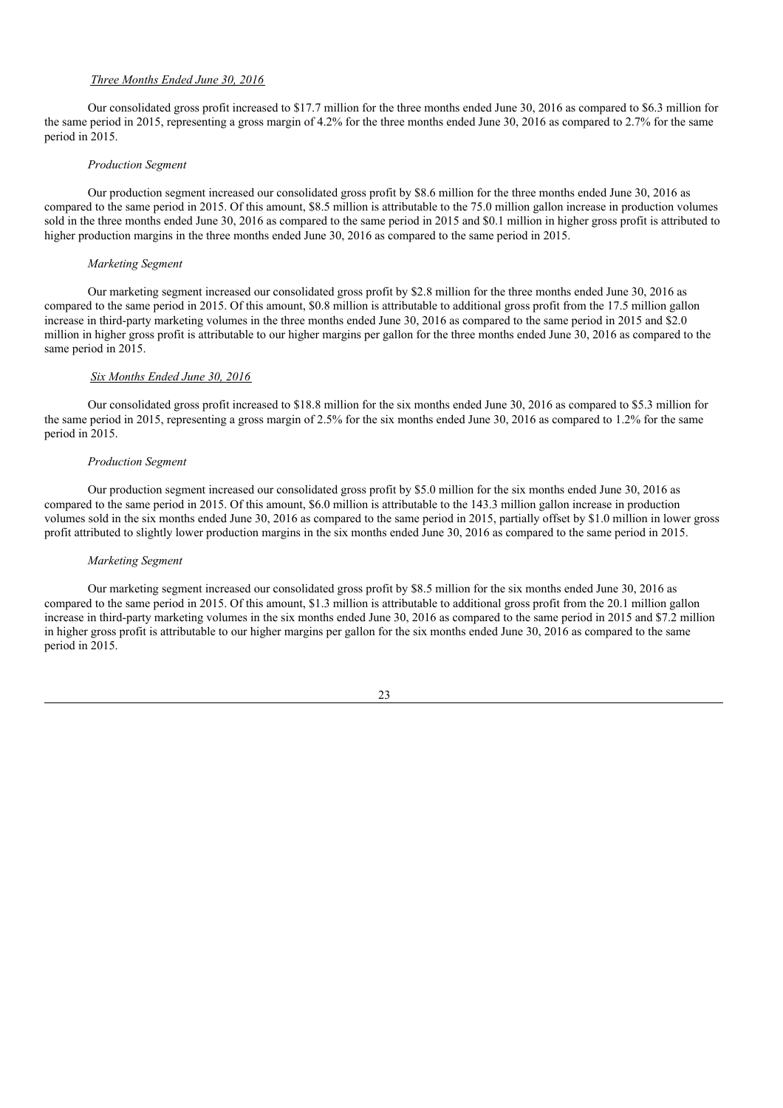### *Three Months Ended June 30, 2016*

Our consolidated gross profit increased to \$17.7 million for the three months ended June 30, 2016 as compared to \$6.3 million for the same period in 2015, representing a gross margin of 4.2% for the three months ended June 30, 2016 as compared to 2.7% for the same period in 2015.

#### *Production Segment*

Our production segment increased our consolidated gross profit by \$8.6 million for the three months ended June 30, 2016 as compared to the same period in 2015. Of this amount, \$8.5 million is attributable to the 75.0 million gallon increase in production volumes sold in the three months ended June 30, 2016 as compared to the same period in 2015 and \$0.1 million in higher gross profit is attributed to higher production margins in the three months ended June 30, 2016 as compared to the same period in 2015.

#### *Marketing Segment*

Our marketing segment increased our consolidated gross profit by \$2.8 million for the three months ended June 30, 2016 as compared to the same period in 2015. Of this amount, \$0.8 million is attributable to additional gross profit from the 17.5 million gallon increase in third-party marketing volumes in the three months ended June 30, 2016 as compared to the same period in 2015 and \$2.0 million in higher gross profit is attributable to our higher margins per gallon for the three months ended June 30, 2016 as compared to the same period in 2015.

### *Six Months Ended June 30, 2016*

Our consolidated gross profit increased to \$18.8 million for the six months ended June 30, 2016 as compared to \$5.3 million for the same period in 2015, representing a gross margin of 2.5% for the six months ended June 30, 2016 as compared to 1.2% for the same period in 2015.

#### *Production Segment*

Our production segment increased our consolidated gross profit by \$5.0 million for the six months ended June 30, 2016 as compared to the same period in 2015. Of this amount, \$6.0 million is attributable to the 143.3 million gallon increase in production volumes sold in the six months ended June 30, 2016 as compared to the same period in 2015, partially offset by \$1.0 million in lower gross profit attributed to slightly lower production margins in the six months ended June 30, 2016 as compared to the same period in 2015.

#### *Marketing Segment*

Our marketing segment increased our consolidated gross profit by \$8.5 million for the six months ended June 30, 2016 as compared to the same period in 2015. Of this amount, \$1.3 million is attributable to additional gross profit from the 20.1 million gallon increase in third-party marketing volumes in the six months ended June 30, 2016 as compared to the same period in 2015 and \$7.2 million in higher gross profit is attributable to our higher margins per gallon for the six months ended June 30, 2016 as compared to the same period in 2015.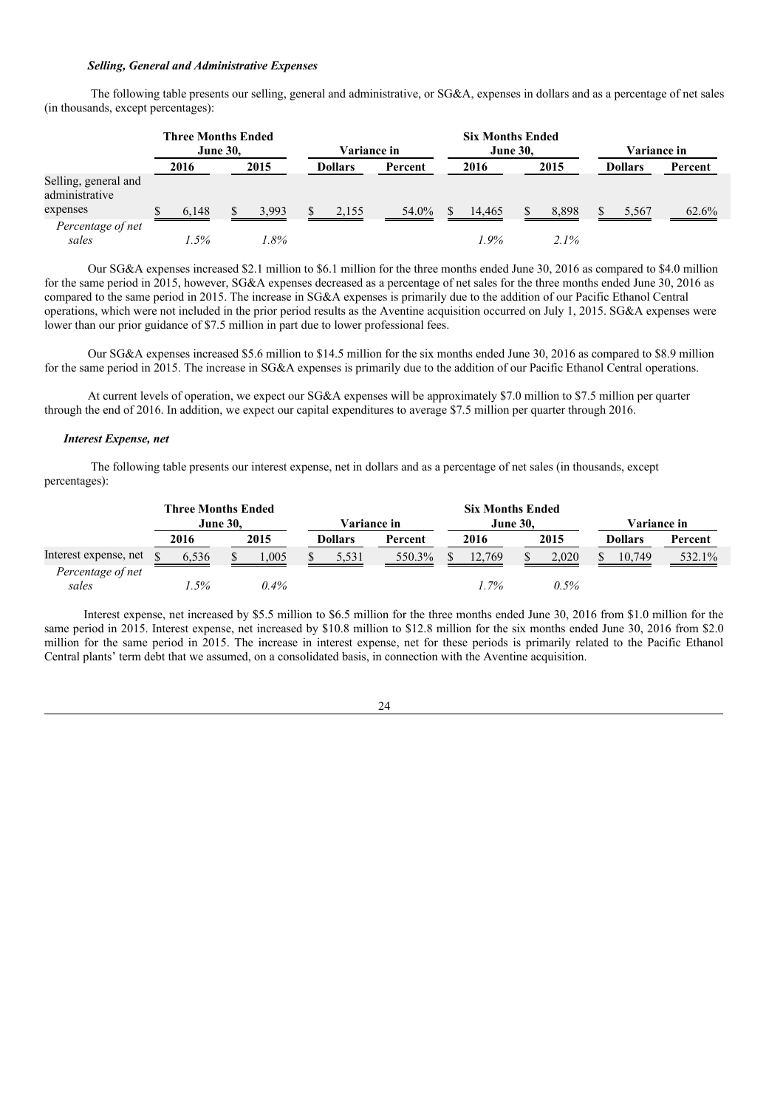### *Selling, General and Administrative Expenses*

The following table presents our selling, general and administrative, or SG&A, expenses in dollars and as a percentage of net sales (in thousands, except percentages):

|                                        | <b>Three Months Ended</b><br><b>June 30.</b> |       |  |       |  | <b>Variance in</b> |         |    | <b>Six Months Ended</b><br><b>June 30.</b> |         | Variance in |                |         |
|----------------------------------------|----------------------------------------------|-------|--|-------|--|--------------------|---------|----|--------------------------------------------|---------|-------------|----------------|---------|
|                                        |                                              | 2016  |  | 2015  |  | <b>Dollars</b>     | Percent |    | 2016                                       | 2015    |             | <b>Dollars</b> | Percent |
| Selling, general and<br>administrative |                                              |       |  |       |  |                    |         |    |                                            |         |             |                |         |
| expenses                               |                                              | 6,148 |  | 3.993 |  | 2,155              | 54.0%   | S. | 14.465                                     | 8.898   |             | 5,567          | 62.6%   |
| Percentage of net<br>sales             |                                              | 1.5%  |  | 1.8%  |  |                    |         |    | $1.9\%$                                    | $2.1\%$ |             |                |         |

Our SG&A expenses increased \$2.1 million to \$6.1 million for the three months ended June 30, 2016 as compared to \$4.0 million for the same period in 2015, however, SG&A expenses decreased as a percentage of net sales for the three months ended June 30, 2016 as compared to the same period in 2015. The increase in SG&A expenses is primarily due to the addition of our Pacific Ethanol Central operations, which were not included in the prior period results as the Aventine acquisition occurred on July 1, 2015. SG&A expenses were lower than our prior guidance of \$7.5 million in part due to lower professional fees.

Our SG&A expenses increased \$5.6 million to \$14.5 million for the six months ended June 30, 2016 as compared to \$8.9 million for the same period in 2015. The increase in SG&A expenses is primarily due to the addition of our Pacific Ethanol Central operations.

At current levels of operation, we expect our SG&A expenses will be approximately \$7.0 million to \$7.5 million per quarter through the end of 2016. In addition, we expect our capital expenditures to average \$7.5 million per quarter through 2016.

#### *Interest Expense, net*

The following table presents our interest expense, net in dollars and as a percentage of net sales (in thousands, except percentages):

|                            | Three Months Ended<br><b>June 30.</b> |         |  | Variance in |  |                |         | <b>Six Months Ended</b><br><b>June 30.</b> |         |  | Variance in |  |                |         |
|----------------------------|---------------------------------------|---------|--|-------------|--|----------------|---------|--------------------------------------------|---------|--|-------------|--|----------------|---------|
|                            |                                       | 2016    |  | 2015        |  | <b>Dollars</b> | Percent |                                            | 2016    |  | 2015        |  | <b>Dollars</b> | Percent |
| Interest expense, net      |                                       | 6.536   |  | 1.005       |  | 5.531          | 550.3%  |                                            | 12.769  |  | 2.020       |  | 10.749         | 532.1%  |
| Percentage of net<br>sales |                                       | $1.5\%$ |  | $0.4\%$     |  |                |         |                                            | $1.7\%$ |  | 0.5%        |  |                |         |

Interest expense, net increased by \$5.5 million to \$6.5 million for the three months ended June 30, 2016 from \$1.0 million for the same period in 2015. Interest expense, net increased by \$10.8 million to \$12.8 million for the six months ended June 30, 2016 from \$2.0 million for the same period in 2015. The increase in interest expense, net for these periods is primarily related to the Pacific Ethanol Central plants' term debt that we assumed, on a consolidated basis, in connection with the Aventine acquisition.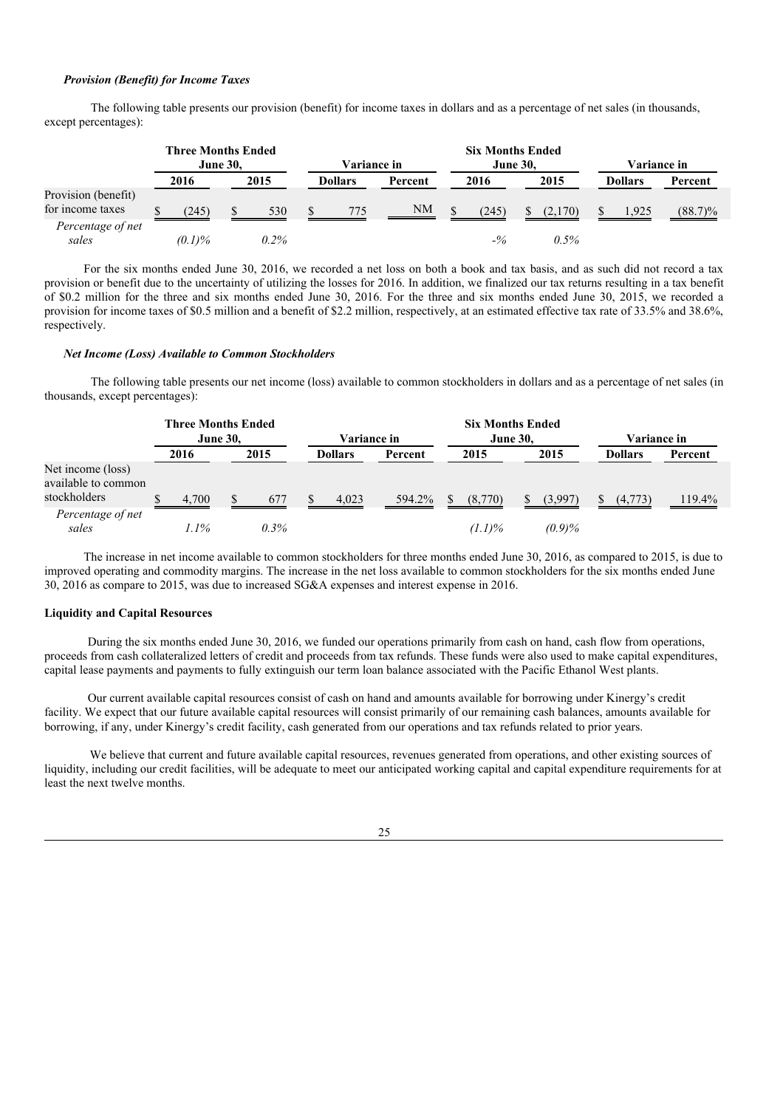### *Provision (Benefit) for Income Taxes*

The following table presents our provision (benefit) for income taxes in dollars and as a percentage of net sales (in thousands, except percentages):

|                                         | <b>Three Months Ended</b> |           |  |             |  | <b>Six Months Ended</b> |         |                 |       |  |                    |  |                |            |  |  |
|-----------------------------------------|---------------------------|-----------|--|-------------|--|-------------------------|---------|-----------------|-------|--|--------------------|--|----------------|------------|--|--|
|                                         | <b>June 30.</b>           |           |  | Variance in |  |                         |         | <b>June 30,</b> |       |  | <b>Variance in</b> |  |                |            |  |  |
|                                         |                           | 2016      |  | 2015        |  | Dollars                 | Percent |                 | 2016  |  | 2015               |  | <b>Dollars</b> | Percent    |  |  |
| Provision (benefit)<br>for income taxes |                           | (245)     |  | 530         |  | 775                     | NM      |                 | (245) |  | (2,170)            |  | 1,925          | $(88.7)\%$ |  |  |
| Percentage of net<br>sales              |                           | $(0.1)\%$ |  | $0.2\%$     |  |                         |         |                 | $-$ % |  | 0.5%               |  |                |            |  |  |

For the six months ended June 30, 2016, we recorded a net loss on both a book and tax basis, and as such did not record a tax provision or benefit due to the uncertainty of utilizing the losses for 2016. In addition, we finalized our tax returns resulting in a tax benefit of \$0.2 million for the three and six months ended June 30, 2016. For the three and six months ended June 30, 2015, we recorded a provision for income taxes of \$0.5 million and a benefit of \$2.2 million, respectively, at an estimated effective tax rate of 33.5% and 38.6%, respectively.

#### *Net Income (Loss) Available to Common Stockholders*

The following table presents our net income (loss) available to common stockholders in dollars and as a percentage of net sales (in thousands, except percentages):

|                                                          | <b>Three Months Ended</b><br><b>June 30.</b> |         |  | <b>Variance in</b> |  |                | <b>Six Months Ended</b><br><b>June 30,</b> |           |  |           | <b>Variance in</b> |                |         |
|----------------------------------------------------------|----------------------------------------------|---------|--|--------------------|--|----------------|--------------------------------------------|-----------|--|-----------|--------------------|----------------|---------|
|                                                          |                                              | 2016    |  | 2015               |  | <b>Dollars</b> | Percent                                    | 2015      |  | 2015      |                    | <b>Dollars</b> | Percent |
| Net income (loss)<br>available to common<br>stockholders |                                              | 4.700   |  | 677                |  | 4.023          | 594.2%                                     | (8,770)   |  | (3,997)   |                    | (4,773)        | 119.4%  |
| Percentage of net<br>sales                               |                                              | $1.1\%$ |  | $0.3\%$            |  |                |                                            | $(1.1)\%$ |  | $(0.9)\%$ |                    |                |         |

The increase in net income available to common stockholders for three months ended June 30, 2016, as compared to 2015, is due to improved operating and commodity margins. The increase in the net loss available to common stockholders for the six months ended June 30, 2016 as compare to 2015, was due to increased SG&A expenses and interest expense in 2016.

### **Liquidity and Capital Resources**

During the six months ended June 30, 2016, we funded our operations primarily from cash on hand, cash flow from operations, proceeds from cash collateralized letters of credit and proceeds from tax refunds. These funds were also used to make capital expenditures, capital lease payments and payments to fully extinguish our term loan balance associated with the Pacific Ethanol West plants.

Our current available capital resources consist of cash on hand and amounts available for borrowing under Kinergy's credit facility. We expect that our future available capital resources will consist primarily of our remaining cash balances, amounts available for borrowing, if any, under Kinergy's credit facility, cash generated from our operations and tax refunds related to prior years.

We believe that current and future available capital resources, revenues generated from operations, and other existing sources of liquidity, including our credit facilities, will be adequate to meet our anticipated working capital and capital expenditure requirements for at least the next twelve months.

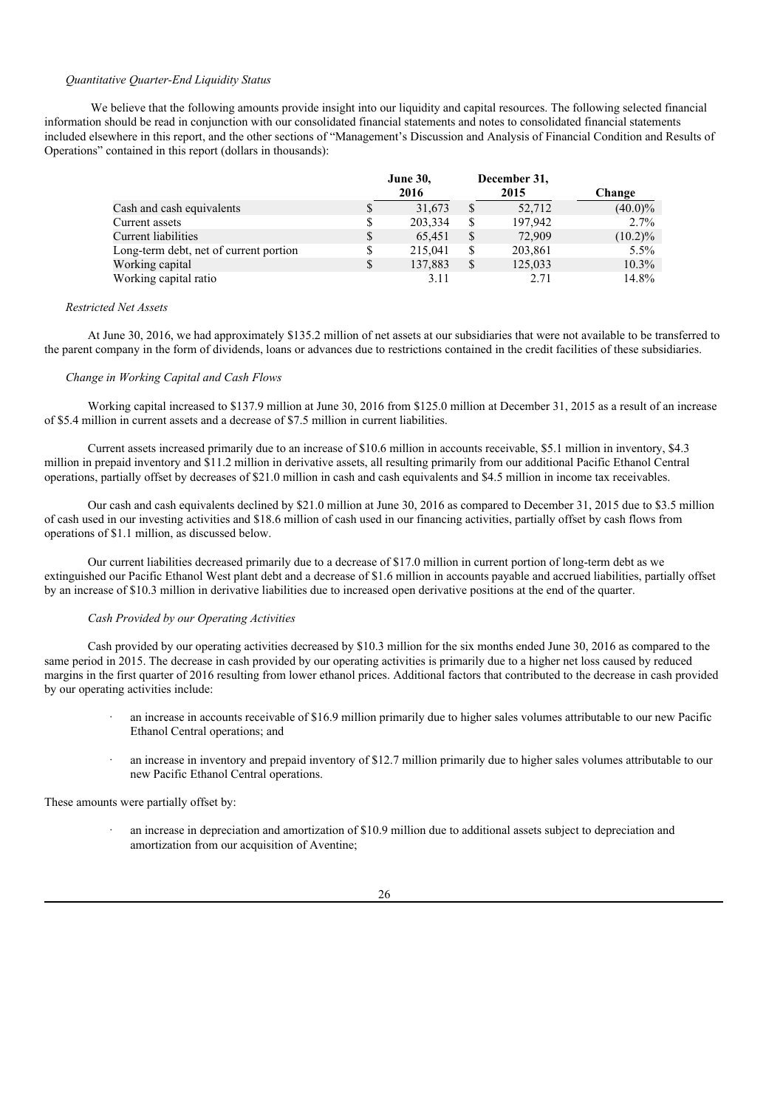### *Quantitative Quarter-End Liquidity Status*

We believe that the following amounts provide insight into our liquidity and capital resources. The following selected financial information should be read in conjunction with our consolidated financial statements and notes to consolidated financial statements included elsewhere in this report, and the other sections of "Management's Discussion and Analysis of Financial Condition and Results of Operations" contained in this report (dollars in thousands):

|                                        |    | <b>June 30,</b><br>2016 |    | December 31,<br>2015 | Change     |
|----------------------------------------|----|-------------------------|----|----------------------|------------|
| Cash and cash equivalents              | S  | 31,673                  | S. | 52,712               | $(40.0)\%$ |
| Current assets                         | S  | 203,334                 | S  | 197,942              | $2.7\%$    |
| Current liabilities                    | S  | 65,451                  | S  | 72,909               | $(10.2)\%$ |
| Long-term debt, net of current portion |    | 215,041                 | S  | 203,861              | $5.5\%$    |
| Working capital                        | \$ | 137,883                 | S  | 125,033              | $10.3\%$   |
| Working capital ratio                  |    | 3.11                    |    | 2.71                 | 14.8%      |

#### *Restricted Net Assets*

At June 30, 2016, we had approximately \$135.2 million of net assets at our subsidiaries that were not available to be transferred to the parent company in the form of dividends, loans or advances due to restrictions contained in the credit facilities of these subsidiaries.

#### *Change in Working Capital and Cash Flows*

Working capital increased to \$137.9 million at June 30, 2016 from \$125.0 million at December 31, 2015 as a result of an increase of \$5.4 million in current assets and a decrease of \$7.5 million in current liabilities.

Current assets increased primarily due to an increase of \$10.6 million in accounts receivable, \$5.1 million in inventory, \$4.3 million in prepaid inventory and \$11.2 million in derivative assets, all resulting primarily from our additional Pacific Ethanol Central operations, partially offset by decreases of \$21.0 million in cash and cash equivalents and \$4.5 million in income tax receivables.

Our cash and cash equivalents declined by \$21.0 million at June 30, 2016 as compared to December 31, 2015 due to \$3.5 million of cash used in our investing activities and \$18.6 million of cash used in our financing activities, partially offset by cash flows from operations of \$1.1 million, as discussed below.

Our current liabilities decreased primarily due to a decrease of \$17.0 million in current portion of long-term debt as we extinguished our Pacific Ethanol West plant debt and a decrease of \$1.6 million in accounts payable and accrued liabilities, partially offset by an increase of \$10.3 million in derivative liabilities due to increased open derivative positions at the end of the quarter.

### *Cash Provided by our Operating Activities*

Cash provided by our operating activities decreased by \$10.3 million for the six months ended June 30, 2016 as compared to the same period in 2015. The decrease in cash provided by our operating activities is primarily due to a higher net loss caused by reduced margins in the first quarter of 2016 resulting from lower ethanol prices. Additional factors that contributed to the decrease in cash provided by our operating activities include:

- an increase in accounts receivable of \$16.9 million primarily due to higher sales volumes attributable to our new Pacific Ethanol Central operations; and
- an increase in inventory and prepaid inventory of \$12.7 million primarily due to higher sales volumes attributable to our new Pacific Ethanol Central operations.

These amounts were partially offset by:

an increase in depreciation and amortization of \$10.9 million due to additional assets subject to depreciation and amortization from our acquisition of Aventine;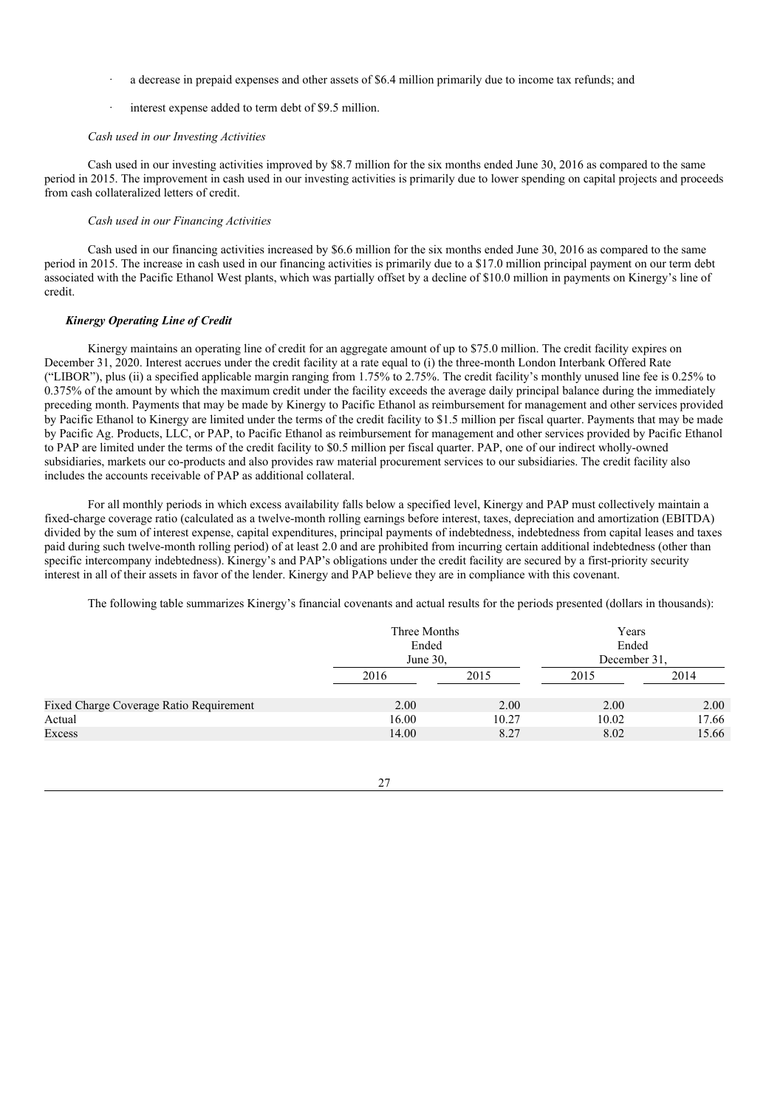- a decrease in prepaid expenses and other assets of \$6.4 million primarily due to income tax refunds; and
- interest expense added to term debt of \$9.5 million.

#### *Cash used in our Investing Activities*

Cash used in our investing activities improved by \$8.7 million for the six months ended June 30, 2016 as compared to the same period in 2015. The improvement in cash used in our investing activities is primarily due to lower spending on capital projects and proceeds from cash collateralized letters of credit.

### *Cash used in our Financing Activities*

Cash used in our financing activities increased by \$6.6 million for the six months ended June 30, 2016 as compared to the same period in 2015. The increase in cash used in our financing activities is primarily due to a \$17.0 million principal payment on our term debt associated with the Pacific Ethanol West plants, which was partially offset by a decline of \$10.0 million in payments on Kinergy's line of credit.

#### *Kinergy Operating Line of Credit*

Kinergy maintains an operating line of credit for an aggregate amount of up to \$75.0 million. The credit facility expires on December 31, 2020. Interest accrues under the credit facility at a rate equal to (i) the three-month London Interbank Offered Rate ("LIBOR"), plus (ii) a specified applicable margin ranging from 1.75% to 2.75%. The credit facility's monthly unused line fee is 0.25% to 0.375% of the amount by which the maximum credit under the facility exceeds the average daily principal balance during the immediately preceding month. Payments that may be made by Kinergy to Pacific Ethanol as reimbursement for management and other services provided by Pacific Ethanol to Kinergy are limited under the terms of the credit facility to \$1.5 million per fiscal quarter. Payments that may be made by Pacific Ag. Products, LLC, or PAP, to Pacific Ethanol as reimbursement for management and other services provided by Pacific Ethanol to PAP are limited under the terms of the credit facility to \$0.5 million per fiscal quarter. PAP, one of our indirect wholly-owned subsidiaries, markets our co-products and also provides raw material procurement services to our subsidiaries. The credit facility also includes the accounts receivable of PAP as additional collateral.

For all monthly periods in which excess availability falls below a specified level, Kinergy and PAP must collectively maintain a fixed-charge coverage ratio (calculated as a twelve-month rolling earnings before interest, taxes, depreciation and amortization (EBITDA) divided by the sum of interest expense, capital expenditures, principal payments of indebtedness, indebtedness from capital leases and taxes paid during such twelve-month rolling period) of at least 2.0 and are prohibited from incurring certain additional indebtedness (other than specific intercompany indebtedness). Kinergy's and PAP's obligations under the credit facility are secured by a first-priority security interest in all of their assets in favor of the lender. Kinergy and PAP believe they are in compliance with this covenant.

The following table summarizes Kinergy's financial covenants and actual results for the periods presented (dollars in thousands):

|                                         | Three Months<br>Ended<br>June 30, |       | Years<br>Ended<br>December 31. |       |  |
|-----------------------------------------|-----------------------------------|-------|--------------------------------|-------|--|
|                                         | 2016                              | 2015  | 2015                           | 2014  |  |
| Fixed Charge Coverage Ratio Requirement | 2.00                              | 2.00  | 2.00                           | 2.00  |  |
| Actual                                  | 16.00                             | 10.27 | 10.02                          | 17.66 |  |
| Excess                                  | 14.00                             | 8.27  | 8.02                           | 15.66 |  |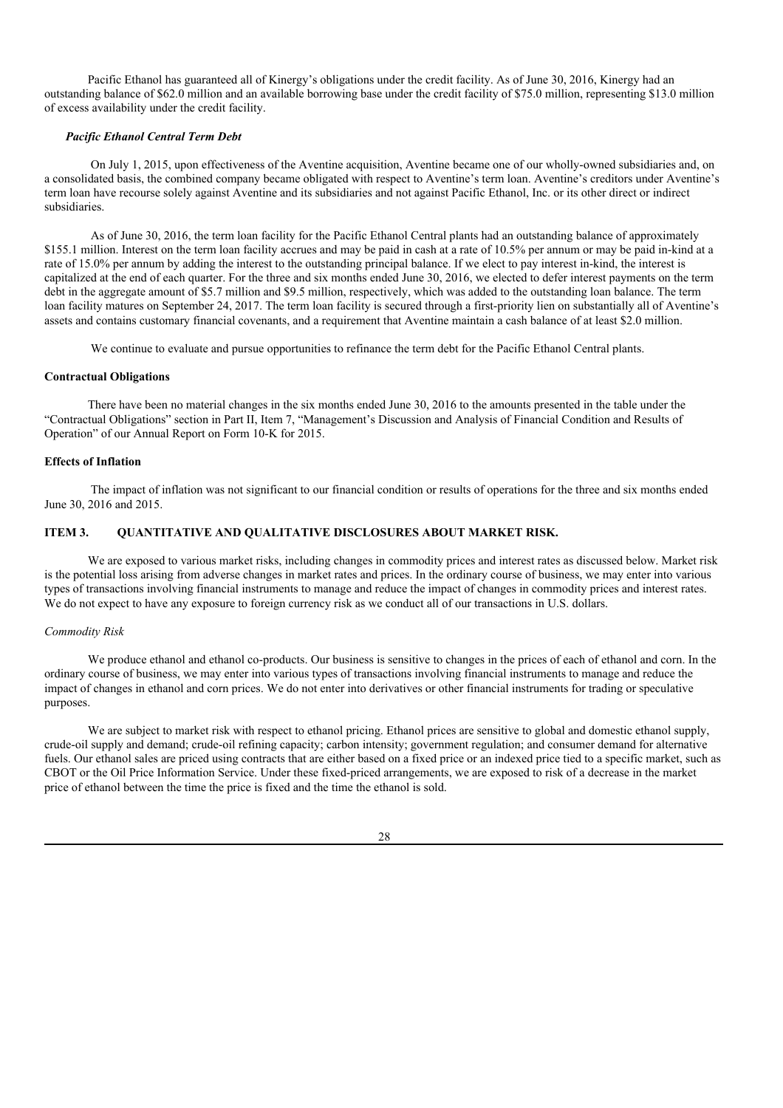Pacific Ethanol has guaranteed all of Kinergy's obligations under the credit facility. As of June 30, 2016, Kinergy had an outstanding balance of \$62.0 million and an available borrowing base under the credit facility of \$75.0 million, representing \$13.0 million of excess availability under the credit facility.

#### *Pacific Ethanol Central Term Debt*

On July 1, 2015, upon effectiveness of the Aventine acquisition, Aventine became one of our wholly-owned subsidiaries and, on a consolidated basis, the combined company became obligated with respect to Aventine's term loan. Aventine's creditors under Aventine's term loan have recourse solely against Aventine and its subsidiaries and not against Pacific Ethanol, Inc. or its other direct or indirect subsidiaries.

As of June 30, 2016, the term loan facility for the Pacific Ethanol Central plants had an outstanding balance of approximately \$155.1 million. Interest on the term loan facility accrues and may be paid in cash at a rate of 10.5% per annum or may be paid in-kind at a rate of 15.0% per annum by adding the interest to the outstanding principal balance. If we elect to pay interest in-kind, the interest is capitalized at the end of each quarter. For the three and six months ended June 30, 2016, we elected to defer interest payments on the term debt in the aggregate amount of \$5.7 million and \$9.5 million, respectively, which was added to the outstanding loan balance. The term loan facility matures on September 24, 2017. The term loan facility is secured through a first-priority lien on substantially all of Aventine's assets and contains customary financial covenants, and a requirement that Aventine maintain a cash balance of at least \$2.0 million.

We continue to evaluate and pursue opportunities to refinance the term debt for the Pacific Ethanol Central plants.

#### **Contractual Obligations**

There have been no material changes in the six months ended June 30, 2016 to the amounts presented in the table under the "Contractual Obligations" section in Part II, Item 7, "Management's Discussion and Analysis of Financial Condition and Results of Operation" of our Annual Report on Form 10-K for 2015.

### **Effects of Inflation**

The impact of inflation was not significant to our financial condition or results of operations for the three and six months ended June 30, 2016 and 2015.

### **ITEM 3. QUANTITATIVE AND QUALITATIVE DISCLOSURES ABOUT MARKET RISK.**

We are exposed to various market risks, including changes in commodity prices and interest rates as discussed below. Market risk is the potential loss arising from adverse changes in market rates and prices. In the ordinary course of business, we may enter into various types of transactions involving financial instruments to manage and reduce the impact of changes in commodity prices and interest rates. We do not expect to have any exposure to foreign currency risk as we conduct all of our transactions in U.S. dollars.

#### *Commodity Risk*

We produce ethanol and ethanol co-products. Our business is sensitive to changes in the prices of each of ethanol and corn. In the ordinary course of business, we may enter into various types of transactions involving financial instruments to manage and reduce the impact of changes in ethanol and corn prices. We do not enter into derivatives or other financial instruments for trading or speculative purposes.

We are subject to market risk with respect to ethanol pricing. Ethanol prices are sensitive to global and domestic ethanol supply, crude-oil supply and demand; crude-oil refining capacity; carbon intensity; government regulation; and consumer demand for alternative fuels. Our ethanol sales are priced using contracts that are either based on a fixed price or an indexed price tied to a specific market, such as CBOT or the Oil Price Information Service. Under these fixed-priced arrangements, we are exposed to risk of a decrease in the market price of ethanol between the time the price is fixed and the time the ethanol is sold.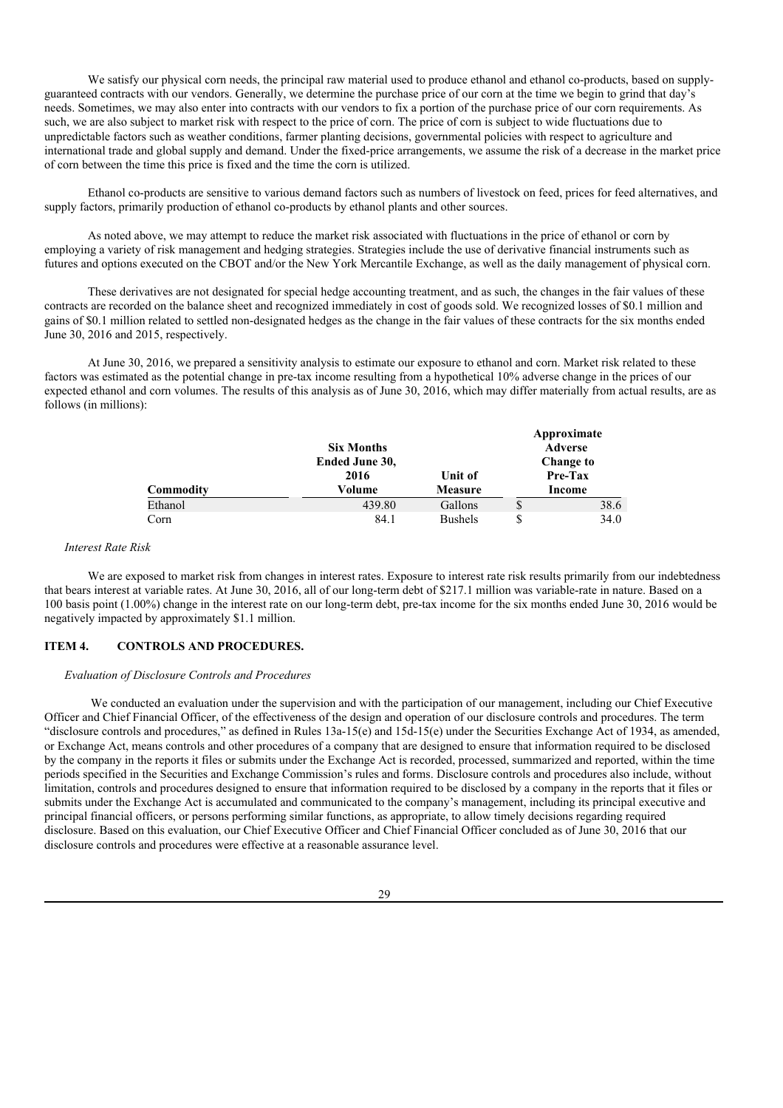We satisfy our physical corn needs, the principal raw material used to produce ethanol and ethanol co-products, based on supplyguaranteed contracts with our vendors. Generally, we determine the purchase price of our corn at the time we begin to grind that day's needs. Sometimes, we may also enter into contracts with our vendors to fix a portion of the purchase price of our corn requirements. As such, we are also subject to market risk with respect to the price of corn. The price of corn is subject to wide fluctuations due to unpredictable factors such as weather conditions, farmer planting decisions, governmental policies with respect to agriculture and international trade and global supply and demand. Under the fixed-price arrangements, we assume the risk of a decrease in the market price of corn between the time this price is fixed and the time the corn is utilized.

Ethanol co-products are sensitive to various demand factors such as numbers of livestock on feed, prices for feed alternatives, and supply factors, primarily production of ethanol co-products by ethanol plants and other sources.

As noted above, we may attempt to reduce the market risk associated with fluctuations in the price of ethanol or corn by employing a variety of risk management and hedging strategies. Strategies include the use of derivative financial instruments such as futures and options executed on the CBOT and/or the New York Mercantile Exchange, as well as the daily management of physical corn.

These derivatives are not designated for special hedge accounting treatment, and as such, the changes in the fair values of these contracts are recorded on the balance sheet and recognized immediately in cost of goods sold. We recognized losses of \$0.1 million and gains of \$0.1 million related to settled non-designated hedges as the change in the fair values of these contracts for the six months ended June 30, 2016 and 2015, respectively.

At June 30, 2016, we prepared a sensitivity analysis to estimate our exposure to ethanol and corn. Market risk related to these factors was estimated as the potential change in pre-tax income resulting from a hypothetical 10% adverse change in the prices of our expected ethanol and corn volumes. The results of this analysis as of June 30, 2016, which may differ materially from actual results, are as follows (in millions):

|           | <b>Six Months</b> |                | Approximate<br>Adverse |
|-----------|-------------------|----------------|------------------------|
|           | Ended June 30,    |                | Change to              |
|           | 2016              | Unit of        | Pre-Tax                |
| Commodity | Volume            | Measure        | Income                 |
| Ethanol   | 439.80            | Gallons        | \$<br>38.6             |
| Corn      | 84.1              | <b>Bushels</b> | \$<br>34.0             |

**Approximate**

#### *Interest Rate Risk*

We are exposed to market risk from changes in interest rates. Exposure to interest rate risk results primarily from our indebtedness that bears interest at variable rates. At June 30, 2016, all of our long-term debt of \$217.1 million was variable-rate in nature. Based on a 100 basis point (1.00%) change in the interest rate on our long-term debt, pre-tax income for the six months ended June 30, 2016 would be negatively impacted by approximately \$1.1 million.

### **ITEM 4. CONTROLS AND PROCEDURES.**

#### *Evaluation of Disclosure Controls and Procedures*

We conducted an evaluation under the supervision and with the participation of our management, including our Chief Executive Officer and Chief Financial Officer, of the effectiveness of the design and operation of our disclosure controls and procedures. The term "disclosure controls and procedures," as defined in Rules  $13a-15(e)$  and  $15d-15(e)$  under the Securities Exchange Act of 1934, as amended, or Exchange Act, means controls and other procedures of a company that are designed to ensure that information required to be disclosed by the company in the reports it files or submits under the Exchange Act is recorded, processed, summarized and reported, within the time periods specified in the Securities and Exchange Commission's rules and forms. Disclosure controls and procedures also include, without limitation, controls and procedures designed to ensure that information required to be disclosed by a company in the reports that it files or submits under the Exchange Act is accumulated and communicated to the company's management, including its principal executive and principal financial officers, or persons performing similar functions, as appropriate, to allow timely decisions regarding required disclosure. Based on this evaluation, our Chief Executive Officer and Chief Financial Officer concluded as of June 30, 2016 that our disclosure controls and procedures were effective at a reasonable assurance level.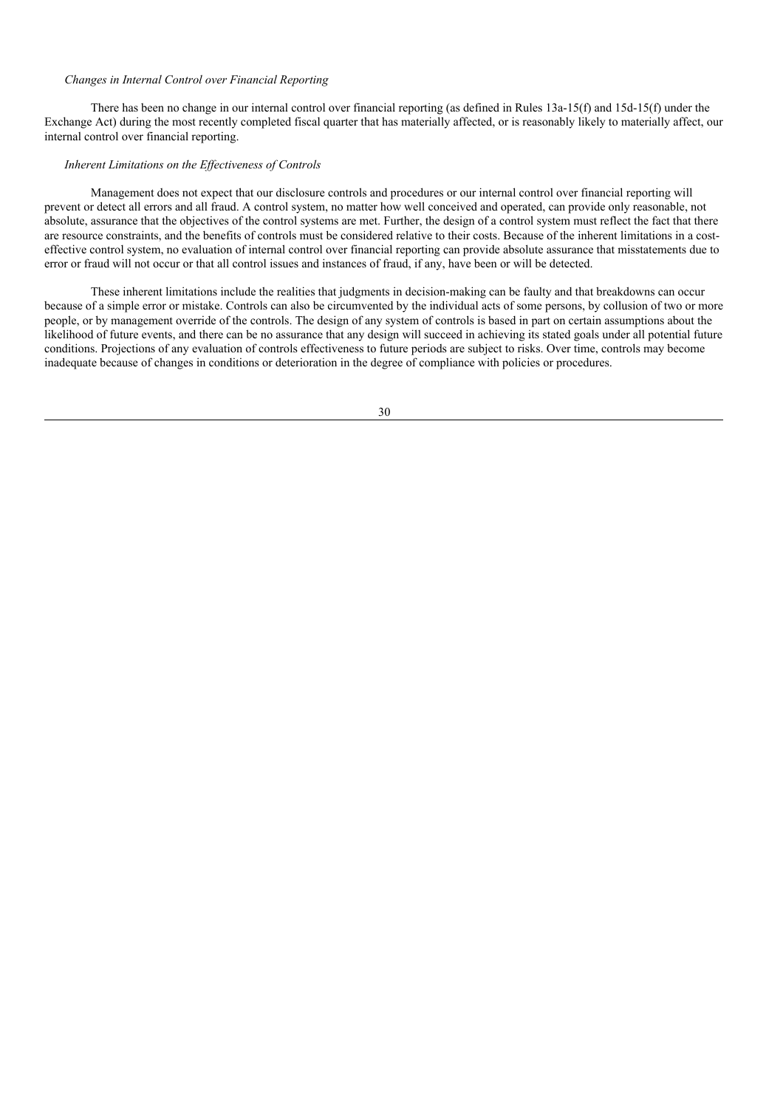### *Changes in Internal Control over Financial Reporting*

There has been no change in our internal control over financial reporting (as defined in Rules 13a-15(f) and 15d-15(f) under the Exchange Act) during the most recently completed fiscal quarter that has materially affected, or is reasonably likely to materially affect, our internal control over financial reporting.

### *Inherent Limitations on the Ef ectiveness of Controls*

Management does not expect that our disclosure controls and procedures or our internal control over financial reporting will prevent or detect all errors and all fraud. A control system, no matter how well conceived and operated, can provide only reasonable, not absolute, assurance that the objectives of the control systems are met. Further, the design of a control system must reflect the fact that there are resource constraints, and the benefits of controls must be considered relative to their costs. Because of the inherent limitations in a costeffective control system, no evaluation of internal control over financial reporting can provide absolute assurance that misstatements due to error or fraud will not occur or that all control issues and instances of fraud, if any, have been or will be detected.

These inherent limitations include the realities that judgments in decision-making can be faulty and that breakdowns can occur because of a simple error or mistake. Controls can also be circumvented by the individual acts of some persons, by collusion of two or more people, or by management override of the controls. The design of any system of controls is based in part on certain assumptions about the likelihood of future events, and there can be no assurance that any design will succeed in achieving its stated goals under all potential future conditions. Projections of any evaluation of controls effectiveness to future periods are subject to risks. Over time, controls may become inadequate because of changes in conditions or deterioration in the degree of compliance with policies or procedures.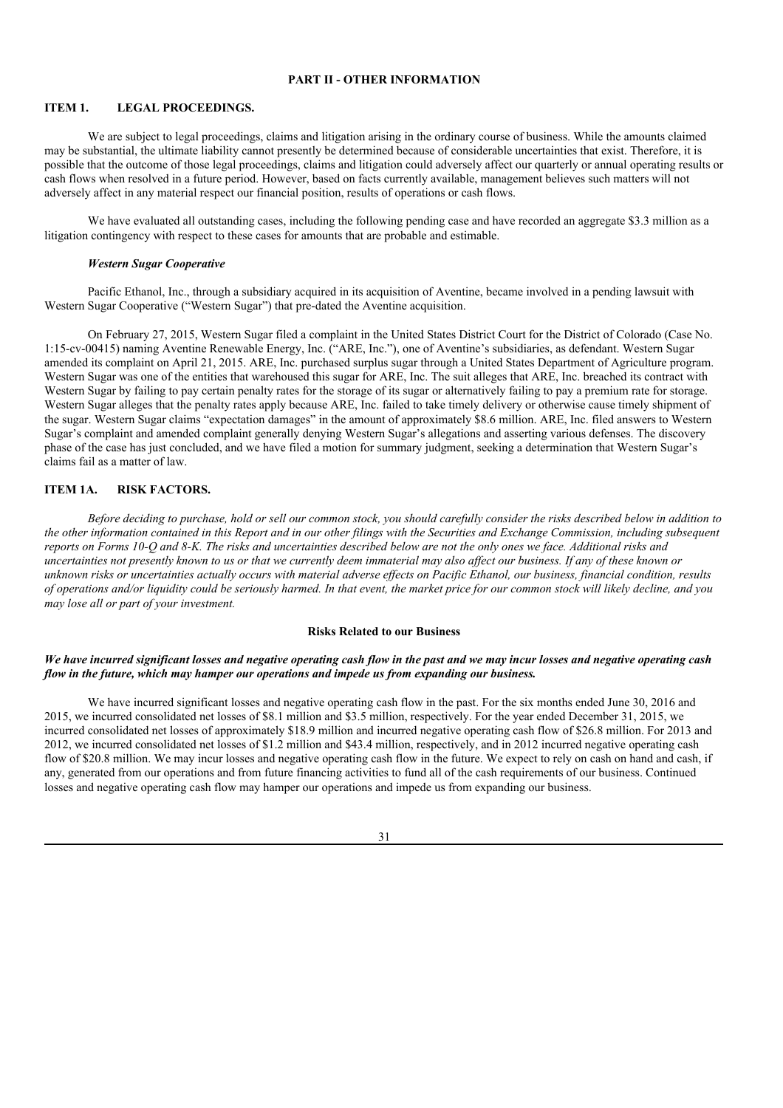## **PART II - OTHER INFORMATION**

### **ITEM 1. LEGAL PROCEEDINGS.**

We are subject to legal proceedings, claims and litigation arising in the ordinary course of business. While the amounts claimed may be substantial, the ultimate liability cannot presently be determined because of considerable uncertainties that exist. Therefore, it is possible that the outcome of those legal proceedings, claims and litigation could adversely affect our quarterly or annual operating results or cash flows when resolved in a future period. However, based on facts currently available, management believes such matters will not adversely affect in any material respect our financial position, results of operations or cash flows.

We have evaluated all outstanding cases, including the following pending case and have recorded an aggregate \$3.3 million as a litigation contingency with respect to these cases for amounts that are probable and estimable.

#### *Western Sugar Cooperative*

Pacific Ethanol, Inc., through a subsidiary acquired in its acquisition of Aventine, became involved in a pending lawsuit with Western Sugar Cooperative ("Western Sugar") that pre-dated the Aventine acquisition.

On February 27, 2015, Western Sugar filed a complaint in the United States District Court for the District of Colorado (Case No. 1:15-cv-00415) naming Aventine Renewable Energy, Inc. ("ARE, Inc."), one of Aventine's subsidiaries, as defendant. Western Sugar amended its complaint on April 21, 2015. ARE, Inc. purchased surplus sugar through a United States Department of Agriculture program. Western Sugar was one of the entities that warehoused this sugar for ARE, Inc. The suit alleges that ARE, Inc. breached its contract with Western Sugar by failing to pay certain penalty rates for the storage of its sugar or alternatively failing to pay a premium rate for storage. Western Sugar alleges that the penalty rates apply because ARE, Inc. failed to take timely delivery or otherwise cause timely shipment of the sugar. Western Sugar claims "expectation damages" in the amount of approximately \$8.6 million. ARE, Inc. filed answers to Western Sugar's complaint and amended complaint generally denying Western Sugar's allegations and asserting various defenses. The discovery phase of the case has just concluded, and we have filed a motion for summary judgment, seeking a determination that Western Sugar's claims fail as a matter of law.

### **ITEM 1A. RISK FACTORS.**

Before deciding to purchase, hold or sell our common stock, you should carefully consider the risks described below in addition to the other information contained in this Report and in our other filings with the Securities and Exchange Commission, including subsequent reports on Forms 10-O and 8-K. The risks and uncertainties described below are not the only ones we face. Additional risks and uncertainties not presently known to us or that we currently deem immaterial may also affect our business. If any of these known or unknown risks or uncertainties actually occurs with material adverse effects on Pacific Ethanol, our business, financial condition, results of operations and/or liquidity could be seriously harmed. In that event, the market price for our common stock will likely decline, and you *may lose all or part of your investment.*

#### **Risks Related to our Business**

### We have incurred significant losses and negative operating cash flow in the past and we may incur losses and negative operating cash *flow in the future, which may hamper our operations and impede us from expanding our business.*

We have incurred significant losses and negative operating cash flow in the past. For the six months ended June 30, 2016 and 2015, we incurred consolidated net losses of \$8.1 million and \$3.5 million, respectively. For the year ended December 31, 2015, we incurred consolidated net losses of approximately \$18.9 million and incurred negative operating cash flow of \$26.8 million. For 2013 and 2012, we incurred consolidated net losses of \$1.2 million and \$43.4 million, respectively, and in 2012 incurred negative operating cash flow of \$20.8 million. We may incur losses and negative operating cash flow in the future. We expect to rely on cash on hand and cash, if any, generated from our operations and from future financing activities to fund all of the cash requirements of our business. Continued losses and negative operating cash flow may hamper our operations and impede us from expanding our business.

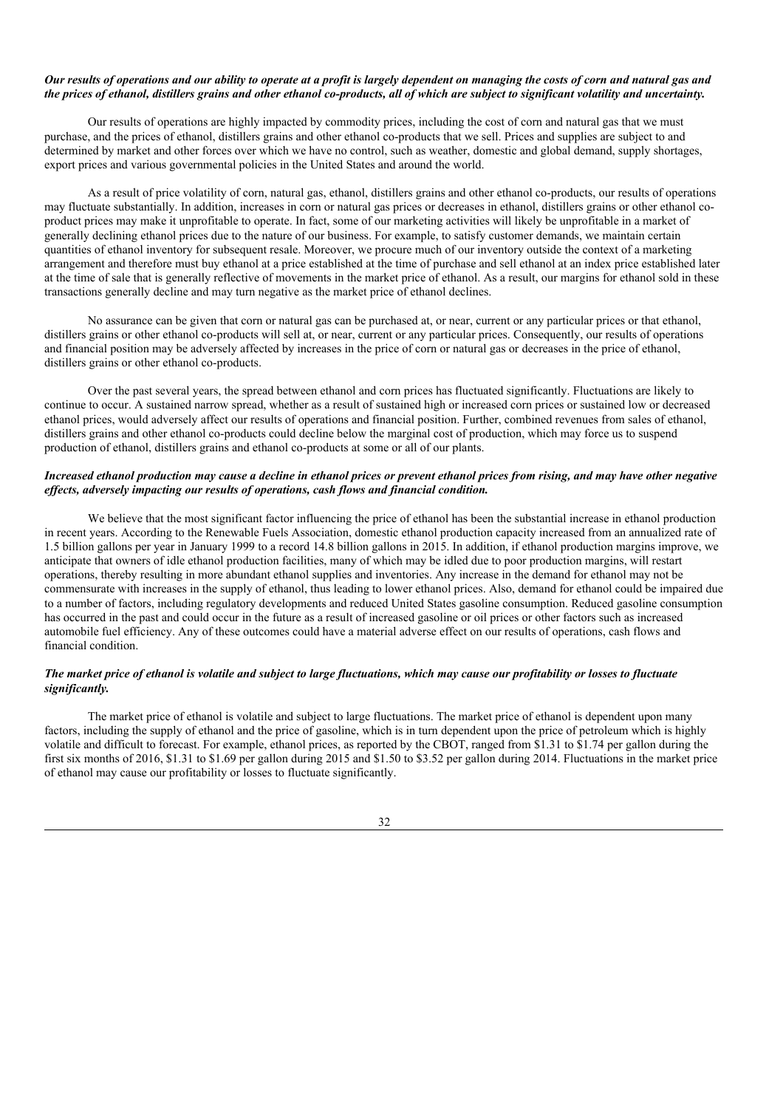### Our results of operations and our ability to operate at a profit is largely dependent on managing the costs of corn and natural gas and the prices of ethanol, distillers grains and other ethanol co-products, all of which are subject to significant volatility and uncertainty.

Our results of operations are highly impacted by commodity prices, including the cost of corn and natural gas that we must purchase, and the prices of ethanol, distillers grains and other ethanol co-products that we sell. Prices and supplies are subject to and determined by market and other forces over which we have no control, such as weather, domestic and global demand, supply shortages, export prices and various governmental policies in the United States and around the world.

As a result of price volatility of corn, natural gas, ethanol, distillers grains and other ethanol co-products, our results of operations may fluctuate substantially. In addition, increases in corn or natural gas prices or decreases in ethanol, distillers grains or other ethanol coproduct prices may make it unprofitable to operate. In fact, some of our marketing activities will likely be unprofitable in a market of generally declining ethanol prices due to the nature of our business. For example, to satisfy customer demands, we maintain certain quantities of ethanol inventory for subsequent resale. Moreover, we procure much of our inventory outside the context of a marketing arrangement and therefore must buy ethanol at a price established at the time of purchase and sell ethanol at an index price established later at the time of sale that is generally reflective of movements in the market price of ethanol. As a result, our margins for ethanol sold in these transactions generally decline and may turn negative as the market price of ethanol declines.

No assurance can be given that corn or natural gas can be purchased at, or near, current or any particular prices or that ethanol, distillers grains or other ethanol co-products will sell at, or near, current or any particular prices. Consequently, our results of operations and financial position may be adversely affected by increases in the price of corn or natural gas or decreases in the price of ethanol, distillers grains or other ethanol co-products.

Over the past several years, the spread between ethanol and corn prices has fluctuated significantly. Fluctuations are likely to continue to occur. A sustained narrow spread, whether as a result of sustained high or increased corn prices or sustained low or decreased ethanol prices, would adversely affect our results of operations and financial position. Further, combined revenues from sales of ethanol, distillers grains and other ethanol co-products could decline below the marginal cost of production, which may force us to suspend production of ethanol, distillers grains and ethanol co-products at some or all of our plants.

### Increased ethanol production may cause a decline in ethanol prices or prevent ethanol prices from rising, and may have other negative *ef ects, adversely impacting our results of operations, cash flows and financial condition.*

We believe that the most significant factor influencing the price of ethanol has been the substantial increase in ethanol production in recent years. According to the Renewable Fuels Association, domestic ethanol production capacity increased from an annualized rate of 1.5 billion gallons per year in January 1999 to a record 14.8 billion gallons in 2015. In addition, if ethanol production margins improve, we anticipate that owners of idle ethanol production facilities, many of which may be idled due to poor production margins, will restart operations, thereby resulting in more abundant ethanol supplies and inventories. Any increase in the demand for ethanol may not be commensurate with increases in the supply of ethanol, thus leading to lower ethanol prices. Also, demand for ethanol could be impaired due to a number of factors, including regulatory developments and reduced United States gasoline consumption. Reduced gasoline consumption has occurred in the past and could occur in the future as a result of increased gasoline or oil prices or other factors such as increased automobile fuel efficiency. Any of these outcomes could have a material adverse effect on our results of operations, cash flows and financial condition.

### The market price of ethanol is volatile and subject to large fluctuations, which may cause our profitability or losses to fluctuate *significantly.*

The market price of ethanol is volatile and subject to large fluctuations. The market price of ethanol is dependent upon many factors, including the supply of ethanol and the price of gasoline, which is in turn dependent upon the price of petroleum which is highly volatile and difficult to forecast. For example, ethanol prices, as reported by the CBOT, ranged from \$1.31 to \$1.74 per gallon during the first six months of 2016, \$1.31 to \$1.69 per gallon during 2015 and \$1.50 to \$3.52 per gallon during 2014. Fluctuations in the market price of ethanol may cause our profitability or losses to fluctuate significantly.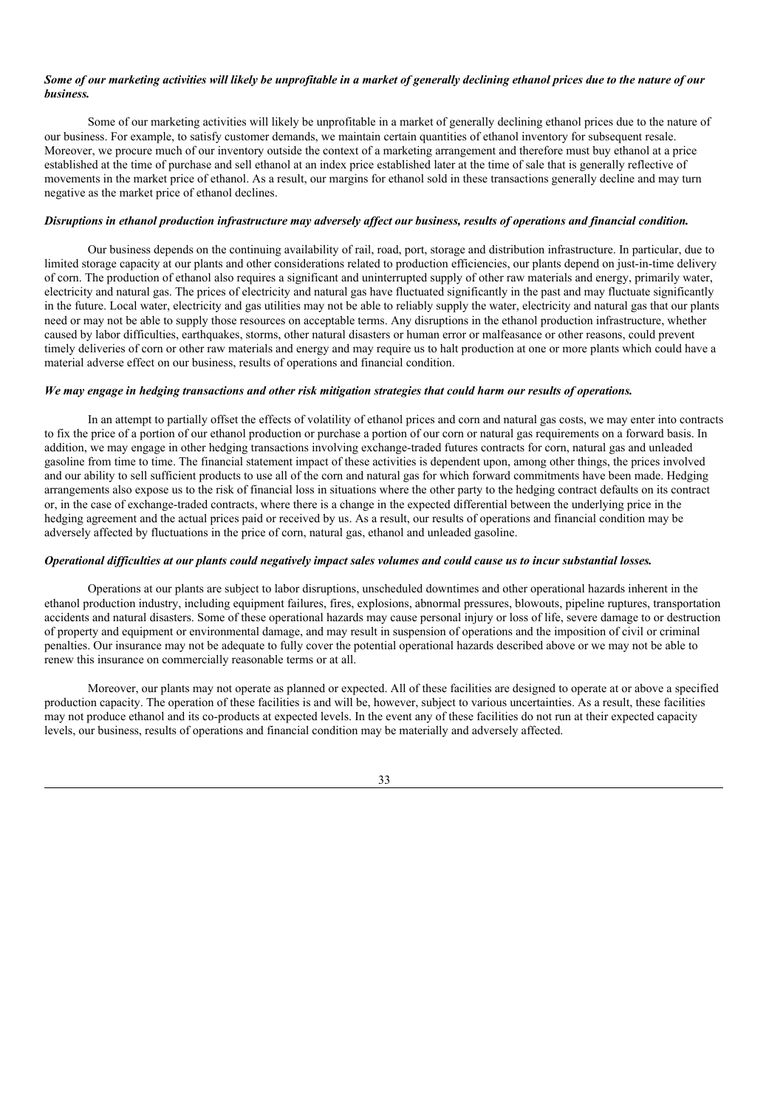### Some of our marketing activities will likely be unprofitable in a market of generally declining ethanol prices due to the nature of our *business.*

Some of our marketing activities will likely be unprofitable in a market of generally declining ethanol prices due to the nature of our business. For example, to satisfy customer demands, we maintain certain quantities of ethanol inventory for subsequent resale. Moreover, we procure much of our inventory outside the context of a marketing arrangement and therefore must buy ethanol at a price established at the time of purchase and sell ethanol at an index price established later at the time of sale that is generally reflective of movements in the market price of ethanol. As a result, our margins for ethanol sold in these transactions generally decline and may turn negative as the market price of ethanol declines.

### Disruptions in ethanol production infrastructure may adversely affect our business, results of operations and financial condition.

Our business depends on the continuing availability of rail, road, port, storage and distribution infrastructure. In particular, due to limited storage capacity at our plants and other considerations related to production efficiencies, our plants depend on just-in-time delivery of corn. The production of ethanol also requires a significant and uninterrupted supply of other raw materials and energy, primarily water, electricity and natural gas. The prices of electricity and natural gas have fluctuated significantly in the past and may fluctuate significantly in the future. Local water, electricity and gas utilities may not be able to reliably supply the water, electricity and natural gas that our plants need or may not be able to supply those resources on acceptable terms. Any disruptions in the ethanol production infrastructure, whether caused by labor difficulties, earthquakes, storms, other natural disasters or human error or malfeasance or other reasons, could prevent timely deliveries of corn or other raw materials and energy and may require us to halt production at one or more plants which could have a material adverse effect on our business, results of operations and financial condition.

### We may engage in hedging transactions and other risk mitigation strategies that could harm our results of operations.

In an attempt to partially offset the effects of volatility of ethanol prices and corn and natural gas costs, we may enter into contracts to fix the price of a portion of our ethanol production or purchase a portion of our corn or natural gas requirements on a forward basis. In addition, we may engage in other hedging transactions involving exchange-traded futures contracts for corn, natural gas and unleaded gasoline from time to time. The financial statement impact of these activities is dependent upon, among other things, the prices involved and our ability to sell sufficient products to use all of the corn and natural gas for which forward commitments have been made. Hedging arrangements also expose us to the risk of financial loss in situations where the other party to the hedging contract defaults on its contract or, in the case of exchange-traded contracts, where there is a change in the expected differential between the underlying price in the hedging agreement and the actual prices paid or received by us. As a result, our results of operations and financial condition may be adversely affected by fluctuations in the price of corn, natural gas, ethanol and unleaded gasoline.

#### Operational difficulties at our plants could negatively impact sales volumes and could cause us to incur substantial losses.

Operations at our plants are subject to labor disruptions, unscheduled downtimes and other operational hazards inherent in the ethanol production industry, including equipment failures, fires, explosions, abnormal pressures, blowouts, pipeline ruptures, transportation accidents and natural disasters. Some of these operational hazards may cause personal injury or loss of life, severe damage to or destruction of property and equipment or environmental damage, and may result in suspension of operations and the imposition of civil or criminal penalties. Our insurance may not be adequate to fully cover the potential operational hazards described above or we may not be able to renew this insurance on commercially reasonable terms or at all.

Moreover, our plants may not operate as planned or expected. All of these facilities are designed to operate at or above a specified production capacity. The operation of these facilities is and will be, however, subject to various uncertainties. As a result, these facilities may not produce ethanol and its co-products at expected levels. In the event any of these facilities do not run at their expected capacity levels, our business, results of operations and financial condition may be materially and adversely affected.

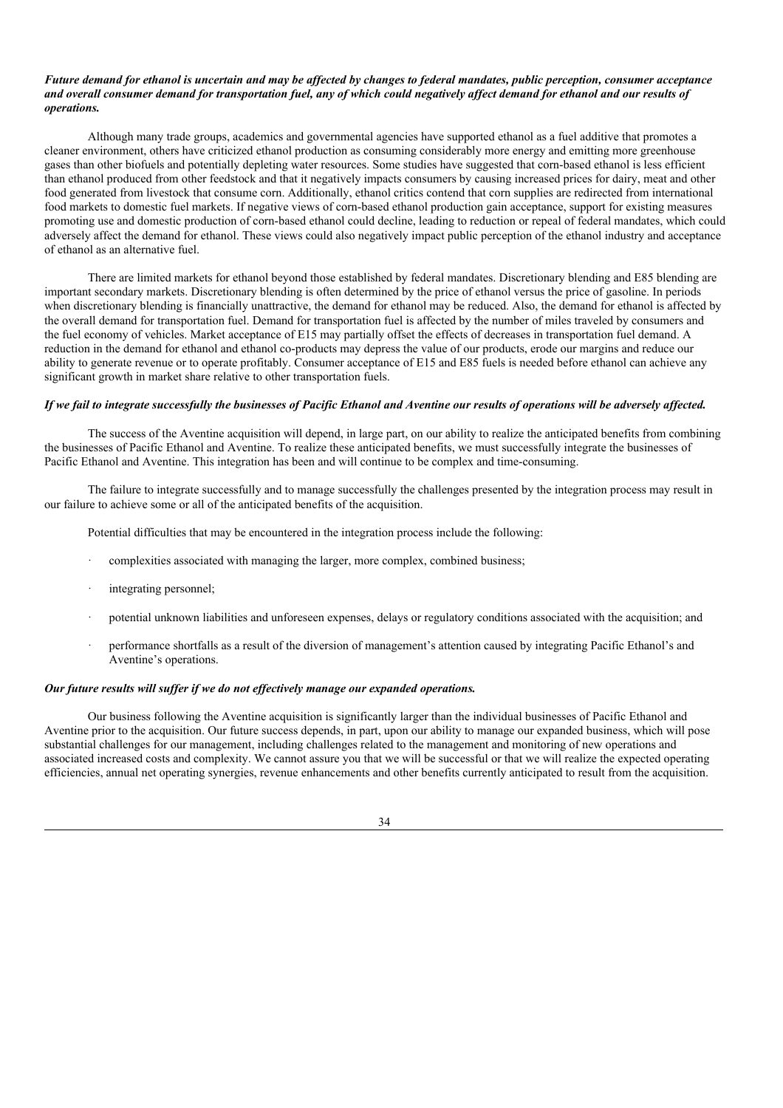### Future demand for ethanol is uncertain and may be affected by changes to federal mandates, public perception, consumer acceptance and overall consumer demand for transportation fuel, any of which could negatively affect demand for ethanol and our results of *operations.*

Although many trade groups, academics and governmental agencies have supported ethanol as a fuel additive that promotes a cleaner environment, others have criticized ethanol production as consuming considerably more energy and emitting more greenhouse gases than other biofuels and potentially depleting water resources. Some studies have suggested that corn-based ethanol is less efficient than ethanol produced from other feedstock and that it negatively impacts consumers by causing increased prices for dairy, meat and other food generated from livestock that consume corn. Additionally, ethanol critics contend that corn supplies are redirected from international food markets to domestic fuel markets. If negative views of corn-based ethanol production gain acceptance, support for existing measures promoting use and domestic production of corn-based ethanol could decline, leading to reduction or repeal of federal mandates, which could adversely affect the demand for ethanol. These views could also negatively impact public perception of the ethanol industry and acceptance of ethanol as an alternative fuel.

There are limited markets for ethanol beyond those established by federal mandates. Discretionary blending and E85 blending are important secondary markets. Discretionary blending is often determined by the price of ethanol versus the price of gasoline. In periods when discretionary blending is financially unattractive, the demand for ethanol may be reduced. Also, the demand for ethanol is affected by the overall demand for transportation fuel. Demand for transportation fuel is affected by the number of miles traveled by consumers and the fuel economy of vehicles. Market acceptance of E15 may partially offset the effects of decreases in transportation fuel demand. A reduction in the demand for ethanol and ethanol co-products may depress the value of our products, erode our margins and reduce our ability to generate revenue or to operate profitably. Consumer acceptance of E15 and E85 fuels is needed before ethanol can achieve any significant growth in market share relative to other transportation fuels.

### If we fail to integrate successfully the businesses of Pacific Ethanol and Aventine our results of operations will be adversely affected.

The success of the Aventine acquisition will depend, in large part, on our ability to realize the anticipated benefits from combining the businesses of Pacific Ethanol and Aventine. To realize these anticipated benefits, we must successfully integrate the businesses of Pacific Ethanol and Aventine. This integration has been and will continue to be complex and time-consuming.

The failure to integrate successfully and to manage successfully the challenges presented by the integration process may result in our failure to achieve some or all of the anticipated benefits of the acquisition.

Potential difficulties that may be encountered in the integration process include the following:

- complexities associated with managing the larger, more complex, combined business;
- integrating personnel;
- · potential unknown liabilities and unforeseen expenses, delays or regulatory conditions associated with the acquisition; and
- · performance shortfalls as a result of the diversion of management's attention caused by integrating Pacific Ethanol's and Aventine's operations.

#### *Our future results will suf er if we do not ef ectively manage our expanded operations.*

Our business following the Aventine acquisition is significantly larger than the individual businesses of Pacific Ethanol and Aventine prior to the acquisition. Our future success depends, in part, upon our ability to manage our expanded business, which will pose substantial challenges for our management, including challenges related to the management and monitoring of new operations and associated increased costs and complexity. We cannot assure you that we will be successful or that we will realize the expected operating efficiencies, annual net operating synergies, revenue enhancements and other benefits currently anticipated to result from the acquisition.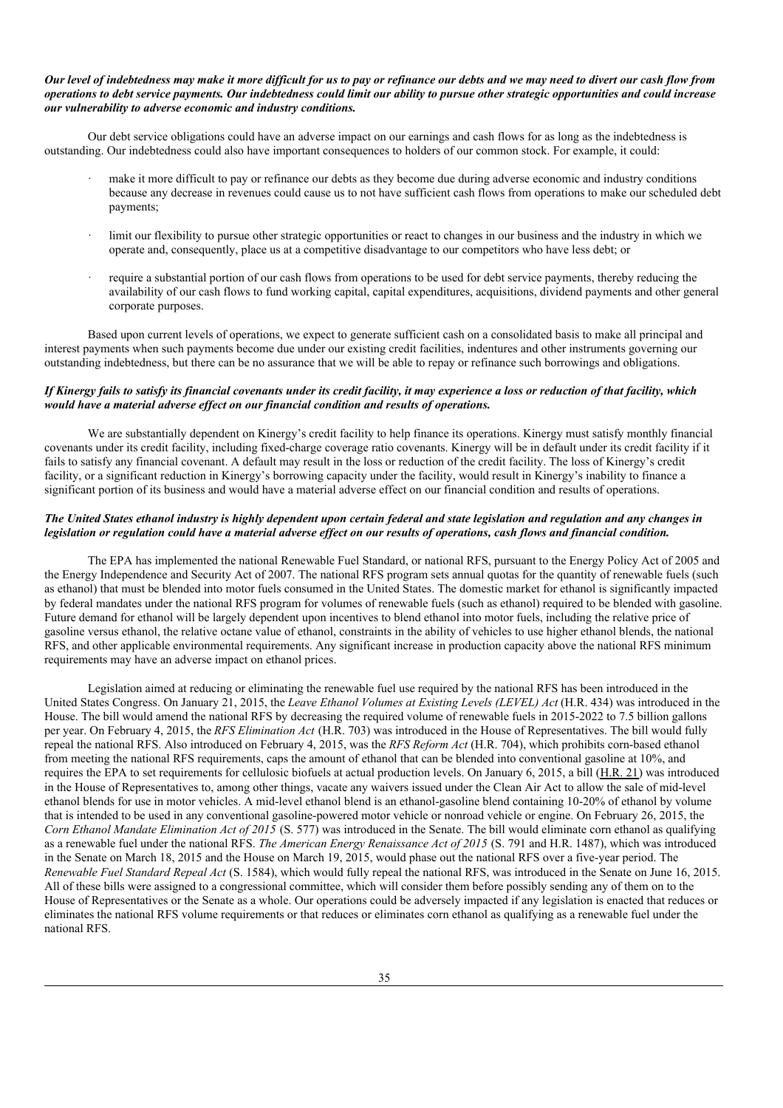### Our level of indebtedness may make it more difficult for us to pay or refinance our debts and we may need to divert our cash flow from operations to debt service payments. Our indebtedness could limit our ability to pursue other strategic opportunities and could increase *our vulnerability to adverse economic and industry conditions.*

Our debt service obligations could have an adverse impact on our earnings and cash flows for as long as the indebtedness is outstanding. Our indebtedness could also have important consequences to holders of our common stock. For example, it could:

- make it more difficult to pay or refinance our debts as they become due during adverse economic and industry conditions because any decrease in revenues could cause us to not have sufficient cash flows from operations to make our scheduled debt payments;
- limit our flexibility to pursue other strategic opportunities or react to changes in our business and the industry in which we operate and, consequently, place us at a competitive disadvantage to our competitors who have less debt; or
- require a substantial portion of our cash flows from operations to be used for debt service payments, thereby reducing the availability of our cash flows to fund working capital, capital expenditures, acquisitions, dividend payments and other general corporate purposes.

Based upon current levels of operations, we expect to generate sufficient cash on a consolidated basis to make all principal and interest payments when such payments become due under our existing credit facilities, indentures and other instruments governing our outstanding indebtedness, but there can be no assurance that we will be able to repay or refinance such borrowings and obligations.

### If Kinergy fails to satisfy its financial covenants under its credit facility, it may experience a loss or reduction of that facility, which *would have a material adverse ef ect on our financial condition and results of operations.*

We are substantially dependent on Kinergy's credit facility to help finance its operations. Kinergy must satisfy monthly financial covenants under its credit facility, including fixed-charge coverage ratio covenants. Kinergy will be in default under its credit facility if it fails to satisfy any financial covenant. A default may result in the loss or reduction of the credit facility. The loss of Kinergy's credit facility, or a significant reduction in Kinergy's borrowing capacity under the facility, would result in Kinergy's inability to finance a significant portion of its business and would have a material adverse effect on our financial condition and results of operations.

### The United States ethanol industry is highly dependent upon certain federal and state legislation and regulation and any changes in legislation or regulation could have a material adverse effect on our results of operations, cash flows and financial condition.

The EPA has implemented the national Renewable Fuel Standard, or national RFS, pursuant to the Energy Policy Act of 2005 and the Energy Independence and Security Act of 2007. The national RFS program sets annual quotas for the quantity of renewable fuels (such as ethanol) that must be blended into motor fuels consumed in the United States. The domestic market for ethanol is significantly impacted by federal mandates under the national RFS program for volumes of renewable fuels (such as ethanol) required to be blended with gasoline. Future demand for ethanol will be largely dependent upon incentives to blend ethanol into motor fuels, including the relative price of gasoline versus ethanol, the relative octane value of ethanol, constraints in the ability of vehicles to use higher ethanol blends, the national RFS, and other applicable environmental requirements. Any significant increase in production capacity above the national RFS minimum requirements may have an adverse impact on ethanol prices.

Legislation aimed at reducing or eliminating the renewable fuel use required by the national RFS has been introduced in the United States Congress. On January 21, 2015, the *Leave Ethanol Volumes at Existing Levels (LEVEL) Act* (H.R. 434) was introduced in the House. The bill would amend the national RFS by decreasing the required volume of renewable fuels in 2015-2022 to 7.5 billion gallons per year. On February 4, 2015, the *RFS Elimination Act* (H.R. 703) was introduced in the House of Representatives. The bill would fully repeal the national RFS. Also introduced on February 4, 2015, was the *RFS Reform Act* (H.R. 704), which prohibits corn-based ethanol from meeting the national RFS requirements, caps the amount of ethanol that can be blended into conventional gasoline at 10%, and requires the EPA to set requirements for cellulosic biofuels at actual production levels. On January 6, 2015, a bill (H.R. 21) was introduced in the House of Representatives to, among other things, vacate any waivers issued under the Clean Air Act to allow the sale of mid-level ethanol blends for use in motor vehicles. A mid-level ethanol blend is an ethanol-gasoline blend containing 10-20% of ethanol by volume that is intended to be used in any conventional gasoline-powered motor vehicle or nonroad vehicle or engine. On February 26, 2015, the *Corn Ethanol Mandate Elimination Act of 2015* (S. 577) was introduced in the Senate. The bill would eliminate corn ethanol as qualifying as a renewable fuel under the national RFS. *The American Energy Renaissance Act of 2015* (S. 791 and H.R. 1487), which was introduced in the Senate on March 18, 2015 and the House on March 19, 2015, would phase out the national RFS over a five-year period. The *Renewable Fuel Standard Repeal Act* (S. 1584), which would fully repeal the national RFS, was introduced in the Senate on June 16, 2015. All of these bills were assigned to a congressional committee, which will consider them before possibly sending any of them on to the House of Representatives or the Senate as a whole. Our operations could be adversely impacted if any legislation is enacted that reduces or eliminates the national RFS volume requirements or that reduces or eliminates corn ethanol as qualifying as a renewable fuel under the national RFS.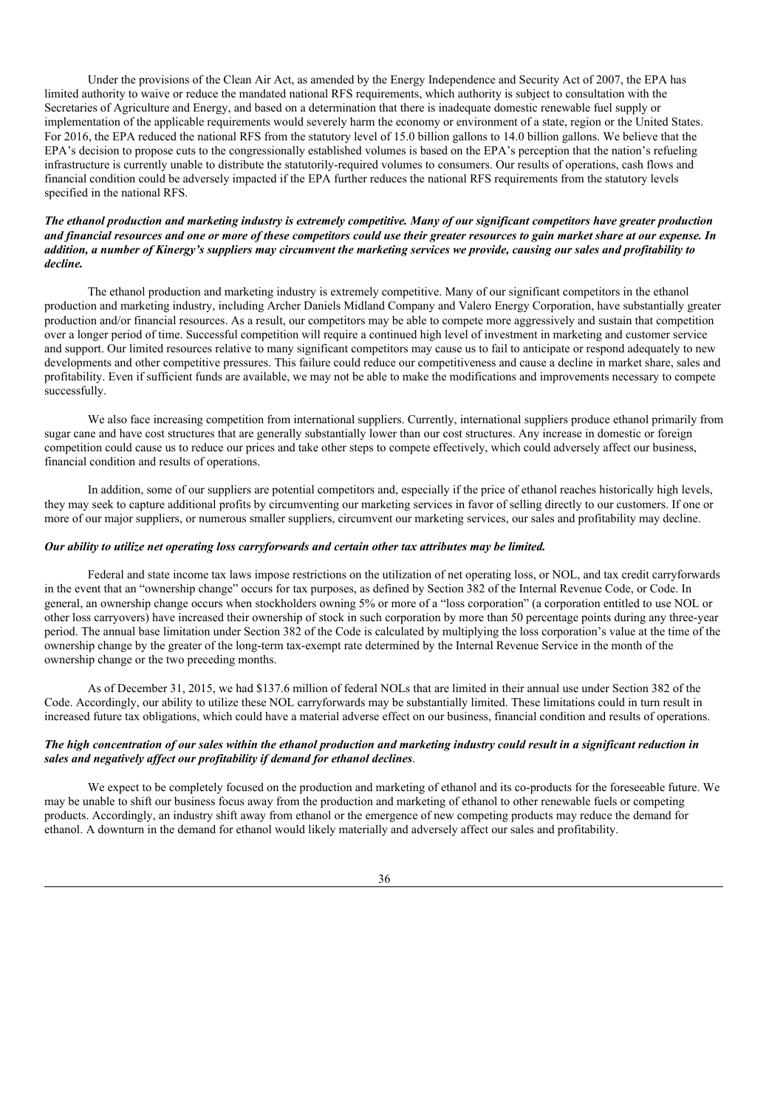Under the provisions of the Clean Air Act, as amended by the Energy Independence and Security Act of 2007, the EPA has limited authority to waive or reduce the mandated national RFS requirements, which authority is subject to consultation with the Secretaries of Agriculture and Energy, and based on a determination that there is inadequate domestic renewable fuel supply or implementation of the applicable requirements would severely harm the economy or environment of a state, region or the United States. For 2016, the EPA reduced the national RFS from the statutory level of 15.0 billion gallons to 14.0 billion gallons. We believe that the EPA's decision to propose cuts to the congressionally established volumes is based on the EPA's perception that the nation's refueling infrastructure is currently unable to distribute the statutorily-required volumes to consumers. Our results of operations, cash flows and financial condition could be adversely impacted if the EPA further reduces the national RFS requirements from the statutory levels specified in the national RFS.

### The ethanol production and marketing industry is extremely competitive. Many of our significant competitors have greater production and financial resources and one or more of these competitors could use their greater resources to gain market share at our expense. In addition, a number of Kinergy's suppliers may circumvent the marketing services we provide, causing our sales and profitability to *decline.*

The ethanol production and marketing industry is extremely competitive. Many of our significant competitors in the ethanol production and marketing industry, including Archer Daniels Midland Company and Valero Energy Corporation, have substantially greater production and/or financial resources. As a result, our competitors may be able to compete more aggressively and sustain that competition over a longer period of time. Successful competition will require a continued high level of investment in marketing and customer service and support. Our limited resources relative to many significant competitors may cause us to fail to anticipate or respond adequately to new developments and other competitive pressures. This failure could reduce our competitiveness and cause a decline in market share, sales and profitability. Even if sufficient funds are available, we may not be able to make the modifications and improvements necessary to compete successfully.

We also face increasing competition from international suppliers. Currently, international suppliers produce ethanol primarily from sugar cane and have cost structures that are generally substantially lower than our cost structures. Any increase in domestic or foreign competition could cause us to reduce our prices and take other steps to compete effectively, which could adversely affect our business, financial condition and results of operations.

In addition, some of our suppliers are potential competitors and, especially if the price of ethanol reaches historically high levels, they may seek to capture additional profits by circumventing our marketing services in favor of selling directly to our customers. If one or more of our major suppliers, or numerous smaller suppliers, circumvent our marketing services, our sales and profitability may decline.

#### *Our ability to utilize net operating loss carryforwards and certain other tax attributes may be limited.*

Federal and state income tax laws impose restrictions on the utilization of net operating loss, or NOL, and tax credit carryforwards in the event that an "ownership change" occurs for tax purposes, as defined by Section 382 of the Internal Revenue Code, or Code. In general, an ownership change occurs when stockholders owning 5% or more of a "loss corporation" (a corporation entitled to use NOL or other loss carryovers) have increased their ownership of stock in such corporation by more than 50 percentage points during any three-year period. The annual base limitation under Section 382 of the Code is calculated by multiplying the loss corporation's value at the time of the ownership change by the greater of the long-term tax-exempt rate determined by the Internal Revenue Service in the month of the ownership change or the two preceding months.

As of December 31, 2015, we had \$137.6 million of federal NOLs that are limited in their annual use under Section 382 of the Code. Accordingly, our ability to utilize these NOL carryforwards may be substantially limited. These limitations could in turn result in increased future tax obligations, which could have a material adverse effect on our business, financial condition and results of operations.

### The high concentration of our sales within the ethanol production and marketing industry could result in a significant reduction in *sales and negatively af ect our profitability if demand for ethanol declines*.

We expect to be completely focused on the production and marketing of ethanol and its co-products for the foreseeable future. We may be unable to shift our business focus away from the production and marketing of ethanol to other renewable fuels or competing products. Accordingly, an industry shift away from ethanol or the emergence of new competing products may reduce the demand for ethanol. A downturn in the demand for ethanol would likely materially and adversely affect our sales and profitability.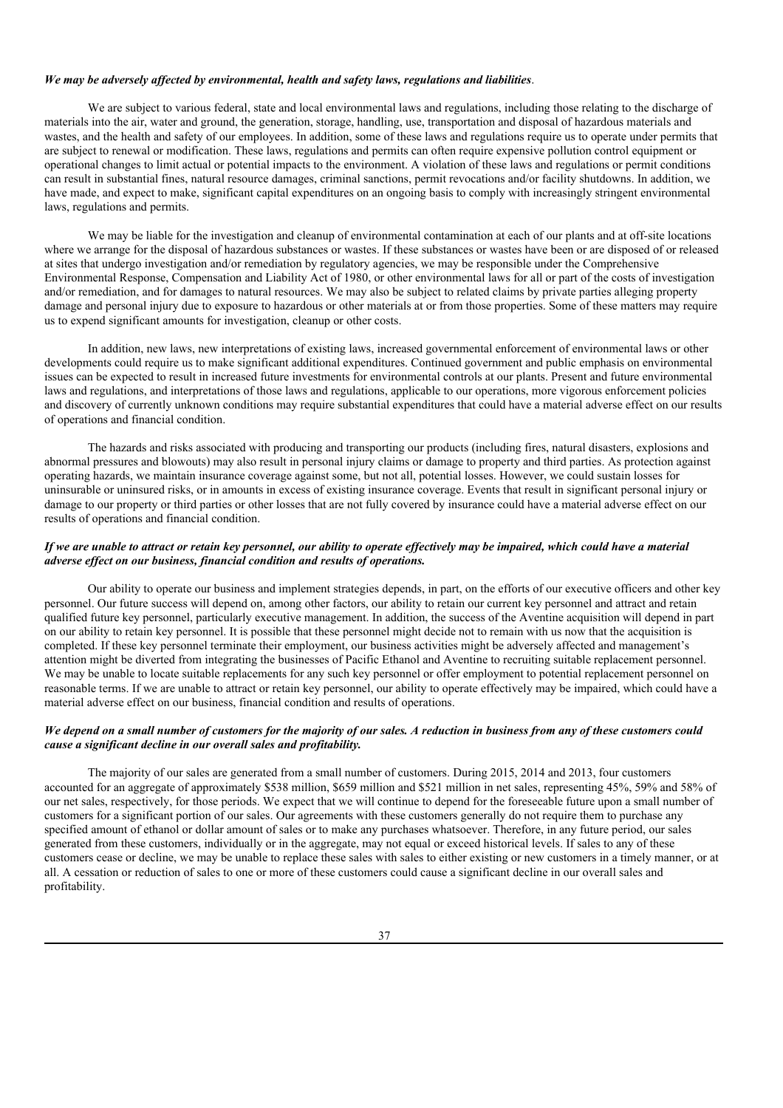#### *We may be adversely af ected by environmental, health and safety laws, regulations and liabilities*.

We are subject to various federal, state and local environmental laws and regulations, including those relating to the discharge of materials into the air, water and ground, the generation, storage, handling, use, transportation and disposal of hazardous materials and wastes, and the health and safety of our employees. In addition, some of these laws and regulations require us to operate under permits that are subject to renewal or modification. These laws, regulations and permits can often require expensive pollution control equipment or operational changes to limit actual or potential impacts to the environment. A violation of these laws and regulations or permit conditions can result in substantial fines, natural resource damages, criminal sanctions, permit revocations and/or facility shutdowns. In addition, we have made, and expect to make, significant capital expenditures on an ongoing basis to comply with increasingly stringent environmental laws, regulations and permits.

We may be liable for the investigation and cleanup of environmental contamination at each of our plants and at off-site locations where we arrange for the disposal of hazardous substances or wastes. If these substances or wastes have been or are disposed of or released at sites that undergo investigation and/or remediation by regulatory agencies, we may be responsible under the Comprehensive Environmental Response, Compensation and Liability Act of 1980, or other environmental laws for all or part of the costs of investigation and/or remediation, and for damages to natural resources. We may also be subject to related claims by private parties alleging property damage and personal injury due to exposure to hazardous or other materials at or from those properties. Some of these matters may require us to expend significant amounts for investigation, cleanup or other costs.

In addition, new laws, new interpretations of existing laws, increased governmental enforcement of environmental laws or other developments could require us to make significant additional expenditures. Continued government and public emphasis on environmental issues can be expected to result in increased future investments for environmental controls at our plants. Present and future environmental laws and regulations, and interpretations of those laws and regulations, applicable to our operations, more vigorous enforcement policies and discovery of currently unknown conditions may require substantial expenditures that could have a material adverse effect on our results of operations and financial condition.

The hazards and risks associated with producing and transporting our products (including fires, natural disasters, explosions and abnormal pressures and blowouts) may also result in personal injury claims or damage to property and third parties. As protection against operating hazards, we maintain insurance coverage against some, but not all, potential losses. However, we could sustain losses for uninsurable or uninsured risks, or in amounts in excess of existing insurance coverage. Events that result in significant personal injury or damage to our property or third parties or other losses that are not fully covered by insurance could have a material adverse effect on our results of operations and financial condition.

### If we are unable to attract or retain key personnel, our ability to operate effectively may be impaired, which could have a material *adverse ef ect on our business, financial condition and results of operations.*

Our ability to operate our business and implement strategies depends, in part, on the efforts of our executive officers and other key personnel. Our future success will depend on, among other factors, our ability to retain our current key personnel and attract and retain qualified future key personnel, particularly executive management. In addition, the success of the Aventine acquisition will depend in part on our ability to retain key personnel. It is possible that these personnel might decide not to remain with us now that the acquisition is completed. If these key personnel terminate their employment, our business activities might be adversely affected and management's attention might be diverted from integrating the businesses of Pacific Ethanol and Aventine to recruiting suitable replacement personnel. We may be unable to locate suitable replacements for any such key personnel or offer employment to potential replacement personnel on reasonable terms. If we are unable to attract or retain key personnel, our ability to operate effectively may be impaired, which could have a material adverse effect on our business, financial condition and results of operations.

### We depend on a small number of customers for the majority of our sales. A reduction in business from any of these customers could *cause a significant decline in our overall sales and profitability.*

The majority of our sales are generated from a small number of customers. During 2015, 2014 and 2013, four customers accounted for an aggregate of approximately \$538 million, \$659 million and \$521 million in net sales, representing 45%, 59% and 58% of our net sales, respectively, for those periods. We expect that we will continue to depend for the foreseeable future upon a small number of customers for a significant portion of our sales. Our agreements with these customers generally do not require them to purchase any specified amount of ethanol or dollar amount of sales or to make any purchases whatsoever. Therefore, in any future period, our sales generated from these customers, individually or in the aggregate, may not equal or exceed historical levels. If sales to any of these customers cease or decline, we may be unable to replace these sales with sales to either existing or new customers in a timely manner, or at all. A cessation or reduction of sales to one or more of these customers could cause a significant decline in our overall sales and profitability.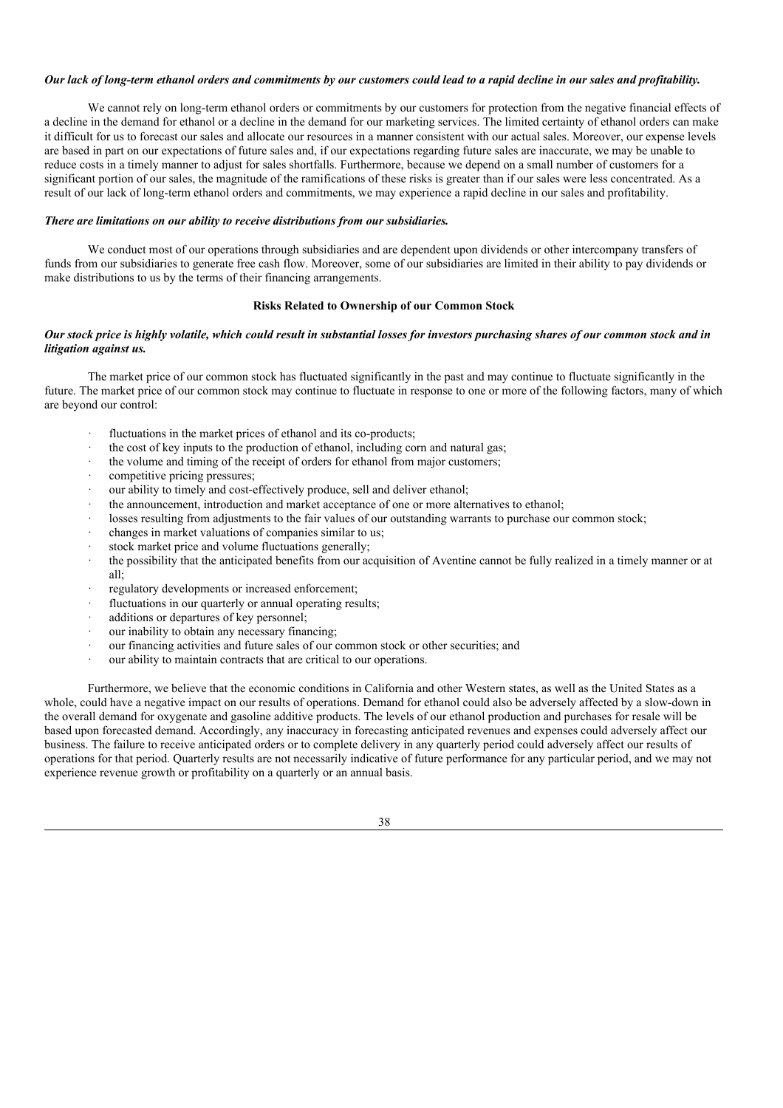### Our lack of long-term ethanol orders and commitments by our customers could lead to a rapid decline in our sales and profitability.

We cannot rely on long-term ethanol orders or commitments by our customers for protection from the negative financial effects of a decline in the demand for ethanol or a decline in the demand for our marketing services. The limited certainty of ethanol orders can make it difficult for us to forecast our sales and allocate our resources in a manner consistent with our actual sales. Moreover, our expense levels are based in part on our expectations of future sales and, if our expectations regarding future sales are inaccurate, we may be unable to reduce costs in a timely manner to adjust for sales shortfalls. Furthermore, because we depend on a small number of customers for a significant portion of our sales, the magnitude of the ramifications of these risks is greater than if our sales were less concentrated. As a result of our lack of long-term ethanol orders and commitments, we may experience a rapid decline in our sales and profitability.

### *There are limitations on our ability to receive distributions from our subsidiaries.*

We conduct most of our operations through subsidiaries and are dependent upon dividends or other intercompany transfers of funds from our subsidiaries to generate free cash flow. Moreover, some of our subsidiaries are limited in their ability to pay dividends or make distributions to us by the terms of their financing arrangements.

### **Risks Related to Ownership of our Common Stock**

### Our stock price is highly volatile, which could result in substantial losses for investors purchasing shares of our common stock and in *litigation against us.*

The market price of our common stock has fluctuated significantly in the past and may continue to fluctuate significantly in the future. The market price of our common stock may continue to fluctuate in response to one or more of the following factors, many of which are beyond our control:

- fluctuations in the market prices of ethanol and its co-products:
- · the cost of key inputs to the production of ethanol, including corn and natural gas;
- the volume and timing of the receipt of orders for ethanol from major customers;
- competitive pricing pressures;
- our ability to timely and cost-effectively produce, sell and deliver ethanol;
- the announcement, introduction and market acceptance of one or more alternatives to ethanol;
- losses resulting from adjustments to the fair values of our outstanding warrants to purchase our common stock;
- · changes in market valuations of companies similar to us;
- stock market price and volume fluctuations generally;
- the possibility that the anticipated benefits from our acquisition of Aventine cannot be fully realized in a timely manner or at all;
- regulatory developments or increased enforcement;
- fluctuations in our quarterly or annual operating results;
- additions or departures of key personnel;
- our inability to obtain any necessary financing;
- our financing activities and future sales of our common stock or other securities; and
- our ability to maintain contracts that are critical to our operations.

Furthermore, we believe that the economic conditions in California and other Western states, as well as the United States as a whole, could have a negative impact on our results of operations. Demand for ethanol could also be adversely affected by a slow-down in the overall demand for oxygenate and gasoline additive products. The levels of our ethanol production and purchases for resale will be based upon forecasted demand. Accordingly, any inaccuracy in forecasting anticipated revenues and expenses could adversely affect our business. The failure to receive anticipated orders or to complete delivery in any quarterly period could adversely affect our results of operations for that period. Quarterly results are not necessarily indicative of future performance for any particular period, and we may not experience revenue growth or profitability on a quarterly or an annual basis.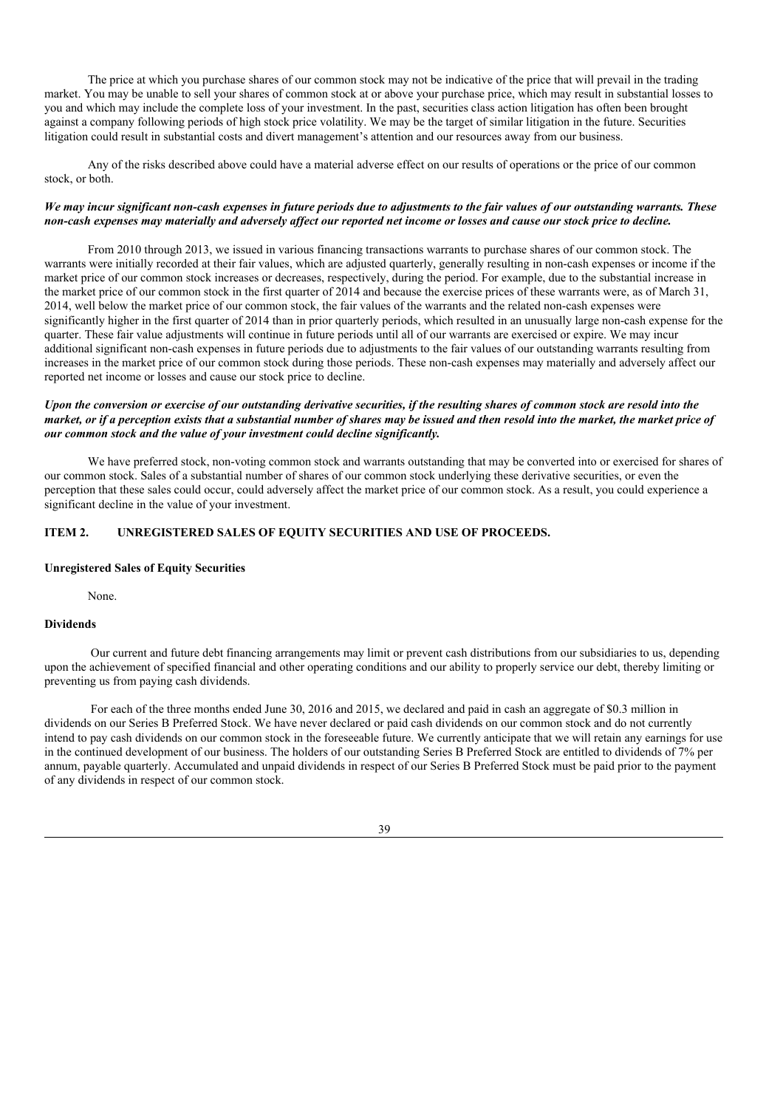The price at which you purchase shares of our common stock may not be indicative of the price that will prevail in the trading market. You may be unable to sell your shares of common stock at or above your purchase price, which may result in substantial losses to you and which may include the complete loss of your investment. In the past, securities class action litigation has often been brought against a company following periods of high stock price volatility. We may be the target of similar litigation in the future. Securities litigation could result in substantial costs and divert management's attention and our resources away from our business.

Any of the risks described above could have a material adverse effect on our results of operations or the price of our common stock, or both.

### We may incur significant non-cash expenses in future periods due to adjustments to the fair values of our outstanding warrants. These non-cash expenses may materially and adversely affect our reported net income or losses and cause our stock price to decline.

From 2010 through 2013, we issued in various financing transactions warrants to purchase shares of our common stock. The warrants were initially recorded at their fair values, which are adjusted quarterly, generally resulting in non-cash expenses or income if the market price of our common stock increases or decreases, respectively, during the period. For example, due to the substantial increase in the market price of our common stock in the first quarter of 2014 and because the exercise prices of these warrants were, as of March 31, 2014, well below the market price of our common stock, the fair values of the warrants and the related non-cash expenses were significantly higher in the first quarter of 2014 than in prior quarterly periods, which resulted in an unusually large non-cash expense for the quarter. These fair value adjustments will continue in future periods until all of our warrants are exercised or expire. We may incur additional significant non-cash expenses in future periods due to adjustments to the fair values of our outstanding warrants resulting from increases in the market price of our common stock during those periods. These non-cash expenses may materially and adversely affect our reported net income or losses and cause our stock price to decline.

### Upon the conversion or exercise of our outstanding derivative securities, if the resulting shares of common stock are resold into the market, or if a perception exists that a substantial number of shares may be issued and then resold into the market, the market price of *our common stock and the value of your investment could decline significantly.*

We have preferred stock, non-voting common stock and warrants outstanding that may be converted into or exercised for shares of our common stock. Sales of a substantial number of shares of our common stock underlying these derivative securities, or even the perception that these sales could occur, could adversely affect the market price of our common stock. As a result, you could experience a significant decline in the value of your investment.

### **ITEM 2. UNREGISTERED SALES OF EQUITY SECURITIES AND USE OF PROCEEDS.**

#### **Unregistered Sales of Equity Securities**

None.

### **Dividends**

Our current and future debt financing arrangements may limit or prevent cash distributions from our subsidiaries to us, depending upon the achievement of specified financial and other operating conditions and our ability to properly service our debt, thereby limiting or preventing us from paying cash dividends.

For each of the three months ended June 30, 2016 and 2015, we declared and paid in cash an aggregate of \$0.3 million in dividends on our Series B Preferred Stock. We have never declared or paid cash dividends on our common stock and do not currently intend to pay cash dividends on our common stock in the foreseeable future. We currently anticipate that we will retain any earnings for use in the continued development of our business. The holders of our outstanding Series B Preferred Stock are entitled to dividends of 7% per annum, payable quarterly. Accumulated and unpaid dividends in respect of our Series B Preferred Stock must be paid prior to the payment of any dividends in respect of our common stock.

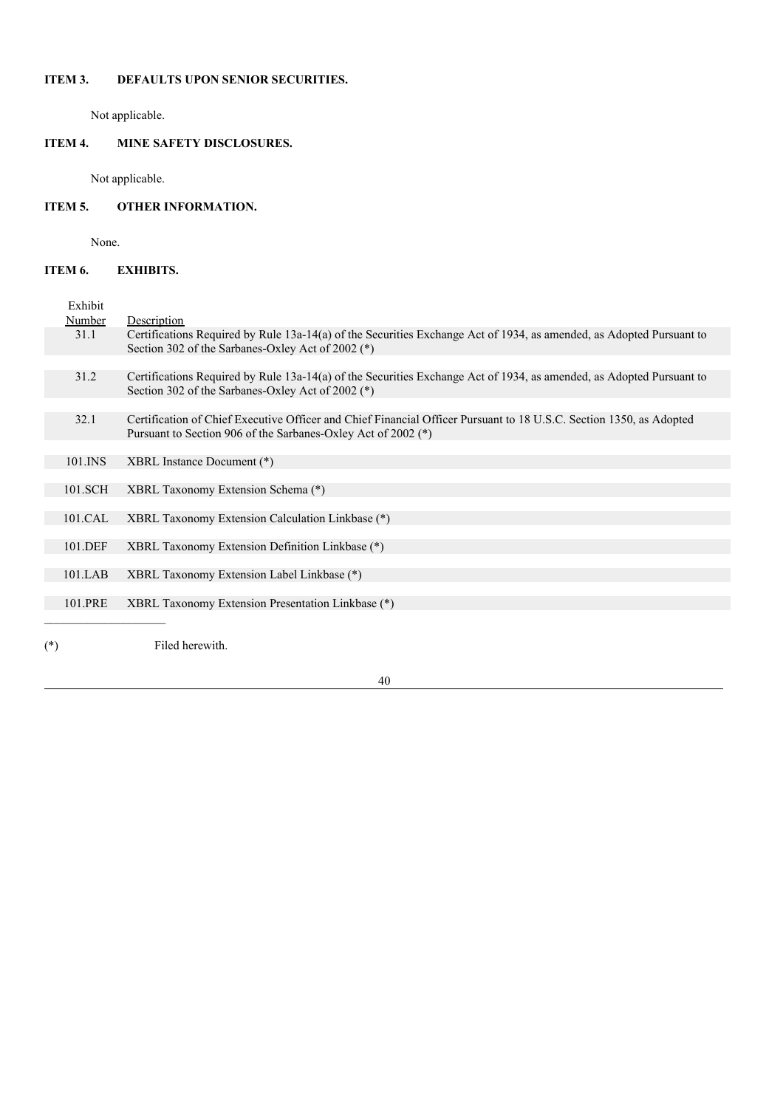# **ITEM 3. DEFAULTS UPON SENIOR SECURITIES.**

Not applicable.

# **ITEM 4. MINE SAFETY DISCLOSURES.**

Not applicable.

# **ITEM 5. OTHER INFORMATION.**

None.

# **ITEM 6. EXHIBITS.**

| Exhibit    |                                                                                                                                                                                      |
|------------|--------------------------------------------------------------------------------------------------------------------------------------------------------------------------------------|
| Number     | Description                                                                                                                                                                          |
| 31.1       | Certifications Required by Rule 13a-14(a) of the Securities Exchange Act of 1934, as amended, as Adopted Pursuant to<br>Section 302 of the Sarbanes-Oxley Act of 2002 (*)            |
|            |                                                                                                                                                                                      |
| 31.2       | Certifications Required by Rule 13a-14(a) of the Securities Exchange Act of 1934, as amended, as Adopted Pursuant to<br>Section 302 of the Sarbanes-Oxley Act of 2002 (*)            |
|            |                                                                                                                                                                                      |
| 32.1       | Certification of Chief Executive Officer and Chief Financial Officer Pursuant to 18 U.S.C. Section 1350, as Adopted<br>Pursuant to Section 906 of the Sarbanes-Oxley Act of 2002 (*) |
|            |                                                                                                                                                                                      |
| 101.INS    | XBRL Instance Document (*)                                                                                                                                                           |
|            |                                                                                                                                                                                      |
| 101.SCH    | XBRL Taxonomy Extension Schema (*)                                                                                                                                                   |
|            |                                                                                                                                                                                      |
| 101.CAL    | XBRL Taxonomy Extension Calculation Linkbase (*)                                                                                                                                     |
|            |                                                                                                                                                                                      |
| 101.DEF    | XBRL Taxonomy Extension Definition Linkbase (*)                                                                                                                                      |
|            |                                                                                                                                                                                      |
| $101$ .LAB | XBRL Taxonomy Extension Label Linkbase (*)                                                                                                                                           |
|            |                                                                                                                                                                                      |
| 101.PRE    | XBRL Taxonomy Extension Presentation Linkbase (*)                                                                                                                                    |
|            |                                                                                                                                                                                      |
|            |                                                                                                                                                                                      |
| $^{(*)}$   | Filed herewith.                                                                                                                                                                      |
|            |                                                                                                                                                                                      |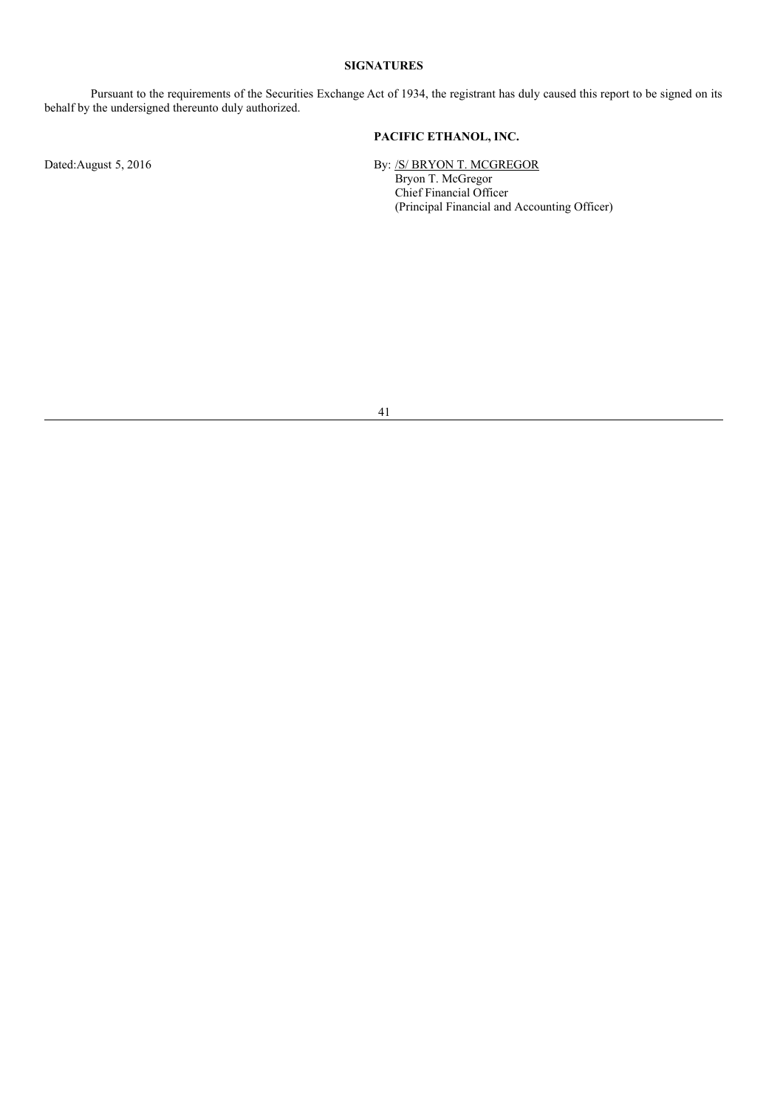## **SIGNATURES**

Pursuant to the requirements of the Securities Exchange Act of 1934, the registrant has duly caused this report to be signed on its behalf by the undersigned thereunto duly authorized.

## **PACIFIC ETHANOL, INC.**

Dated:August 5, 2016 **By:** /S/ BRYON T. MCGREGOR Bryon T. McGregor Chief Financial Officer (Principal Financial and Accounting Officer)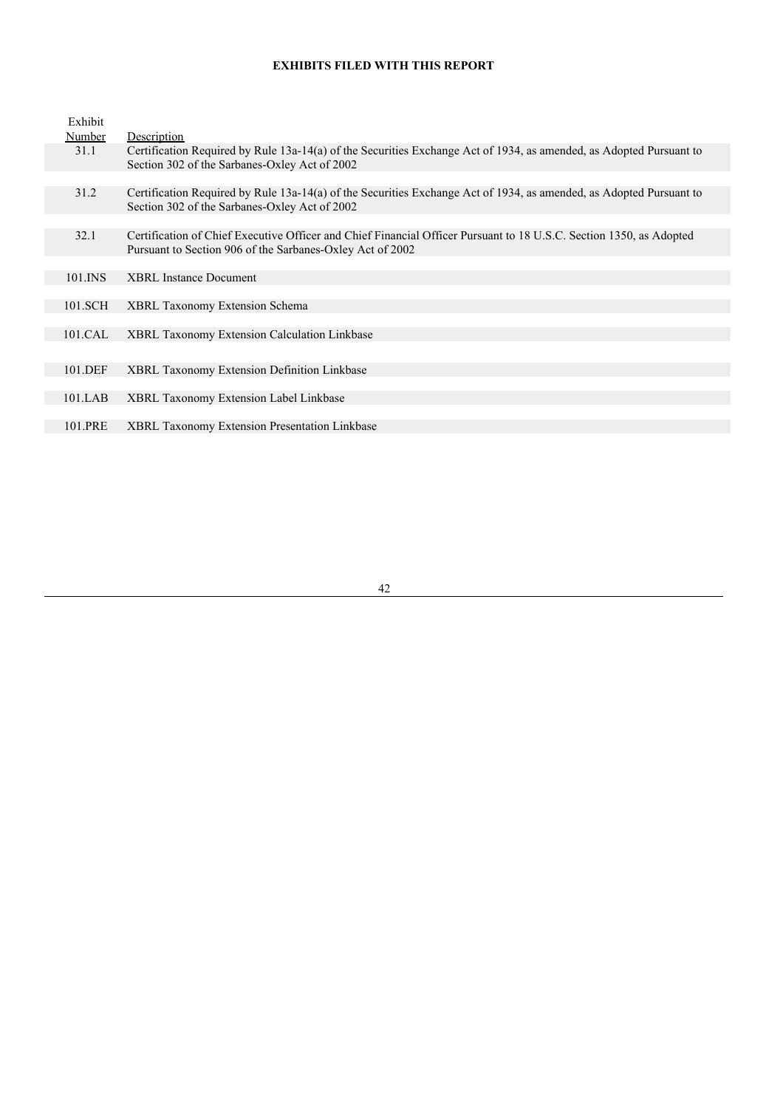# **EXHIBITS FILED WITH THIS REPORT**

| Exhibit |                                                                                                                                                                                  |
|---------|----------------------------------------------------------------------------------------------------------------------------------------------------------------------------------|
| Number  | Description                                                                                                                                                                      |
| 31.1    | Certification Required by Rule 13a-14(a) of the Securities Exchange Act of 1934, as amended, as Adopted Pursuant to<br>Section 302 of the Sarbanes-Oxley Act of 2002             |
|         |                                                                                                                                                                                  |
| 31.2    | Certification Required by Rule 13a-14(a) of the Securities Exchange Act of 1934, as amended, as Adopted Pursuant to<br>Section 302 of the Sarbanes-Oxley Act of 2002             |
|         |                                                                                                                                                                                  |
| 32.1    | Certification of Chief Executive Officer and Chief Financial Officer Pursuant to 18 U.S.C. Section 1350, as Adopted<br>Pursuant to Section 906 of the Sarbanes-Oxley Act of 2002 |
|         |                                                                                                                                                                                  |
| 101.INS | <b>XBRL</b> Instance Document                                                                                                                                                    |
|         |                                                                                                                                                                                  |
| 101.SCH | <b>XBRL Taxonomy Extension Schema</b>                                                                                                                                            |
|         |                                                                                                                                                                                  |
| 101.CAL | XBRL Taxonomy Extension Calculation Linkbase                                                                                                                                     |
|         |                                                                                                                                                                                  |
| 101.DEF | <b>XBRL Taxonomy Extension Definition Linkbase</b>                                                                                                                               |
|         |                                                                                                                                                                                  |
| 101.LAB | <b>XBRL Taxonomy Extension Label Linkbase</b>                                                                                                                                    |
|         |                                                                                                                                                                                  |
| 101.PRE | <b>XBRL Taxonomy Extension Presentation Linkbase</b>                                                                                                                             |
|         |                                                                                                                                                                                  |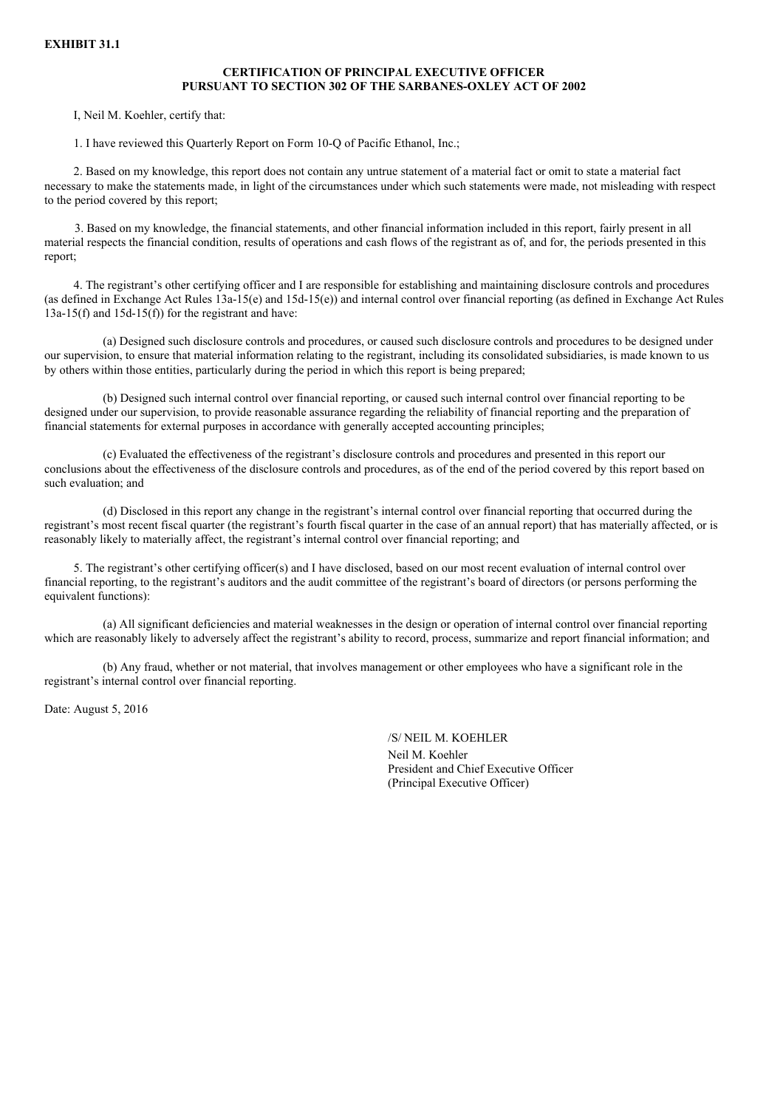### **CERTIFICATION OF PRINCIPAL EXECUTIVE OFFICER PURSUANT TO SECTION 302 OF THE SARBANES-OXLEY ACT OF 2002**

I, Neil M. Koehler, certify that:

1. I have reviewed this Quarterly Report on Form 10-Q of Pacific Ethanol, Inc.;

2. Based on my knowledge, this report does not contain any untrue statement of a material fact or omit to state a material fact necessary to make the statements made, in light of the circumstances under which such statements were made, not misleading with respect to the period covered by this report;

3. Based on my knowledge, the financial statements, and other financial information included in this report, fairly present in all material respects the financial condition, results of operations and cash flows of the registrant as of, and for, the periods presented in this report;

4. The registrant's other certifying officer and I are responsible for establishing and maintaining disclosure controls and procedures (as defined in Exchange Act Rules 13a-15(e) and 15d-15(e)) and internal control over financial reporting (as defined in Exchange Act Rules  $13a-15(f)$  and  $15d-15(f)$  for the registrant and have:

(a) Designed such disclosure controls and procedures, or caused such disclosure controls and procedures to be designed under our supervision, to ensure that material information relating to the registrant, including its consolidated subsidiaries, is made known to us by others within those entities, particularly during the period in which this report is being prepared;

(b) Designed such internal control over financial reporting, or caused such internal control over financial reporting to be designed under our supervision, to provide reasonable assurance regarding the reliability of financial reporting and the preparation of financial statements for external purposes in accordance with generally accepted accounting principles;

(c) Evaluated the effectiveness of the registrant's disclosure controls and procedures and presented in this report our conclusions about the effectiveness of the disclosure controls and procedures, as of the end of the period covered by this report based on such evaluation; and

(d) Disclosed in this report any change in the registrant's internal control over financial reporting that occurred during the registrant's most recent fiscal quarter (the registrant's fourth fiscal quarter in the case of an annual report) that has materially affected, or is reasonably likely to materially affect, the registrant's internal control over financial reporting; and

5. The registrant's other certifying officer(s) and I have disclosed, based on our most recent evaluation of internal control over financial reporting, to the registrant's auditors and the audit committee of the registrant's board of directors (or persons performing the equivalent functions):

(a) All significant deficiencies and material weaknesses in the design or operation of internal control over financial reporting which are reasonably likely to adversely affect the registrant's ability to record, process, summarize and report financial information; and

(b) Any fraud, whether or not material, that involves management or other employees who have a significant role in the registrant's internal control over financial reporting.

Date: August 5, 2016

/S/ NEIL M. KOEHLER Neil M. Koehler President and Chief Executive Officer (Principal Executive Officer)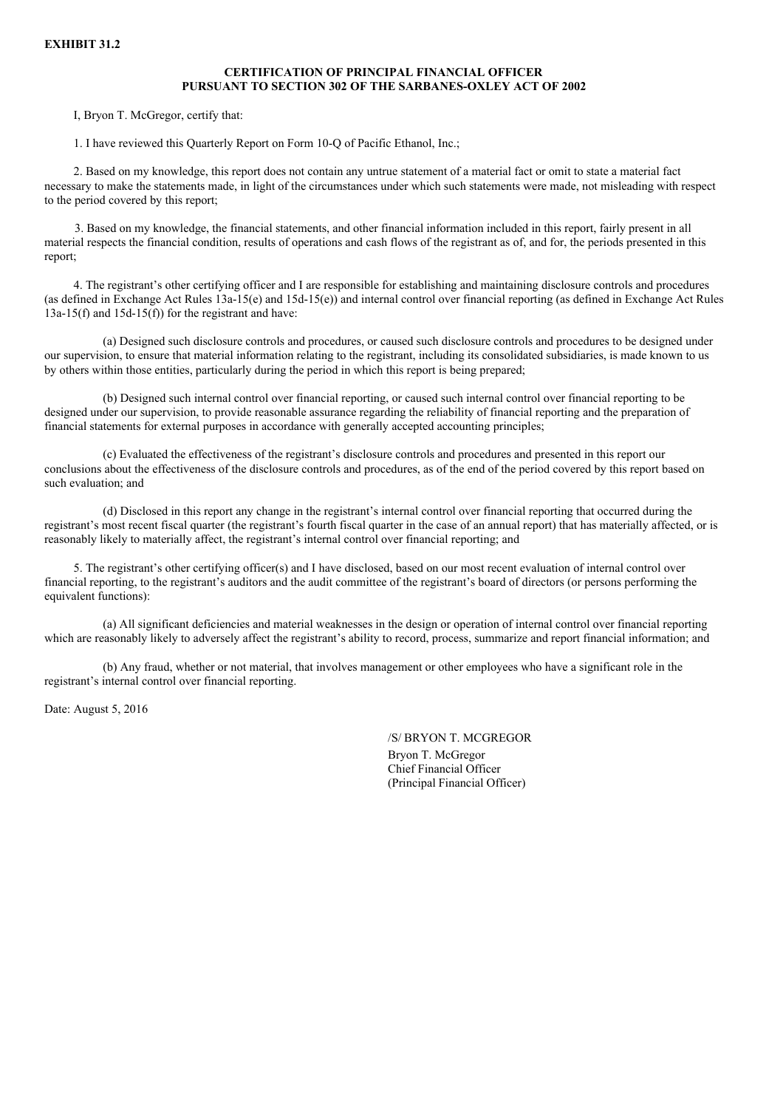### **CERTIFICATION OF PRINCIPAL FINANCIAL OFFICER PURSUANT TO SECTION 302 OF THE SARBANES-OXLEY ACT OF 2002**

I, Bryon T. McGregor, certify that:

1. I have reviewed this Quarterly Report on Form 10-Q of Pacific Ethanol, Inc.;

2. Based on my knowledge, this report does not contain any untrue statement of a material fact or omit to state a material fact necessary to make the statements made, in light of the circumstances under which such statements were made, not misleading with respect to the period covered by this report;

3. Based on my knowledge, the financial statements, and other financial information included in this report, fairly present in all material respects the financial condition, results of operations and cash flows of the registrant as of, and for, the periods presented in this report;

4. The registrant's other certifying officer and I are responsible for establishing and maintaining disclosure controls and procedures (as defined in Exchange Act Rules 13a-15(e) and 15d-15(e)) and internal control over financial reporting (as defined in Exchange Act Rules  $13a-15(f)$  and  $15d-15(f)$  for the registrant and have:

(a) Designed such disclosure controls and procedures, or caused such disclosure controls and procedures to be designed under our supervision, to ensure that material information relating to the registrant, including its consolidated subsidiaries, is made known to us by others within those entities, particularly during the period in which this report is being prepared;

(b) Designed such internal control over financial reporting, or caused such internal control over financial reporting to be designed under our supervision, to provide reasonable assurance regarding the reliability of financial reporting and the preparation of financial statements for external purposes in accordance with generally accepted accounting principles;

(c) Evaluated the effectiveness of the registrant's disclosure controls and procedures and presented in this report our conclusions about the effectiveness of the disclosure controls and procedures, as of the end of the period covered by this report based on such evaluation; and

(d) Disclosed in this report any change in the registrant's internal control over financial reporting that occurred during the registrant's most recent fiscal quarter (the registrant's fourth fiscal quarter in the case of an annual report) that has materially affected, or is reasonably likely to materially affect, the registrant's internal control over financial reporting; and

5. The registrant's other certifying officer(s) and I have disclosed, based on our most recent evaluation of internal control over financial reporting, to the registrant's auditors and the audit committee of the registrant's board of directors (or persons performing the equivalent functions):

(a) All significant deficiencies and material weaknesses in the design or operation of internal control over financial reporting which are reasonably likely to adversely affect the registrant's ability to record, process, summarize and report financial information; and

(b) Any fraud, whether or not material, that involves management or other employees who have a significant role in the registrant's internal control over financial reporting.

Date: August 5, 2016

/S/ BRYON T. MCGREGOR Bryon T. McGregor Chief Financial Officer (Principal Financial Officer)